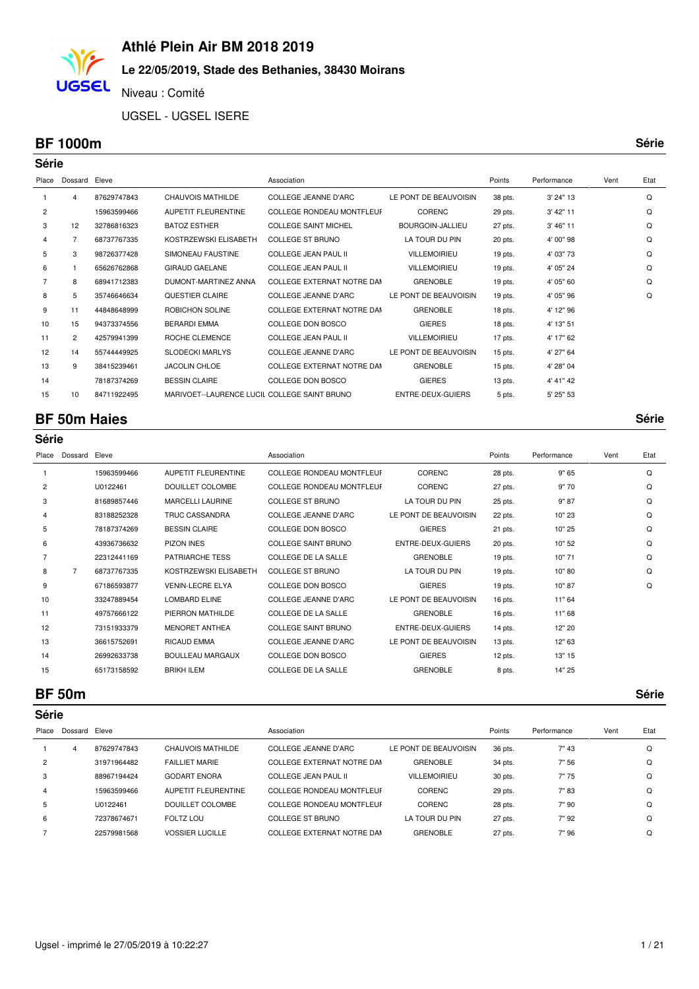#### **Le 22/05/2019, Stade des Bethanies, 38430 Moirans**

Niveau : Comité

UGSEL - UGSEL ISERE

#### **BF 1000m Série**

**UGSEL** 

| <b>Série</b>   |                |             |                                              |                             |                         |           |             |      |      |  |  |
|----------------|----------------|-------------|----------------------------------------------|-----------------------------|-------------------------|-----------|-------------|------|------|--|--|
| Place          | Dossard        | Eleve       |                                              | Association                 |                         | Points    | Performance | Vent | Etat |  |  |
| 1              | 4              | 87629747843 | <b>CHAUVOIS MATHILDE</b>                     | <b>COLLEGE JEANNE D'ARC</b> | LE PONT DE BEAUVOISIN   | 38 pts.   | 3' 24" 13   |      | Q    |  |  |
| $\overline{2}$ |                | 15963599466 | <b>AUPETIT FLEURENTINE</b>                   | COLLEGE RONDEAU MONTFLEUF   | <b>CORENC</b>           | 29 pts.   | 3' 42" 11   |      | Q    |  |  |
| 3              | 12             | 32786816323 | <b>BATOZ ESTHER</b>                          | <b>COLLEGE SAINT MICHEL</b> | <b>BOURGOIN-JALLIEU</b> | 27 pts.   | 3' 46" 11   |      | Q    |  |  |
| 4              |                | 68737767335 | KOSTRZEWSKI ELISABETH                        | <b>COLLEGE ST BRUNO</b>     | LA TOUR DU PIN          | 20 pts.   | 4' 00" 98   |      | Q    |  |  |
| 5              | 3              | 98726377428 | SIMONEAU FAUSTINE                            | <b>COLLEGE JEAN PAUL II</b> | <b>VILLEMOIRIEU</b>     | $19$ pts. | 4' 03" 73   |      | Q    |  |  |
| 6              |                | 65626762868 | <b>GIRAUD GAELANE</b>                        | <b>COLLEGE JEAN PAUL II</b> | <b>VILLEMOIRIEU</b>     | 19 pts.   | 4' 05" 24   |      | Q    |  |  |
| $\overline{7}$ | 8              | 68941712383 | DUMONT-MARTINEZ ANNA                         | COLLEGE EXTERNAT NOTRE DAM  | <b>GRENOBLE</b>         | $19$ pts. | 4' 05" 60   |      | Q    |  |  |
| 8              | 5              | 35746646634 | QUESTIER CLAIRE                              | <b>COLLEGE JEANNE D'ARC</b> | LE PONT DE BEAUVOISIN   | $19$ pts. | 4' 05" 96   |      | Q    |  |  |
| 9              | 11             | 44848648999 | ROBICHON SOLINE                              | COLLEGE EXTERNAT NOTRE DAM  | <b>GRENOBLE</b>         | 18 pts.   | 4' 12" 96   |      |      |  |  |
| 10             | 15             | 94373374556 | <b>BERARDI EMMA</b>                          | COLLEGE DON BOSCO           | <b>GIERES</b>           | 18 pts.   | 4' 13" 51   |      |      |  |  |
| 11             | $\overline{2}$ | 42579941399 | ROCHE CLEMENCE                               | <b>COLLEGE JEAN PAUL II</b> | <b>VILLEMOIRIEU</b>     | 17 pts.   | 4' 17" 62   |      |      |  |  |
| 12             | 14             | 55744449925 | <b>SLODECKI MARLYS</b>                       | <b>COLLEGE JEANNE D'ARC</b> | LE PONT DE BEAUVOISIN   | 15 pts.   | 4' 27" 64   |      |      |  |  |
| 13             | 9              | 38415239461 | <b>JACOLIN CHLOE</b>                         | COLLEGE EXTERNAT NOTRE DAM  | <b>GRENOBLE</b>         | 15 pts.   | 4' 28" 04   |      |      |  |  |
| 14             |                | 78187374269 | <b>BESSIN CLAIRE</b>                         | COLLEGE DON BOSCO           | <b>GIERES</b>           | $13$ pts. | 4' 41" 42   |      |      |  |  |
| 15             | 10             | 84711922495 | MARIVOET--LAURENCE LUCIL COLLEGE SAINT BRUNO |                             | ENTRE-DEUX-GUIERS       | 5 pts.    | 5' 25" 53   |      |      |  |  |

#### **BF 50m Haies Série**

**Série**

Place Dossard Eleve **Association** Association **Association Association Association Points** Performance Vent Etat 1 15963599466 AUPETIT FLEURENTINE COLLEGE RONDEAU MONTFLEUF CORENC 28 pts. 9" 65 Q 2 U0122461 DOUILLET COLOMBE COLLEGE RONDEAU MONTFLEUF CORENC 27 pts. 9" 70 Q 3 81689857446 MARCELLI LAURINE COLLEGE ST BRUNO LA TOUR DU PIN 25 pts. 9" 87 Q 4 83188252328 TRUC CASSANDRA COLLEGE JEANNE D'ARC LE PONT DE BEAUVOISIN 22 pts. 10" 23 Q 5 78187374269 BESSIN CLAIRE COLLEGE DON BOSCO GIERES 21 pts. 10" 25 Q 6 43936736632 PIZON INES COLLEGE SAINT BRUNO ENTRE-DEUX-GUIERS 20 pts. 10" 52 Q 7 22312441169 PATRIARCHE TESS COLLEGE DE LA SALLE GRENOBLE 19 pts. 10" 71 Q 8 7 68737767335 KOSTRZEWSKI ELISABETH COLLEGE ST BRUNO LA TOUR DU PIN 19 pts. 10" 80 Q 9 67186593877 VENIN-LECRE ELYA COLLEGE DON BOSCO GIERES 19 pts. 10" 87 Q 10 33247889454 LOMBARD ELINE COLLEGE JEANNE D'ARC LE PONT DE BEAUVOISIN 16 pts. 11" 64 11 49757666122 PIERRON MATHILDE COLLEGE DE LA SALLE GRENOBLE 16 pts. 11" 68 12 73151933379 MENORET ANTHEA COLLEGE SAINT BRUNO ENTRE-DEUX-GUIERS 14 pts. 12" 20 13 36615752691 RICAUD EMMA COLLEGE JEANNE D'ARC LE PONT DE BEAUVOISIN 13 pts. 12" 63 14 26992633738 BOULLEAU MARGAUX COLLEGE DON BOSCO GIERES 12 pts. 13" 15 15 65173158592 BRIKH ILEM COLLEGE DE LA SALLE GRENOBLE 8 pts. 14" 25

**BF 50m Série**

| Série   |             |                        |                            |                       |         |             |      |      |  |  |
|---------|-------------|------------------------|----------------------------|-----------------------|---------|-------------|------|------|--|--|
| Dossard | Eleve       |                        | Association                |                       | Points  | Performance | Vent | Etat |  |  |
| 4       | 87629747843 | CHAUVOIS MATHILDE      | COLLEGE JEANNE D'ARC       | LE PONT DE BEAUVOISIN | 36 pts. | 7" 43       |      | Q    |  |  |
|         | 31971964482 | <b>FAILLIET MARIE</b>  | COLLEGE EXTERNAT NOTRE DAM | <b>GRENOBLE</b>       | 34 pts. | 7" 56       |      | Q    |  |  |
|         | 88967194424 | <b>GODART ENORA</b>    | COLLEGE JEAN PAUL II       | <b>VILLEMOIRIEU</b>   | 30 pts. | 7"75        |      | Q    |  |  |
|         | 15963599466 | AUPETIT FLEURENTINE    | COLLEGE RONDEAU MONTFLEUF  | <b>CORENC</b>         | 29 pts. | 7"83        |      | Q    |  |  |
|         | U0122461    | DOUILLET COLOMBE       | COLLEGE RONDEAU MONTFLEUF  | <b>CORENC</b>         | 28 pts. | 7"90        |      | Q    |  |  |
|         | 72378674671 | FOLTZ LOU              | <b>COLLEGE ST BRUNO</b>    | LA TOUR DU PIN        | 27 pts. | 7" 92       |      | Q    |  |  |
|         | 22579981568 | <b>VOSSIER LUCILLE</b> | COLLEGE EXTERNAT NOTRE DAM | <b>GRENOBLE</b>       | 27 pts. | 7"96        |      | Q    |  |  |
|         |             |                        |                            |                       |         |             |      |      |  |  |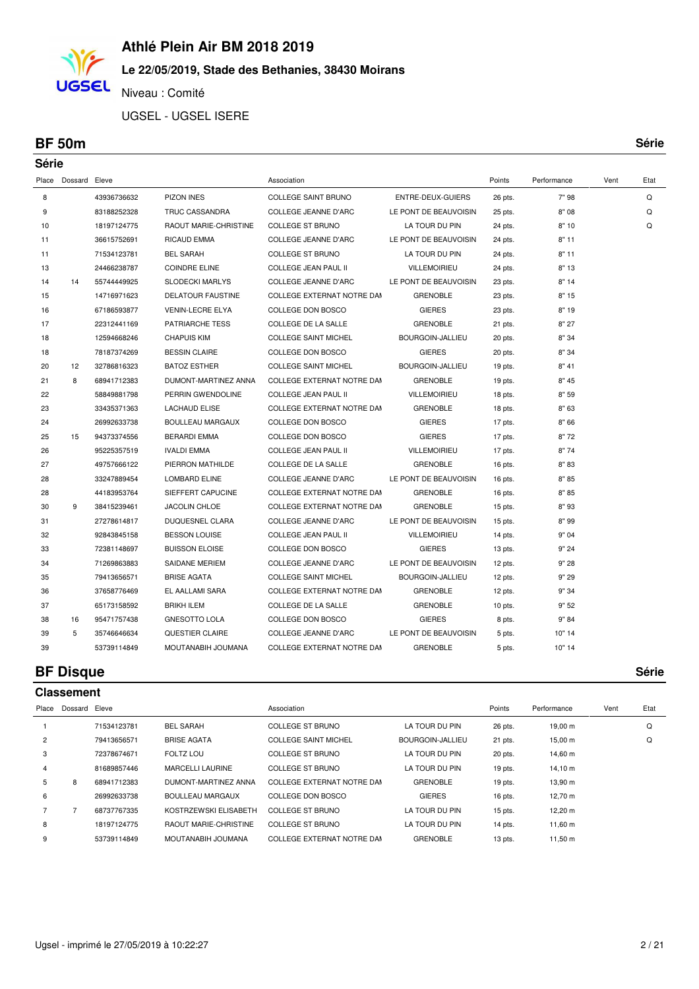# **Le 22/05/2019, Stade des Bethanies, 38430 Moirans**

Niveau : Comité

UGSEL - UGSEL ISERE

#### **BF 50m Série**

**UGSEL** 

| Série |                     |             |                              |                             |                       |           |             |      |      |
|-------|---------------------|-------------|------------------------------|-----------------------------|-----------------------|-----------|-------------|------|------|
|       | Place Dossard Eleve |             |                              | Association                 |                       | Points    | Performance | Vent | Etat |
| 8     |                     | 43936736632 | <b>PIZON INES</b>            | <b>COLLEGE SAINT BRUNO</b>  | ENTRE-DEUX-GUIERS     | 26 pts.   | 7"98        |      | Q    |
| 9     |                     | 83188252328 | TRUC CASSANDRA               | COLLEGE JEANNE D'ARC        | LE PONT DE BEAUVOISIN | 25 pts.   | 8" 08       |      | Q    |
| 10    |                     | 18197124775 | <b>RAOUT MARIE-CHRISTINE</b> | COLLEGE ST BRUNO            | LA TOUR DU PIN        | 24 pts.   | 8"10        |      | Q    |
| 11    |                     | 36615752691 | <b>RICAUD EMMA</b>           | <b>COLLEGE JEANNE D'ARC</b> | LE PONT DE BEAUVOISIN | 24 pts.   | 8"11        |      |      |
| 11    |                     | 71534123781 | <b>BEL SARAH</b>             | COLLEGE ST BRUNO            | LA TOUR DU PIN        | 24 pts.   | 8"11        |      |      |
| 13    |                     | 24466238787 | <b>COINDRE ELINE</b>         | COLLEGE JEAN PAUL II        | <b>VILLEMOIRIEU</b>   | 24 pts.   | 8"13        |      |      |
| 14    | 14                  | 55744449925 | <b>SLODECKI MARLYS</b>       | <b>COLLEGE JEANNE D'ARC</b> | LE PONT DE BEAUVOISIN | 23 pts.   | 8"14        |      |      |
| 15    |                     | 14716971623 | <b>DELATOUR FAUSTINE</b>     | COLLEGE EXTERNAT NOTRE DAM  | <b>GRENOBLE</b>       | 23 pts.   | 8"15        |      |      |
| 16    |                     | 67186593877 | <b>VENIN-LECRE ELYA</b>      | COLLEGE DON BOSCO           | <b>GIERES</b>         | 23 pts.   | 8" 19       |      |      |
| 17    |                     | 22312441169 | <b>PATRIARCHE TESS</b>       | COLLEGE DE LA SALLE         | <b>GRENOBLE</b>       | 21 pts.   | 8" 27       |      |      |
| 18    |                     | 12594668246 | <b>CHAPUIS KIM</b>           | <b>COLLEGE SAINT MICHEL</b> | BOURGOIN-JALLIEU      | 20 pts.   | 8" 34       |      |      |
| 18    |                     | 78187374269 | <b>BESSIN CLAIRE</b>         | COLLEGE DON BOSCO           | <b>GIERES</b>         | 20 pts.   | 8" 34       |      |      |
| 20    | 12                  | 32786816323 | <b>BATOZ ESTHER</b>          | <b>COLLEGE SAINT MICHEL</b> | BOURGOIN-JALLIEU      | 19 pts.   | 8" 41       |      |      |
| 21    | 8                   | 68941712383 | DUMONT-MARTINEZ ANNA         | COLLEGE EXTERNAT NOTRE DAM  | <b>GRENOBLE</b>       | 19 pts.   | 8" 45       |      |      |
| 22    |                     | 58849881798 | PERRIN GWENDOLINE            | <b>COLLEGE JEAN PAUL II</b> | <b>VILLEMOIRIEU</b>   | 18 pts.   | 8" 59       |      |      |
| 23    |                     | 33435371363 | <b>LACHAUD ELISE</b>         | COLLEGE EXTERNAT NOTRE DAM  | <b>GRENOBLE</b>       | 18 pts.   | 8" 63       |      |      |
| 24    |                     | 26992633738 | <b>BOULLEAU MARGAUX</b>      | COLLEGE DON BOSCO           | <b>GIERES</b>         | 17 pts.   | 8" 66       |      |      |
| 25    | 15                  | 94373374556 | <b>BERARDI EMMA</b>          | COLLEGE DON BOSCO           | <b>GIERES</b>         | 17 pts.   | 8"72        |      |      |
| 26    |                     | 95225357519 | <b>IVALDI EMMA</b>           | COLLEGE JEAN PAUL II        | <b>VILLEMOIRIEU</b>   | 17 pts.   | 8"74        |      |      |
| 27    |                     | 49757666122 | PIERRON MATHILDE             | COLLEGE DE LA SALLE         | <b>GRENOBLE</b>       | 16 pts.   | 8"83        |      |      |
| 28    |                     | 33247889454 | LOMBARD ELINE                | <b>COLLEGE JEANNE D'ARC</b> | LE PONT DE BEAUVOISIN | 16 pts.   | 8"85        |      |      |
| 28    |                     | 44183953764 | SIEFFERT CAPUCINE            | COLLEGE EXTERNAT NOTRE DAM  | <b>GRENOBLE</b>       | 16 pts.   | 8"85        |      |      |
| 30    | 9                   | 38415239461 | JACOLIN CHLOE                | COLLEGE EXTERNAT NOTRE DAM  | <b>GRENOBLE</b>       | 15 pts.   | 8"93        |      |      |
| 31    |                     | 27278614817 | DUQUESNEL CLARA              | COLLEGE JEANNE D'ARC        | LE PONT DE BEAUVOISIN | 15 pts.   | 8"99        |      |      |
| 32    |                     | 92843845158 | <b>BESSON LOUISE</b>         | COLLEGE JEAN PAUL II        | <b>VILLEMOIRIEU</b>   | 14 pts.   | 9" 04       |      |      |
| 33    |                     | 72381148697 | <b>BUISSON ELOISE</b>        | COLLEGE DON BOSCO           | <b>GIERES</b>         | 13 pts.   | 9" 24       |      |      |
| 34    |                     | 71269863883 | <b>SAIDANE MERIEM</b>        | COLLEGE JEANNE D'ARC        | LE PONT DE BEAUVOISIN | 12 pts.   | 9" 28       |      |      |
| 35    |                     | 79413656571 | <b>BRISE AGATA</b>           | <b>COLLEGE SAINT MICHEL</b> | BOURGOIN-JALLIEU      | 12 pts.   | 9" 29       |      |      |
| 36    |                     | 37658776469 | EL AALLAMI SARA              | COLLEGE EXTERNAT NOTRE DAM  | <b>GRENOBLE</b>       | 12 pts.   | 9" 34       |      |      |
| 37    |                     | 65173158592 | <b>BRIKH ILEM</b>            | COLLEGE DE LA SALLE         | <b>GRENOBLE</b>       | $10$ pts. | 9"52        |      |      |
| 38    | 16                  | 95471757438 | <b>GNESOTTO LOLA</b>         | COLLEGE DON BOSCO           | <b>GIERES</b>         | 8 pts.    | 9" 84       |      |      |
| 39    | 5                   | 35746646634 | QUESTIER CLAIRE              | COLLEGE JEANNE D'ARC        | LE PONT DE BEAUVOISIN | 5 pts.    | 10" 14      |      |      |
| 39    |                     | 53739114849 | MOUTANABIH JOUMANA           | COLLEGE EXTERNAT NOTRE DAM  | <b>GRENOBLE</b>       | 5 pts.    | 10" 14      |      |      |
|       |                     |             |                              |                             |                       |           |             |      |      |

### **BF Disque Série**

|                | <b>Classement</b> |             |                              |                             |                  |           |              |      |      |  |  |
|----------------|-------------------|-------------|------------------------------|-----------------------------|------------------|-----------|--------------|------|------|--|--|
| Place          | Dossard Eleve     |             |                              | Association                 |                  | Points    | Performance  | Vent | Etat |  |  |
|                |                   | 71534123781 | <b>BEL SARAH</b>             | <b>COLLEGE ST BRUNO</b>     | LA TOUR DU PIN   | 26 pts.   | 19,00 m      |      | Q    |  |  |
| $\overline{2}$ |                   | 79413656571 | <b>BRISE AGATA</b>           | <b>COLLEGE SAINT MICHEL</b> | BOURGOIN-JALLIEU | 21 pts.   | $15,00 \; m$ |      | Q    |  |  |
| 3              |                   | 72378674671 | <b>FOLTZ LOU</b>             | <b>COLLEGE ST BRUNO</b>     | LA TOUR DU PIN   | 20 pts.   | 14,60 m      |      |      |  |  |
| 4              |                   | 81689857446 | <b>MARCELLI LAURINE</b>      | <b>COLLEGE ST BRUNO</b>     | LA TOUR DU PIN   | $19$ pts. | 14,10 m      |      |      |  |  |
| 5              | 8                 | 68941712383 | DUMONT-MARTINEZ ANNA         | COLLEGE EXTERNAT NOTRE DAM  | <b>GRENOBLE</b>  | $19$ pts. | 13,90 m      |      |      |  |  |
| 6              |                   | 26992633738 | BOULLEAU MARGAUX             | COLLEGE DON BOSCO           | <b>GIERES</b>    | 16 pts.   | 12,70 m      |      |      |  |  |
|                |                   | 68737767335 | KOSTRZEWSKI ELISABETH        | COLLEGE ST BRUNO            | LA TOUR DU PIN   | $15$ pts. | 12,20 m      |      |      |  |  |
| 8              |                   | 18197124775 | <b>RAOUT MARIE-CHRISTINE</b> | <b>COLLEGE ST BRUNO</b>     | LA TOUR DU PIN   | 14 pts.   | $11,60 \; m$ |      |      |  |  |
| 9              |                   | 53739114849 | MOUTANABIH JOUMANA           | COLLEGE EXTERNAT NOTRE DAM  | <b>GRENOBLE</b>  | $13$ pts. | $11,50 \; m$ |      |      |  |  |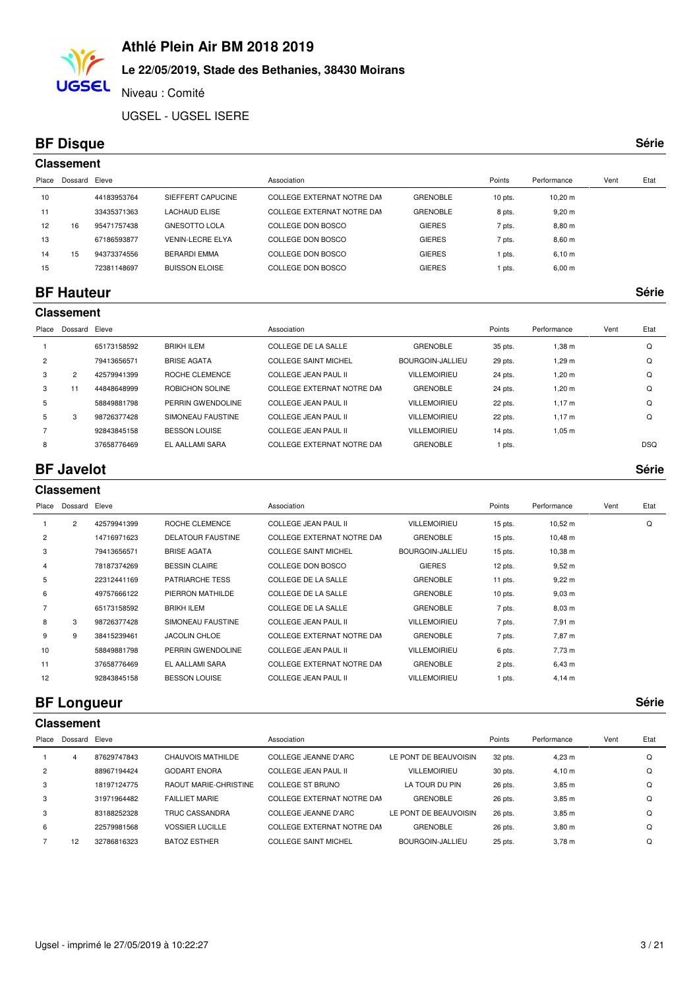# **Le 22/05/2019, Stade des Bethanies, 38430 Moirans**

Niveau : Comité

UGSEL - UGSEL ISERE

### **BF Disque Série**

**UGSEL** 

|       | <b>Classement</b> |             |                         |                            |                 |           |                    |      |      |  |  |  |
|-------|-------------------|-------------|-------------------------|----------------------------|-----------------|-----------|--------------------|------|------|--|--|--|
| Place | Dossard Eleve     |             |                         | Association                |                 | Points    | Performance        | Vent | Etat |  |  |  |
| 10    |                   | 44183953764 | SIEFFERT CAPUCINE       | COLLEGE EXTERNAT NOTRE DAM | <b>GRENOBLE</b> | $10$ pts. | $10,20 \text{ m}$  |      |      |  |  |  |
| 11    |                   | 33435371363 | <b>LACHAUD ELISE</b>    | COLLEGE EXTERNAT NOTRE DAM | <b>GRENOBLE</b> | 8 pts.    | $9,20 \; \text{m}$ |      |      |  |  |  |
| 12    | 16                | 95471757438 | <b>GNESOTTO LOLA</b>    | COLLEGE DON BOSCO          | <b>GIERES</b>   | 7 pts.    | $8,80 \; \text{m}$ |      |      |  |  |  |
| 13    |                   | 67186593877 | <b>VENIN-LECRE ELYA</b> | COLLEGE DON BOSCO          | <b>GIERES</b>   | 7 pts.    | $8,60 \; m$        |      |      |  |  |  |
| 14    | 15                | 94373374556 | <b>BERARDI EMMA</b>     | COLLEGE DON BOSCO          | <b>GIERES</b>   | pts.      | 6,10 m             |      |      |  |  |  |
| 15    |                   | 72381148697 | <b>BUISSON ELOISE</b>   | COLLEGE DON BOSCO          | <b>GIERES</b>   | pts.      | $6,00 \; \text{m}$ |      |      |  |  |  |
|       |                   |             |                         |                            |                 |           |                    |      |      |  |  |  |

#### **BF Hauteur Série**

#### **Classement**

| Place          | Dossard        | Eleve       |                      | Association                 |                     | Points  | Performance | Vent | Etat       |
|----------------|----------------|-------------|----------------------|-----------------------------|---------------------|---------|-------------|------|------------|
|                |                | 65173158592 | <b>BRIKH ILEM</b>    | COLLEGE DE LA SALLE         | <b>GRENOBLE</b>     | 35 pts. | 1.38 m      |      | Q          |
| $\overline{c}$ |                | 79413656571 | <b>BRISE AGATA</b>   | <b>COLLEGE SAINT MICHEL</b> | BOURGOIN-JALLIEU    | 29 pts. | 1.29 m      |      | Q          |
| 3              | $\overline{2}$ | 42579941399 | ROCHE CLEMENCE       | COLLEGE JEAN PAUL II        | <b>VILLEMOIRIEU</b> | 24 pts. | 1.20 m      |      | Q          |
| 3              |                | 44848648999 | ROBICHON SOLINE      | COLLEGE EXTERNAT NOTRE DAM  | <b>GRENOBLE</b>     | 24 pts. | 1.20 m      |      | Q          |
| 5              |                | 58849881798 | PERRIN GWENDOLINE    | COLLEGE JEAN PAUL II        | <b>VILLEMOIRIEU</b> | 22 pts. | 1.17 m      |      | Q          |
| 5              | 3              | 98726377428 | SIMONEAU FAUSTINE    | COLLEGE JEAN PAUL II        | <b>VILLEMOIRIEU</b> | 22 pts. | 1.17 m      |      | Q          |
|                |                | 92843845158 | <b>BESSON LOUISE</b> | COLLEGE JEAN PAUL II        | <b>VILLEMOIRIEU</b> | 14 pts. | 1.05 m      |      |            |
| 8              |                | 37658776469 | EL AALLAMI SARA      | COLLEGE EXTERNAT NOTRE DAM  | <b>GRENOBLE</b>     | pts.    |             |      | <b>DSQ</b> |

#### **BF Javelot Série**

|                | <b>Classement</b> |             |                          |                             |                     |           |              |      |      |  |  |
|----------------|-------------------|-------------|--------------------------|-----------------------------|---------------------|-----------|--------------|------|------|--|--|
| Place          | Dossard Eleve     |             |                          | Association                 |                     | Points    | Performance  | Vent | Etat |  |  |
|                | $\overline{2}$    | 42579941399 | ROCHE CLEMENCE           | <b>COLLEGE JEAN PAUL II</b> | <b>VILLEMOIRIEU</b> | 15 pts.   | $10,52 \; m$ |      | Q    |  |  |
| $\overline{2}$ |                   | 14716971623 | <b>DELATOUR FAUSTINE</b> | COLLEGE EXTERNAT NOTRE DAM  | <b>GRENOBLE</b>     | 15 pts.   | $10,48 \; m$ |      |      |  |  |
| 3              |                   | 79413656571 | <b>BRISE AGATA</b>       | <b>COLLEGE SAINT MICHEL</b> | BOURGOIN-JALLIEU    | 15 pts.   | 10,38 m      |      |      |  |  |
| 4              |                   | 78187374269 | <b>BESSIN CLAIRE</b>     | COLLEGE DON BOSCO           | <b>GIERES</b>       | 12 pts.   | $9,52 \; m$  |      |      |  |  |
| 5              |                   | 22312441169 | <b>PATRIARCHE TESS</b>   | <b>COLLEGE DE LA SALLE</b>  | <b>GRENOBLE</b>     | 11 pts.   | $9,22 \, m$  |      |      |  |  |
| 6              |                   | 49757666122 | PIERRON MATHILDE         | <b>COLLEGE DE LA SALLE</b>  | <b>GRENOBLE</b>     | $10$ pts. | $9,03 \, m$  |      |      |  |  |
|                |                   | 65173158592 | <b>BRIKH ILEM</b>        | <b>COLLEGE DE LA SALLE</b>  | <b>GRENOBLE</b>     | 7 pts.    | $8,03 \; m$  |      |      |  |  |
| 8              | 3                 | 98726377428 | SIMONEAU FAUSTINE        | <b>COLLEGE JEAN PAUL II</b> | <b>VILLEMOIRIEU</b> | 7 pts.    | 7,91 m       |      |      |  |  |
| 9              | 9                 | 38415239461 | <b>JACOLIN CHLOE</b>     | COLLEGE EXTERNAT NOTRE DAM  | <b>GRENOBLE</b>     | 7 pts.    | 7,87 m       |      |      |  |  |
| 10             |                   | 58849881798 | PERRIN GWENDOLINE        | <b>COLLEGE JEAN PAUL II</b> | <b>VILLEMOIRIEU</b> | 6 pts.    | 7,73 m       |      |      |  |  |
| 11             |                   | 37658776469 | EL AALLAMI SARA          | COLLEGE EXTERNAT NOTRE DAM  | <b>GRENOBLE</b>     | 2 pts.    | $6,43 \; m$  |      |      |  |  |
| 12             |                   | 92843845158 | <b>BESSON LOUISE</b>     | <b>COLLEGE JEAN PAUL II</b> | <b>VILLEMOIRIEU</b> | 1 pts.    | $4,14 \, m$  |      |      |  |  |
|                |                   |             |                          |                             |                     |           |              |      |      |  |  |

#### **BF Longueur Série**

#### **Classement**

| Place | Dossard Eleve |             |                              | Association                |                       | Points  | Performance       | Vent | Etat |
|-------|---------------|-------------|------------------------------|----------------------------|-----------------------|---------|-------------------|------|------|
|       | 4             | 87629747843 | CHAUVOIS MATHILDE            | COLLEGE JEANNE D'ARC       | LE PONT DE BEAUVOISIN | 32 pts. | 4.23 m            |      |      |
| 2     |               | 88967194424 | <b>GODART ENORA</b>          | COLLEGE JEAN PAUL II       | <b>VILLEMOIRIEU</b>   | 30 pts. | 4.10 m            |      | Q    |
| 3     |               | 18197124775 | <b>RAOUT MARIE-CHRISTINE</b> | COLLEGE ST BRUNO           | LA TOUR DU PIN        | 26 pts. | $3,85 \; m$       |      | ი    |
| 3     |               | 31971964482 | <b>FAILLIET MARIE</b>        | COLLEGE EXTERNAT NOTRE DAM | <b>GRENOBLE</b>       | 26 pts. | $3,85 \; m$       |      | Q    |
| 3     |               | 83188252328 | TRUC CASSANDRA               | COLLEGE JEANNE D'ARC       | LE PONT DE BEAUVOISIN | 26 pts. | $3,85 \; m$       |      | ი    |
| 6     |               | 22579981568 | <b>VOSSIER LUCILLE</b>       | COLLEGE EXTERNAT NOTRE DAM | <b>GRENOBLE</b>       | 26 pts. | 3.80 <sub>m</sub> |      | ი    |
|       | 12            | 32786816323 | <b>BATOZ ESTHER</b>          | COLLEGE SAINT MICHEL       | BOURGOIN-JALLIEU      | 25 pts. | 3.78 m            |      |      |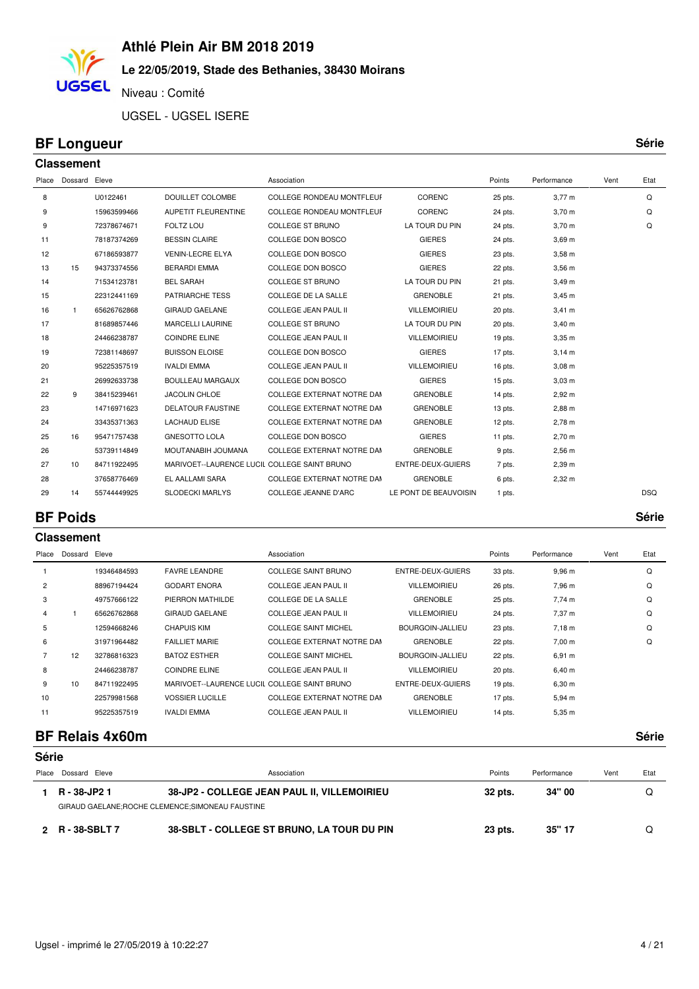#### **Le 22/05/2019, Stade des Bethanies, 38430 Moirans**

Niveau : Comité

UGSEL - UGSEL ISERE

#### **BF Longueur Série**

**UGSEL** 

**Classement**

| Place | Dossard Eleve |             |                                              | Association                      |                       | Points    | Performance | Vent | Etat       |
|-------|---------------|-------------|----------------------------------------------|----------------------------------|-----------------------|-----------|-------------|------|------------|
| 8     |               | U0122461    | <b>DOUILLET COLOMBE</b>                      | COLLEGE RONDEAU MONTFLEUF        | CORENC                | 25 pts.   | $3,77 \, m$ |      | Q          |
| 9     |               | 15963599466 | <b>AUPETIT FLEURENTINE</b>                   | <b>COLLEGE RONDEAU MONTFLEUF</b> | CORENC                | 24 pts.   | $3,70 \; m$ |      | Q          |
| 9     |               | 72378674671 | FOLTZ LOU                                    | <b>COLLEGE ST BRUNO</b>          | LA TOUR DU PIN        | 24 pts.   | $3,70 \; m$ |      | Q          |
| 11    |               | 78187374269 | <b>BESSIN CLAIRE</b>                         | COLLEGE DON BOSCO                | <b>GIERES</b>         | 24 pts.   | $3,69$ m    |      |            |
| 12    |               | 67186593877 | <b>VENIN-LECRE ELYA</b>                      | COLLEGE DON BOSCO                | <b>GIERES</b>         | 23 pts.   | $3,58$ m    |      |            |
| 13    | 15            | 94373374556 | <b>BERARDI EMMA</b>                          | COLLEGE DON BOSCO                | <b>GIERES</b>         | 22 pts.   | $3,56$ m    |      |            |
| 14    |               | 71534123781 | <b>BEL SARAH</b>                             | <b>COLLEGE ST BRUNO</b>          | LA TOUR DU PIN        | 21 pts.   | $3,49 \; m$ |      |            |
| 15    |               | 22312441169 | <b>PATRIARCHE TESS</b>                       | COLLEGE DE LA SALLE              | <b>GRENOBLE</b>       | 21 pts.   | $3,45 \; m$ |      |            |
| 16    | $\mathbf{1}$  | 65626762868 | <b>GIRAUD GAELANE</b>                        | <b>COLLEGE JEAN PAUL II</b>      | <b>VILLEMOIRIEU</b>   | 20 pts.   | $3,41 \; m$ |      |            |
| 17    |               | 81689857446 | <b>MARCELLI LAURINE</b>                      | <b>COLLEGE ST BRUNO</b>          | LA TOUR DU PIN        | 20 pts.   | $3,40 \; m$ |      |            |
| 18    |               | 24466238787 | <b>COINDRE ELINE</b>                         | <b>COLLEGE JEAN PAUL II</b>      | <b>VILLEMOIRIEU</b>   | 19 pts.   | $3,35$ m    |      |            |
| 19    |               | 72381148697 | <b>BUISSON ELOISE</b>                        | COLLEGE DON BOSCO                | <b>GIERES</b>         | 17 pts.   | 3,14 m      |      |            |
| 20    |               | 95225357519 | <b>IVALDI EMMA</b>                           | <b>COLLEGE JEAN PAUL II</b>      | <b>VILLEMOIRIEU</b>   | 16 pts.   | $3,08 \, m$ |      |            |
| 21    |               | 26992633738 | <b>BOULLEAU MARGAUX</b>                      | COLLEGE DON BOSCO                | <b>GIERES</b>         | 15 pts.   | $3,03 \, m$ |      |            |
| 22    | 9             | 38415239461 | <b>JACOLIN CHLOE</b>                         | COLLEGE EXTERNAT NOTRE DAM       | <b>GRENOBLE</b>       | 14 pts.   | $2,92 \, m$ |      |            |
| 23    |               | 14716971623 | <b>DELATOUR FAUSTINE</b>                     | COLLEGE EXTERNAT NOTRE DAM       | <b>GRENOBLE</b>       | $13$ pts. | 2,88 m      |      |            |
| 24    |               | 33435371363 | <b>LACHAUD ELISE</b>                         | COLLEGE EXTERNAT NOTRE DAM       | <b>GRENOBLE</b>       | $12$ pts. | 2,78 m      |      |            |
| 25    | 16            | 95471757438 | <b>GNESOTTO LOLA</b>                         | COLLEGE DON BOSCO                | <b>GIERES</b>         | 11 pts.   | $2,70 \; m$ |      |            |
| 26    |               | 53739114849 | MOUTANABIH JOUMANA                           | COLLEGE EXTERNAT NOTRE DAM       | <b>GRENOBLE</b>       | 9 pts.    | $2,56 \, m$ |      |            |
| 27    | 10            | 84711922495 | MARIVOET--LAURENCE LUCIL COLLEGE SAINT BRUNO |                                  | ENTRE-DEUX-GUIERS     | 7 pts.    | 2,39 m      |      |            |
| 28    |               | 37658776469 | EL AALLAMI SARA                              | COLLEGE EXTERNAT NOTRE DAM       | <b>GRENOBLE</b>       | 6 pts.    | $2,32 \, m$ |      |            |
| 29    | 14            | 55744449925 | <b>SLODECKI MARLYS</b>                       | <b>COLLEGE JEANNE D'ARC</b>      | LE PONT DE BEAUVOISIN | 1 pts.    |             |      | <b>DSQ</b> |
|       |               |             |                                              |                                  |                       |           |             |      |            |

#### **BF Poids Série**

**Classement** Place Dossard Eleve **Association** Association **Association** Association **Association Points** Performance Vent Etat 19346484593 FAVRE LEANDRE COLLEGE SAINT BRUNO ENTRE-DEUX-GUIERS 33 pts. 9,96 m Q 88967194424 GODART ENORA COLLEGE JEAN PAUL II VILLEMOIRIEU 26 pts. 7,96 m Q 49757666122 PIERRON MATHILDE COLLEGE DE LA SALLE GRENOBLE 25 pts. 7,74 m Q 1 65626762868 GIRAUD GAELANE COLLEGE JEAN PAUL II VILLEMOIRIEU 24 pts. 7,37 m Q 12594668246 CHAPUIS KIM COLLEGE SAINT MICHEL BOURGOIN-JALLIEU 23 pts. 7,18 m Q 31971964482 FAILLIET MARIE COLLEGE EXTERNAT NOTRE DAME GRENOBLE 22 pts. 7,00 m Q 7 12 32786816323 BATOZ ESTHER COLLEGE SAINT MICHEL BOURGOIN-JALLIEU 22 pts. 6,91 m 8 24466238787 COINDRE ELINE COLLEGE JEAN PAUL II VILLEMOIRIEU 20 pts. 6,40 m 9 10 84711922495 MARIVOET--LAURENCE LUCIL COLLEGE SAINT BRUNO ENTRE-DEUX-GUIERS 19 pts. 6,30 m 22579981568 VOSSIER LUCILLE COLLEGE EXTERNAT NOTRE DAME GRENOBLE 5,94 m 17 pts. 11 95225357519 IVALDI EMMA COLLEGE JEAN PAUL II VILLEMOIRIEU 14 pts. 5,35 m

#### **BF Relais 4x60m Série**

| Série |                                                             |                                            |         |             |      |      |  |  |  |  |
|-------|-------------------------------------------------------------|--------------------------------------------|---------|-------------|------|------|--|--|--|--|
| Place | Dossard Eleve                                               | Association                                | Points  | Performance | Vent | Etat |  |  |  |  |
|       | 38-JP2 - COLLEGE JEAN PAUL II, VILLEMOIRIEU<br>R - 38-JP2 1 |                                            | 32 pts. | 34" 00      |      |      |  |  |  |  |
|       | GIRAUD GAELANE; ROCHE CLEMENCE; SIMONEAU FAUSTINE           |                                            |         |             |      |      |  |  |  |  |
|       | 2 R-38-SBLT 7                                               | 38-SBLT - COLLEGE ST BRUNO, LA TOUR DU PIN | 23 pts. | 35" 17      |      |      |  |  |  |  |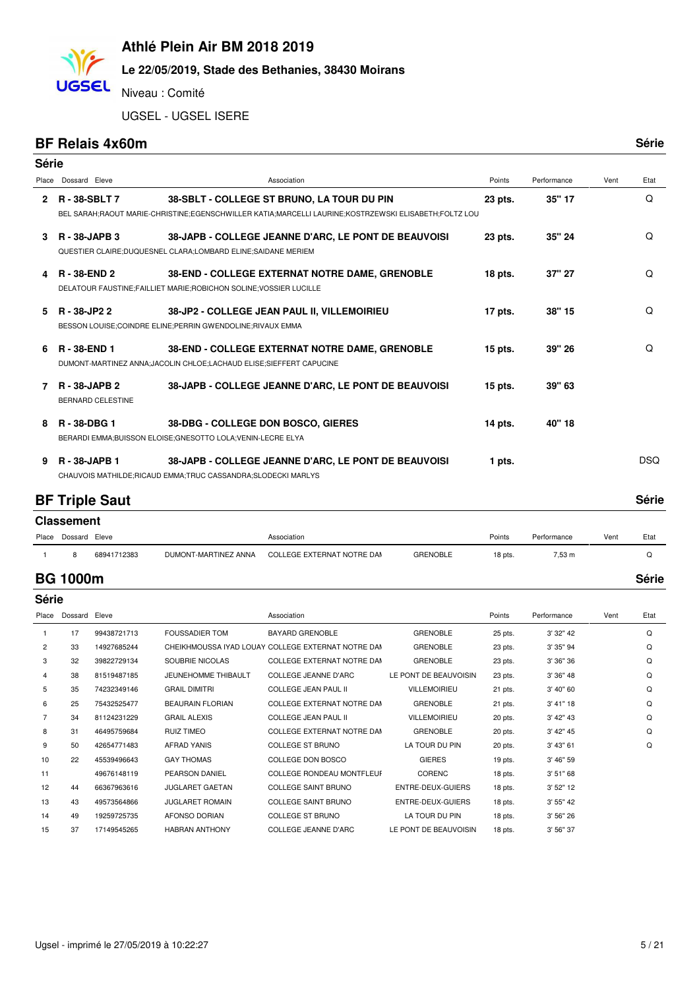

#### **Le 22/05/2019, Stade des Bethanies, 38430 Moirans**

Niveau : Comité

UGSEL - UGSEL ISERE

#### **BF Relais 4x60m**

**UGSEL** 

| ۰,<br>۰. | ۰. |
|----------|----|

| Série |                                                  |                                                                                                                                                    |           |             |      |            |
|-------|--------------------------------------------------|----------------------------------------------------------------------------------------------------------------------------------------------------|-----------|-------------|------|------------|
| Place | Dossard Eleve                                    | Association                                                                                                                                        | Points    | Performance | Vent | Etat       |
| 2     | R-38-SBLT7                                       | 38-SBLT - COLLEGE ST BRUNO, LA TOUR DU PIN<br>BEL SARAH;RAOUT MARIE-CHRISTINE;EGENSCHWILLER KATIA;MARCELLI LAURINE;KOSTRZEWSKI ELISABETH;FOLTZ LOU | 23 pts.   | 35" 17      |      | Q          |
| 3     | <b>R</b> - 38-JAPB 3                             | 38-JAPB - COLLEGE JEANNE D'ARC, LE PONT DE BEAUVOISI<br>QUESTIER CLAIRE; DUQUESNEL CLARA; LOMBARD ELINE; SAIDANE MERIEM                            | 23 pts.   | 35" 24      |      | Q          |
| 4     | <b>R</b> - 38-END 2                              | 38-END - COLLEGE EXTERNAT NOTRE DAME, GRENOBLE<br>DELATOUR FAUSTINE;FAILLIET MARIE;ROBICHON SOLINE;VOSSIER LUCILLE                                 | 18 pts.   | 37" 27      |      | Q          |
| 5     | R - 38-JP2 2                                     | 38-JP2 - COLLEGE JEAN PAUL II, VILLEMOIRIEU<br>BESSON LOUISE;COINDRE ELINE;PERRIN GWENDOLINE;RIVAUX EMMA                                           | 17 pts.   | 38" 15      |      | Q          |
| 6     | R - 38-END 1                                     | 38-END - COLLEGE EXTERNAT NOTRE DAME, GRENOBLE<br>DUMONT-MARTINEZ ANNA; JACOLIN CHLOE; LACHAUD ELISE; SIEFFERT CAPUCINE                            | $15$ pts. | 39" 26      |      | Q          |
| 7     | <b>R</b> - 38-JAPB 2<br><b>BERNARD CELESTINE</b> | 38-JAPB - COLLEGE JEANNE D'ARC, LE PONT DE BEAUVOISI                                                                                               | 15 pts.   | 39" 63      |      |            |
| 8     | R-38-DBG1                                        | 38-DBG - COLLEGE DON BOSCO, GIERES<br>BERARDI EMMA;BUISSON ELOISE;GNESOTTO LOLA;VENIN-LECRE ELYA                                                   | 14 pts.   | 40" 18      |      |            |
| 9     | R - 38-JAPB 1                                    | 38-JAPB - COLLEGE JEANNE D'ARC, LE PONT DE BEAUVOISI<br>CHAUVOIS MATHILDE; RICAUD EMMA; TRUC CASSANDRA; SLODECKI MARLYS                            | 1 pts.    |             |      | <b>DSQ</b> |

#### **BF Triple Saut** Série

|       | <b>Classement</b> |             |                      |                            |                 |         |             |       |      |  |  |  |
|-------|-------------------|-------------|----------------------|----------------------------|-----------------|---------|-------------|-------|------|--|--|--|
| Place | Dossard Eleve     |             |                      | Association                |                 | Points  | Performance | Vent  | Etat |  |  |  |
|       | 8                 | 68941712383 | DUMONT-MARTINEZ ANNA | COLLEGE EXTERNAT NOTRE DAN | <b>GRENOBLE</b> | 18 pts. | 7,53 m      |       |      |  |  |  |
|       | <b>BG 1000m</b>   |             |                      |                            |                 |         |             | Série |      |  |  |  |

| <b>Série</b>   |         |             |                         |                                                    |                       |         |             |      |      |  |  |
|----------------|---------|-------------|-------------------------|----------------------------------------------------|-----------------------|---------|-------------|------|------|--|--|
| Place          | Dossard | Eleve       |                         | Association                                        |                       | Points  | Performance | Vent | Etat |  |  |
|                | 17      | 99438721713 | <b>FOUSSADIER TOM</b>   | <b>BAYARD GRENOBLE</b>                             | <b>GRENOBLE</b>       | 25 pts. | 3' 32" 42   |      | Q    |  |  |
| $\overline{2}$ | 33      | 14927685244 |                         | CHEIKHMOUSSA IYAD LOUAY COLLEGE EXTERNAT NOTRE DAM | <b>GRENOBLE</b>       | 23 pts. | 3' 35" 94   |      | Q    |  |  |
| 3              | 32      | 39822729134 | SOUBRIE NICOLAS         | <b>COLLEGE EXTERNAT NOTRE DAM</b>                  | <b>GRENOBLE</b>       | 23 pts. | 3' 36" 36   |      | Q    |  |  |
| 4              | 38      | 81519487185 | JEUNEHOMME THIBAULT     | COLLEGE JEANNE D'ARC                               | LE PONT DE BEAUVOISIN | 23 pts. | 3' 36" 48   |      | Q    |  |  |
| 5              | 35      | 74232349146 | <b>GRAIL DIMITRI</b>    | <b>COLLEGE JEAN PAUL II</b>                        | <b>VILLEMOIRIEU</b>   | 21 pts. | 3' 40" 60   |      | Q    |  |  |
| 6              | 25      | 75432525477 | <b>BEAURAIN FLORIAN</b> | <b>COLLEGE EXTERNAT NOTRE DAM</b>                  | <b>GRENOBLE</b>       | 21 pts. | 3' 41" 18   |      | Q    |  |  |
|                | 34      | 81124231229 | <b>GRAIL ALEXIS</b>     | <b>COLLEGE JEAN PAUL II</b>                        | <b>VILLEMOIRIEU</b>   | 20 pts. | 3' 42" 43   |      | Q    |  |  |
| 8              | 31      | 46495759684 | <b>RUIZ TIMEO</b>       | COLLEGE EXTERNAT NOTRE DAM                         | <b>GRENOBLE</b>       | 20 pts. | 3' 42" 45   |      | Q    |  |  |
| 9              | 50      | 42654771483 | <b>AFRAD YANIS</b>      | <b>COLLEGE ST BRUNO</b>                            | LA TOUR DU PIN        | 20 pts. | 3' 43" 61   |      | Q    |  |  |
| 10             | 22      | 45539496643 | <b>GAY THOMAS</b>       | COLLEGE DON BOSCO                                  | <b>GIERES</b>         | 19 pts. | 3' 46" 59   |      |      |  |  |
| 11             |         | 49676148119 | PEARSON DANIEL          | <b>COLLEGE RONDEAU MONTFLEUF</b>                   | CORENC                | 18 pts. | 3' 51" 68   |      |      |  |  |
| 12             | 44      | 66367963616 | <b>JUGLARET GAETAN</b>  | <b>COLLEGE SAINT BRUNO</b>                         | ENTRE-DEUX-GUIERS     | 18 pts. | 3' 52" 12   |      |      |  |  |
| 13             | 43      | 49573564866 | <b>JUGLARET ROMAIN</b>  | <b>COLLEGE SAINT BRUNO</b>                         | ENTRE-DEUX-GUIERS     | 18 pts. | 3' 55" 42   |      |      |  |  |
| 14             | 49      | 19259725735 | <b>AFONSO DORIAN</b>    | <b>COLLEGE ST BRUNO</b>                            | LA TOUR DU PIN        | 18 pts. | 3' 56" 26   |      |      |  |  |

15 37 17149545265 HABRAN ANTHONY COLLEGE JEANNE D'ARC LE PONT DE BEAUVOISIN 18 pts. 3' 56" 37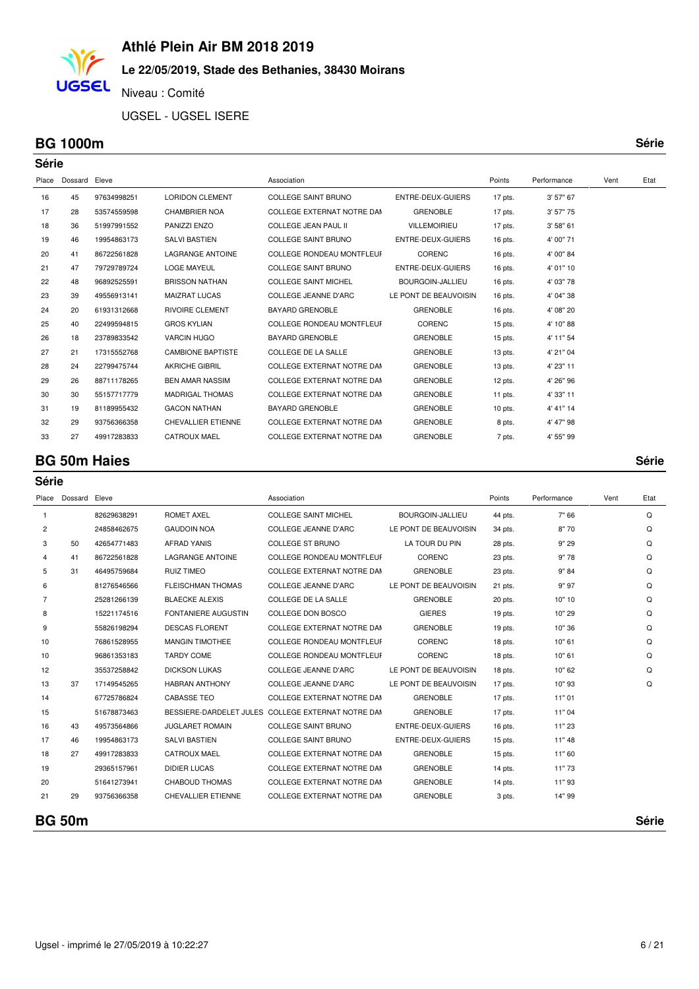### **Le 22/05/2019, Stade des Bethanies, 38430 Moirans**

Niveau : Comité

UGSEL - UGSEL ISERE

#### **BG 1000m Série**

**UGSEL** 

|       | Série         |             |                           |                                  |                       |           |             |      |      |  |  |
|-------|---------------|-------------|---------------------------|----------------------------------|-----------------------|-----------|-------------|------|------|--|--|
| Place | Dossard Eleve |             |                           | Association                      |                       | Points    | Performance | Vent | Etat |  |  |
| 16    | 45            | 97634998251 | <b>LORIDON CLEMENT</b>    | <b>COLLEGE SAINT BRUNO</b>       | ENTRE-DEUX-GUIERS     | 17 pts.   | 3' 57" 67   |      |      |  |  |
| 17    | 28            | 53574559598 | <b>CHAMBRIER NOA</b>      | COLLEGE EXTERNAT NOTRE DAM       | <b>GRENOBLE</b>       | 17 pts.   | 3' 57" 75   |      |      |  |  |
| 18    | 36            | 51997991552 | PANIZZI ENZO              | <b>COLLEGE JEAN PAUL II</b>      | <b>VILLEMOIRIEU</b>   | 17 pts.   | 3' 58" 61   |      |      |  |  |
| 19    | 46            | 19954863173 | <b>SALVI BASTIEN</b>      | <b>COLLEGE SAINT BRUNO</b>       | ENTRE-DEUX-GUIERS     | 16 pts.   | 4' 00" 71   |      |      |  |  |
| 20    | 41            | 86722561828 | <b>LAGRANGE ANTOINE</b>   | <b>COLLEGE RONDEAU MONTFLEUF</b> | CORENC                | 16 pts.   | 4' 00" 84   |      |      |  |  |
| 21    | 47            | 79729789724 | <b>LOGE MAYEUL</b>        | <b>COLLEGE SAINT BRUNO</b>       | ENTRE-DEUX-GUIERS     | $16$ pts. | 4' 01" 10   |      |      |  |  |
| 22    | 48            | 96892525591 | <b>BRISSON NATHAN</b>     | <b>COLLEGE SAINT MICHEL</b>      | BOURGOIN-JALLIEU      | $16$ pts. | 4' 03" 78   |      |      |  |  |
| 23    | 39            | 49556913141 | <b>MAIZRAT LUCAS</b>      | <b>COLLEGE JEANNE D'ARC</b>      | LE PONT DE BEAUVOISIN | 16 pts.   | 4' 04" 38   |      |      |  |  |
| 24    | 20            | 61931312668 | <b>RIVOIRE CLEMENT</b>    | <b>BAYARD GRENOBLE</b>           | <b>GRENOBLE</b>       | $16$ pts. | 4' 08" 20   |      |      |  |  |
| 25    | 40            | 22499594815 | <b>GROS KYLIAN</b>        | <b>COLLEGE RONDEAU MONTFLEUF</b> | CORENC                | $15$ pts. | 4' 10" 88   |      |      |  |  |
| 26    | 18            | 23789833542 | <b>VARCIN HUGO</b>        | <b>BAYARD GRENOBLE</b>           | <b>GRENOBLE</b>       | $15$ pts. | 4' 11" 54   |      |      |  |  |
| 27    | 21            | 17315552768 | <b>CAMBIONE BAPTISTE</b>  | COLLEGE DE LA SALLE              | <b>GRENOBLE</b>       | $13$ pts. | 4' 21" 04   |      |      |  |  |
| 28    | 24            | 22799475744 | <b>AKRICHE GIBRIL</b>     | COLLEGE EXTERNAT NOTRE DAM       | <b>GRENOBLE</b>       | $13$ pts. | 4' 23" 11   |      |      |  |  |
| 29    | 26            | 88711178265 | <b>BEN AMAR NASSIM</b>    | COLLEGE EXTERNAT NOTRE DAM       | <b>GRENOBLE</b>       | $12$ pts. | 4' 26" 96   |      |      |  |  |
| 30    | 30            | 55157717779 | <b>MADRIGAL THOMAS</b>    | COLLEGE EXTERNAT NOTRE DAM       | <b>GRENOBLE</b>       | 11 pts.   | 4' 33" 11   |      |      |  |  |
| 31    | 19            | 81189955432 | <b>GACON NATHAN</b>       | <b>BAYARD GRENOBLE</b>           | <b>GRENOBLE</b>       | $10$ pts. | 4' 41" 14   |      |      |  |  |
| 32    | 29            | 93756366358 | <b>CHEVALLIER ETIENNE</b> | COLLEGE EXTERNAT NOTRE DAM       | <b>GRENOBLE</b>       | 8 pts.    | 4' 47" 98   |      |      |  |  |
| 33    | 27            | 49917283833 | <b>CATROUX MAEL</b>       | COLLEGE EXTERNAT NOTRE DAM       | <b>GRENOBLE</b>       | 7 pts.    | 4' 55" 99   |      |      |  |  |

#### **BG 50m Haies Série**

| Série          |               |             |                           |                                                    |                          |           |             |      |          |
|----------------|---------------|-------------|---------------------------|----------------------------------------------------|--------------------------|-----------|-------------|------|----------|
| Place          | Dossard Eleve |             |                           | Association                                        |                          | Points    | Performance | Vent | Etat     |
| $\overline{1}$ |               | 82629638291 | <b>ROMET AXEL</b>         | <b>COLLEGE SAINT MICHEL</b>                        | <b>BOURGOIN-JALLIEU</b>  | 44 pts.   | 7" 66       |      | $\Omega$ |
| $\overline{c}$ |               | 24858462675 | <b>GAUDOIN NOA</b>        | <b>COLLEGE JEANNE D'ARC</b>                        | LE PONT DE BEAUVOISIN    | 34 pts.   | 8"70        |      | Q        |
| 3              | 50            | 42654771483 | <b>AFRAD YANIS</b>        | <b>COLLEGE ST BRUNO</b>                            | LA TOUR DU PIN           | 28 pts.   | 9" 29       |      | $\Omega$ |
| $\overline{4}$ | 41            | 86722561828 | <b>LAGRANGE ANTOINE</b>   | <b>COLLEGE RONDEAU MONTFLEUF</b>                   | CORENC                   | 23 pts.   | 9"78        |      | Q        |
| 5              | 31            | 46495759684 | <b>RUIZ TIMEO</b>         | COLLEGE EXTERNAT NOTRE DAM                         | <b>GRENOBLE</b>          | 23 pts.   | 9" 84       |      | Q        |
| 6              |               | 81276546566 | <b>FLEISCHMAN THOMAS</b>  | <b>COLLEGE JEANNE D'ARC</b>                        | LE PONT DE BEAUVOISIN    | 21 pts.   | 9" 97       |      | Q        |
| $\overline{7}$ |               | 25281266139 | <b>BLAECKE ALEXIS</b>     | COLLEGE DE LA SALLE                                | <b>GRENOBLE</b>          | 20 pts.   | 10" 10      |      | Q        |
| 8              |               | 15221174516 | FONTANIERE AUGUSTIN       | COLLEGE DON BOSCO                                  | <b>GIERES</b>            | 19 pts.   | 10" 29      |      | Q        |
| 9              |               | 55826198294 | <b>DESCAS FLORENT</b>     | COLLEGE EXTERNAT NOTRE DAM                         | <b>GRENOBLE</b>          | 19 pts.   | 10"36       |      | Q        |
| 10             |               | 76861528955 | <b>MANGIN TIMOTHEE</b>    | <b>COLLEGE RONDEAU MONTFLEUF</b>                   | <b>CORENC</b>            | 18 pts.   | 10" 61      |      | Q        |
| 10             |               | 96861353183 | <b>TARDY COME</b>         | <b>COLLEGE RONDEAU MONTFLEUF</b>                   | <b>CORENC</b>            | 18 pts.   | 10" 61      |      | Q        |
| 12             |               | 35537258842 | <b>DICKSON LUKAS</b>      | COLLEGE JEANNE D'ARC                               | LE PONT DE BEAUVOISIN    | 18 pts.   | 10" 62      |      | Q        |
| 13             | 37            | 17149545265 | <b>HABRAN ANTHONY</b>     | <b>COLLEGE JEANNE D'ARC</b>                        | LE PONT DE BEAUVOISIN    | 17 pts.   | 10"93       |      | Q        |
| 14             |               | 67725786824 | <b>CABASSE TEO</b>        | COLLEGE EXTERNAT NOTRE DAM                         | <b>GRENOBLE</b>          | 17 pts.   | 11"01       |      |          |
| 15             |               | 51678873463 |                           | BESSIERE-DARDELET JULES COLLEGE EXTERNAT NOTRE DAM | <b>GRENOBLE</b>          | 17 pts.   | 11"04       |      |          |
| 16             | 43            | 49573564866 | <b>JUGLARET ROMAIN</b>    | <b>COLLEGE SAINT BRUNO</b>                         | <b>ENTRE-DEUX-GUIERS</b> | 16 pts.   | 11"23       |      |          |
| 17             | 46            | 19954863173 | <b>SALVI BASTIEN</b>      | <b>COLLEGE SAINT BRUNO</b>                         | ENTRE-DEUX-GUIERS        | $15$ pts. | 11" 48      |      |          |
| 18             | 27            | 49917283833 | <b>CATROUX MAEL</b>       | COLLEGE EXTERNAT NOTRE DAM                         | <b>GRENOBLE</b>          | 15 pts.   | 11" 60      |      |          |
| 19             |               | 29365157961 | <b>DIDIER LUCAS</b>       | COLLEGE EXTERNAT NOTRE DAM                         | <b>GRENOBLE</b>          | 14 pts.   | 11"73       |      |          |
| 20             |               | 51641273941 | CHABOUD THOMAS            | COLLEGE EXTERNAT NOTRE DAM                         | <b>GRENOBLE</b>          | 14 pts.   | 11"93       |      |          |
| 21             | 29            | 93756366358 | <b>CHEVALLIER ETIENNE</b> | COLLEGE EXTERNAT NOTRE DAM                         | <b>GRENOBLE</b>          | 3 pts.    | 14" 99      |      |          |

**BG 50m Série**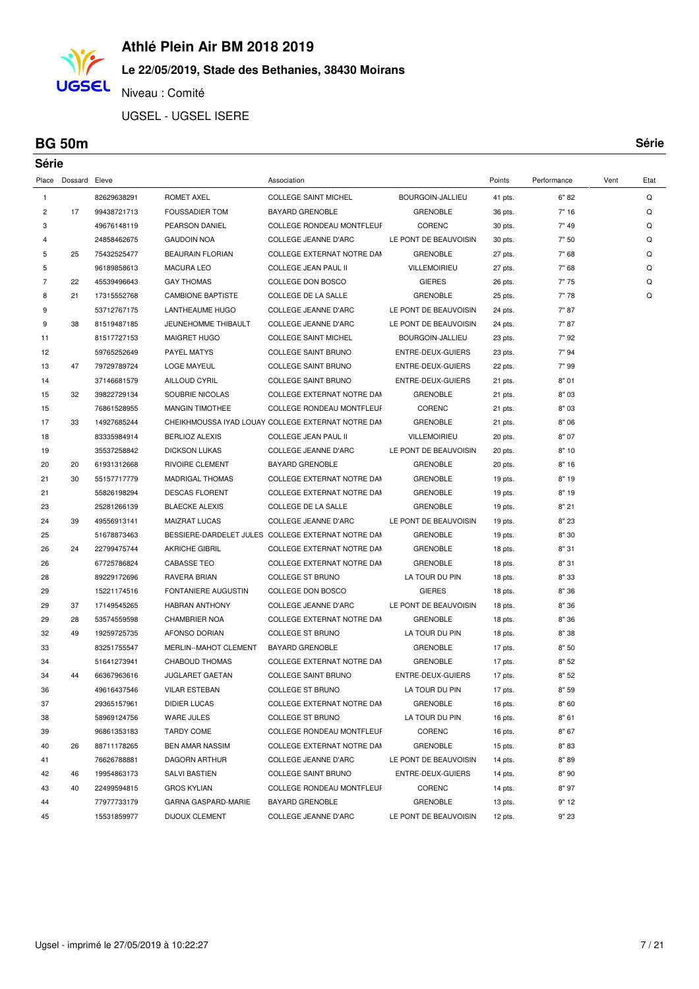# **Le 22/05/2019, Stade des Bethanies, 38430 Moirans**

Niveau : Comité

UGSEL - UGSEL ISERE

#### **BG 50m Série**

**UGSEL** 

| Série          |                     |                            |                                        |                                                       |                                   |                    |              |      |      |
|----------------|---------------------|----------------------------|----------------------------------------|-------------------------------------------------------|-----------------------------------|--------------------|--------------|------|------|
|                | Place Dossard Eleve |                            |                                        | Association                                           |                                   | Points             | Performance  | Vent | Etat |
| $\mathbf{1}$   |                     | 82629638291                | <b>ROMET AXEL</b>                      | <b>COLLEGE SAINT MICHEL</b>                           | BOURGOIN-JALLIEU                  | 41 pts.            | 6" 82        |      | Q    |
| 2              | 17                  | 99438721713                | <b>FOUSSADIER TOM</b>                  | <b>BAYARD GRENOBLE</b>                                | <b>GRENOBLE</b>                   | 36 pts.            | 7" 16        |      | Q    |
| 3              |                     | 49676148119                | PEARSON DANIEL                         | COLLEGE RONDEAU MONTFLEUF                             | CORENC                            | 30 pts.            | 7" 49        |      | Q    |
| 4              |                     | 24858462675                | <b>GAUDOIN NOA</b>                     | COLLEGE JEANNE D'ARC                                  | LE PONT DE BEAUVOISIN             | 30 pts.            | 7" 50        |      | Q    |
| 5              | 25                  | 75432525477                | <b>BEAURAIN FLORIAN</b>                | COLLEGE EXTERNAT NOTRE DAM                            | <b>GRENOBLE</b>                   | 27 pts.            | 7" 68        |      | Q    |
| 5              |                     | 96189858613                | <b>MACURA LEO</b>                      | COLLEGE JEAN PAUL II                                  | <b>VILLEMOIRIEU</b>               | 27 pts.            | 7" 68        |      | Q    |
| $\overline{7}$ | 22                  | 45539496643                | <b>GAY THOMAS</b>                      | COLLEGE DON BOSCO                                     | <b>GIERES</b>                     | 26 pts.            | 7"75         |      | Q    |
| 8              | 21                  | 17315552768                | <b>CAMBIONE BAPTISTE</b>               | COLLEGE DE LA SALLE                                   | <b>GRENOBLE</b>                   | 25 pts.            | 7"78         |      | Q    |
| 9              |                     | 53712767175                | LANTHEAUME HUGO                        | COLLEGE JEANNE D'ARC                                  | LE PONT DE BEAUVOISIN             | 24 pts.            | 7" 87        |      |      |
| 9              | 38                  | 81519487185                | JEUNEHOMME THIBAULT                    | <b>COLLEGE JEANNE D'ARC</b>                           | LE PONT DE BEAUVOISIN             | 24 pts.            | 7" 87        |      |      |
| 11             |                     | 81517727153                | <b>MAIGRET HUGO</b>                    | <b>COLLEGE SAINT MICHEL</b>                           | BOURGOIN-JALLIEU                  | 23 pts.            | 7"92         |      |      |
| 12             |                     | 59765252649                | PAYEL MATYS                            | <b>COLLEGE SAINT BRUNO</b>                            | ENTRE-DEUX-GUIERS                 | 23 pts.            | 7" 94        |      |      |
| 13             | 47                  | 79729789724                | <b>LOGE MAYEUL</b>                     | <b>COLLEGE SAINT BRUNO</b>                            | ENTRE-DEUX-GUIERS                 | 22 pts.            | 7" 99        |      |      |
| 14             |                     | 37146681579                | <b>AILLOUD CYRIL</b>                   | <b>COLLEGE SAINT BRUNO</b>                            | ENTRE-DEUX-GUIERS                 | 21 pts.            | 8"01         |      |      |
| 15             | 32                  | 39822729134                | SOUBRIE NICOLAS                        | COLLEGE EXTERNAT NOTRE DAM                            | <b>GRENOBLE</b>                   | 21 pts.            | 8" 03        |      |      |
| 15             |                     | 76861528955                | <b>MANGIN TIMOTHEE</b>                 | <b>COLLEGE RONDEAU MONTFLEUF</b>                      | <b>CORENC</b>                     | 21 pts.            | 8" 03        |      |      |
| 17             | 33                  | 14927685244                |                                        | CHEIKHMOUSSA IYAD LOUAY COLLEGE EXTERNAT NOTRE DAM    | <b>GRENOBLE</b>                   | 21 pts.            | 8"06         |      |      |
| 18             |                     | 83335984914                | <b>BERLIOZ ALEXIS</b>                  | COLLEGE JEAN PAUL II                                  | <b>VILLEMOIRIEU</b>               | 20 pts.            | 8" 07        |      |      |
| 19             |                     | 35537258842                | <b>DICKSON LUKAS</b>                   | COLLEGE JEANNE D'ARC                                  | LE PONT DE BEAUVOISIN             | 20 pts.            | 8"10         |      |      |
| 20             | 20                  | 61931312668                | <b>RIVOIRE CLEMENT</b>                 | <b>BAYARD GRENOBLE</b>                                | <b>GRENOBLE</b>                   | 20 pts.            | 8"16         |      |      |
| 21             | 30                  | 55157717779                | <b>MADRIGAL THOMAS</b>                 | COLLEGE EXTERNAT NOTRE DAM                            | <b>GRENOBLE</b>                   | 19 pts.            | 8"19         |      |      |
| 21             |                     | 55826198294                | <b>DESCAS FLORENT</b>                  | COLLEGE EXTERNAT NOTRE DAM                            | <b>GRENOBLE</b>                   | 19 pts.            | 8"19         |      |      |
| 23             |                     | 25281266139                | <b>BLAECKE ALEXIS</b>                  | COLLEGE DE LA SALLE                                   | <b>GRENOBLE</b>                   | 19 pts.            | 8"21         |      |      |
| 24             | 39                  | 49556913141                | <b>MAIZRAT LUCAS</b>                   | COLLEGE JEANNE D'ARC                                  | LE PONT DE BEAUVOISIN             | 19 pts.            | 8"23         |      |      |
| 25             |                     | 51678873463                |                                        | BESSIERE-DARDELET JULES COLLEGE EXTERNAT NOTRE DAN    | <b>GRENOBLE</b>                   | 19 pts.            | 8"30         |      |      |
| 26             | 24                  | 22799475744                | <b>AKRICHE GIBRIL</b>                  | COLLEGE EXTERNAT NOTRE DAM                            | <b>GRENOBLE</b>                   | 18 pts.            | 8" 31        |      |      |
| 26             |                     | 67725786824                | <b>CABASSE TEO</b>                     | COLLEGE EXTERNAT NOTRE DAM                            | <b>GRENOBLE</b>                   | 18 pts.            | 8" 31        |      |      |
| 28             |                     | 89229172696                | RAVERA BRIAN                           | COLLEGE ST BRUNO                                      | LA TOUR DU PIN                    | 18 pts.            | 8"33         |      |      |
| 29             |                     | 15221174516                | FONTANIERE AUGUSTIN                    | COLLEGE DON BOSCO                                     | <b>GIERES</b>                     | 18 pts.            | 8"36         |      |      |
| 29             | 37                  | 17149545265                | <b>HABRAN ANTHONY</b>                  | COLLEGE JEANNE D'ARC                                  | LE PONT DE BEAUVOISIN             | 18 pts.            | 8"36         |      |      |
| 29<br>32       | 28                  | 53574559598                | <b>CHAMBRIER NOA</b>                   | COLLEGE EXTERNAT NOTRE DAM<br><b>COLLEGE ST BRUNO</b> | <b>GRENOBLE</b>                   | 18 pts.            | 8"36         |      |      |
| 33             | 49                  | 19259725735<br>83251755547 | AFONSO DORIAN<br>MERLIN--MAHOT CLEMENT | <b>BAYARD GRENOBLE</b>                                | LA TOUR DU PIN<br><b>GRENOBLE</b> | 18 pts.            | 8"38<br>8"50 |      |      |
| 34             |                     | 51641273941                | CHABOUD THOMAS                         | COLLEGE EXTERNAT NOTRE DAM                            | <b>GRENOBLE</b>                   | 17 pts.<br>17 pts. | 8"52         |      |      |
| 34             | 44                  | 66367963616                | JUGLARET GAETAN                        | COLLEGE SAINT BRUNO                                   | ENTRE-DEUX-GUIERS                 | 17 pts.            | 8"52         |      |      |
| 36             |                     | 49616437546                | <b>VILAR ESTEBAN</b>                   | COLLEGE ST BRUNO                                      | LA TOUR DU PIN                    | 17 pts.            | 8" 59        |      |      |
| 37             |                     | 29365157961                | <b>DIDIER LUCAS</b>                    | COLLEGE EXTERNAT NOTRE DAM                            | <b>GRENOBLE</b>                   | 16 pts.            | 8" 60        |      |      |
| 38             |                     | 58969124756                | WARE JULES                             | COLLEGE ST BRUNO                                      | LA TOUR DU PIN                    | 16 pts.            | 8"61         |      |      |
| 39             |                     | 96861353183                | <b>TARDY COME</b>                      | COLLEGE RONDEAU MONTFLEUF                             | CORENC                            | 16 pts.            | 8"67         |      |      |
| 40             | 26                  | 88711178265                | <b>BEN AMAR NASSIM</b>                 | COLLEGE EXTERNAT NOTRE DAM                            | <b>GRENOBLE</b>                   | 15 pts.            | 8"83         |      |      |
| 41             |                     | 76626788881                | DAGORN ARTHUR                          | COLLEGE JEANNE D'ARC                                  | LE PONT DE BEAUVOISIN             | 14 pts.            | 8"89         |      |      |
| 42             | 46                  | 19954863173                | SALVI BASTIEN                          | <b>COLLEGE SAINT BRUNO</b>                            | ENTRE-DEUX-GUIERS                 | 14 pts.            | 8"90         |      |      |
| 43             | 40                  | 22499594815                | <b>GROS KYLIAN</b>                     | COLLEGE RONDEAU MONTFLEUF                             | CORENC                            | 14 pts.            | 8"97         |      |      |
| 44             |                     | 77977733179                | GARNA GASPARD-MARIE                    | <b>BAYARD GRENOBLE</b>                                | <b>GRENOBLE</b>                   | 13 pts.            | 9" 12        |      |      |
| 45             |                     | 15531859977                | <b>DIJOUX CLEMENT</b>                  | COLLEGE JEANNE D'ARC                                  | LE PONT DE BEAUVOISIN             | 12 pts.            | 9" 23        |      |      |
|                |                     |                            |                                        |                                                       |                                   |                    |              |      |      |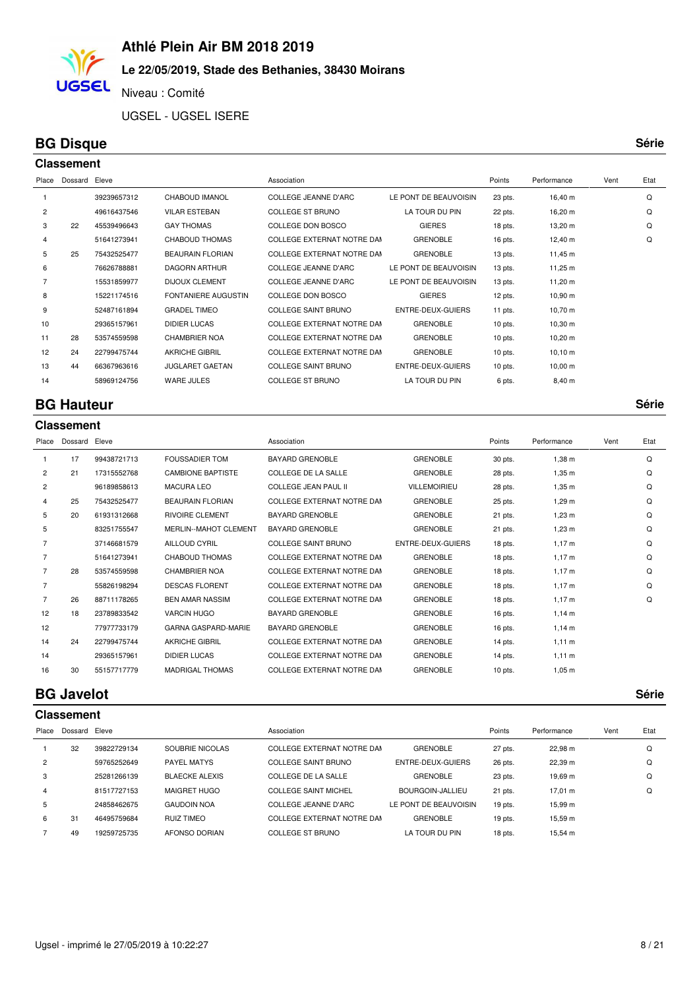### **Le 22/05/2019, Stade des Bethanies, 38430 Moirans**

Niveau : Comité

UGSEL - UGSEL ISERE

### **BG Disque Série**

**UGSEL** 

| <b>Classement</b> |         |                      |                         |                             |                       |           |                     |      |      |  |  |
|-------------------|---------|----------------------|-------------------------|-----------------------------|-----------------------|-----------|---------------------|------|------|--|--|
| Place             | Dossard | Eleve<br>Association |                         |                             |                       | Points    | Performance         | Vent | Etat |  |  |
|                   |         | 39239657312          | CHABOUD IMANOL          | COLLEGE JEANNE D'ARC        | LE PONT DE BEAUVOISIN | 23 pts.   | 16,40 m             |      | Q    |  |  |
| $\overline{2}$    |         | 49616437546          | <b>VILAR ESTEBAN</b>    | <b>COLLEGE ST BRUNO</b>     | LA TOUR DU PIN        | 22 pts.   | 16,20 m             |      | Q    |  |  |
| 3                 | 22      | 45539496643          | <b>GAY THOMAS</b>       | COLLEGE DON BOSCO           | <b>GIERES</b>         | 18 pts.   | 13,20 m             |      | Q    |  |  |
| 4                 |         | 51641273941          | <b>CHABOUD THOMAS</b>   | COLLEGE EXTERNAT NOTRE DAM  | <b>GRENOBLE</b>       | 16 pts.   | $12,40 \; m$        |      | Q    |  |  |
| 5                 | 25      | 75432525477          | <b>BEAURAIN FLORIAN</b> | COLLEGE EXTERNAT NOTRE DAM  | <b>GRENOBLE</b>       | $13$ pts. | $11,45 \; m$        |      |      |  |  |
| 6                 |         | 76626788881          | <b>DAGORN ARTHUR</b>    | COLLEGE JEANNE D'ARC        | LE PONT DE BEAUVOISIN | $13$ pts. | $11,25 \text{ m}$   |      |      |  |  |
|                   |         | 15531859977          | <b>DIJOUX CLEMENT</b>   | <b>COLLEGE JEANNE D'ARC</b> | LE PONT DE BEAUVOISIN | $13$ pts. | $11,20 \; \text{m}$ |      |      |  |  |
| 8                 |         | 15221174516          | FONTANIERE AUGUSTIN     | COLLEGE DON BOSCO           | <b>GIERES</b>         | 12 pts.   | $10,90 \; \text{m}$ |      |      |  |  |
| 9                 |         | 52487161894          | <b>GRADEL TIMEO</b>     | <b>COLLEGE SAINT BRUNO</b>  | ENTRE-DEUX-GUIERS     | 11 pts.   | $10,70 \; m$        |      |      |  |  |
| 10                |         | 29365157961          | <b>DIDIER LUCAS</b>     | COLLEGE EXTERNAT NOTRE DAM  | <b>GRENOBLE</b>       | $10$ pts. | $10,30 \; \text{m}$ |      |      |  |  |
| 11                | 28      | 53574559598          | <b>CHAMBRIER NOA</b>    | COLLEGE EXTERNAT NOTRE DAM  | <b>GRENOBLE</b>       | $10$ pts. | $10,20 \; \text{m}$ |      |      |  |  |
| 12                | 24      | 22799475744          | <b>AKRICHE GIBRIL</b>   | COLLEGE EXTERNAT NOTRE DAM  | <b>GRENOBLE</b>       | $10$ pts. | $10,10 \; \text{m}$ |      |      |  |  |
| 13                | 44      | 66367963616          | <b>JUGLARET GAETAN</b>  | <b>COLLEGE SAINT BRUNO</b>  | ENTRE-DEUX-GUIERS     | $10$ pts. | $10,00 \; \text{m}$ |      |      |  |  |
| 14                |         | 58969124756          | <b>WARE JULES</b>       | <b>COLLEGE ST BRUNO</b>     | LA TOUR DU PIN        | 6 pts.    | 8,40 m              |      |      |  |  |
|                   |         |                      |                         |                             |                       |           |                     |      |      |  |  |

#### **BG Hauteur Série**

|                | <b>Classement</b> |             |                              |                                   |                     |           |             |      |      |  |  |  |
|----------------|-------------------|-------------|------------------------------|-----------------------------------|---------------------|-----------|-------------|------|------|--|--|--|
| Place          | Dossard Eleve     |             |                              | Association                       |                     | Points    | Performance | Vent | Etat |  |  |  |
| 1              | 17                | 99438721713 | <b>FOUSSADIER TOM</b>        | <b>BAYARD GRENOBLE</b>            | <b>GRENOBLE</b>     | 30 pts.   | 1,38 m      |      | Q    |  |  |  |
| $\overline{2}$ | 21                | 17315552768 | <b>CAMBIONE BAPTISTE</b>     | COLLEGE DE LA SALLE               | <b>GRENOBLE</b>     | 28 pts.   | $1,35 \; m$ |      | Q    |  |  |  |
| $\overline{2}$ |                   | 96189858613 | <b>MACURA LEO</b>            | <b>COLLEGE JEAN PAUL II</b>       | <b>VILLEMOIRIEU</b> | 28 pts.   | $1,35 \; m$ |      | Q    |  |  |  |
| 4              | 25                | 75432525477 | <b>BEAURAIN FLORIAN</b>      | COLLEGE EXTERNAT NOTRE DAM        | <b>GRENOBLE</b>     | 25 pts.   | $1,29 \; m$ |      | Q    |  |  |  |
| 5              | 20                | 61931312668 | <b>RIVOIRE CLEMENT</b>       | <b>BAYARD GRENOBLE</b>            | <b>GRENOBLE</b>     | 21 pts.   | $1,23$ m    |      | Q    |  |  |  |
| 5              |                   | 83251755547 | <b>MERLIN--MAHOT CLEMENT</b> | <b>BAYARD GRENOBLE</b>            | <b>GRENOBLE</b>     | 21 pts.   | $1,23 \; m$ |      | Q    |  |  |  |
| $\overline{7}$ |                   | 37146681579 | <b>AILLOUD CYRIL</b>         | <b>COLLEGE SAINT BRUNO</b>        | ENTRE-DEUX-GUIERS   | 18 pts.   | 1,17 m      |      | Q    |  |  |  |
| $\overline{7}$ |                   | 51641273941 | <b>CHABOUD THOMAS</b>        | COLLEGE EXTERNAT NOTRE DAM        | <b>GRENOBLE</b>     | 18 pts.   | 1,17 m      |      | Q    |  |  |  |
| $\overline{7}$ | 28                | 53574559598 | <b>CHAMBRIER NOA</b>         | COLLEGE EXTERNAT NOTRE DAM        | <b>GRENOBLE</b>     | 18 pts.   | $1,17 \; m$ |      | Q    |  |  |  |
| $\overline{7}$ |                   | 55826198294 | <b>DESCAS FLORENT</b>        | COLLEGE EXTERNAT NOTRE DAM        | <b>GRENOBLE</b>     | 18 pts.   | 1,17 m      |      | Q    |  |  |  |
| $\overline{7}$ | 26                | 88711178265 | <b>BEN AMAR NASSIM</b>       | COLLEGE EXTERNAT NOTRE DAM        | <b>GRENOBLE</b>     | 18 pts.   | 1,17 m      |      | Q    |  |  |  |
| 12             | 18                | 23789833542 | <b>VARCIN HUGO</b>           | BAYARD GRENOBLE                   | <b>GRENOBLE</b>     | $16$ pts. | $1,14 \; m$ |      |      |  |  |  |
| 12             |                   | 77977733179 | <b>GARNA GASPARD-MARIE</b>   | BAYARD GRENOBLE                   | <b>GRENOBLE</b>     | $16$ pts. | $1,14 \; m$ |      |      |  |  |  |
| 14             | 24                | 22799475744 | <b>AKRICHE GIBRIL</b>        | COLLEGE EXTERNAT NOTRE DAM        | <b>GRENOBLE</b>     | $14$ pts. | $1,11 \; m$ |      |      |  |  |  |
| 14             |                   | 29365157961 | <b>DIDIER LUCAS</b>          | <b>COLLEGE EXTERNAT NOTRE DAM</b> | <b>GRENOBLE</b>     | $14$ pts. | $1,11 \; m$ |      |      |  |  |  |
| 16             | 30                | 55157717779 | <b>MADRIGAL THOMAS</b>       | COLLEGE EXTERNAT NOTRE DAM        | <b>GRENOBLE</b>     | $10$ pts. | $1,05 \; m$ |      |      |  |  |  |
|                |                   |             |                              |                                   |                     |           |             |      |      |  |  |  |

#### **BG Javelot Série**

|                | <b>Classement</b> |             |                       |                             |                       |         |             |      |      |  |  |  |
|----------------|-------------------|-------------|-----------------------|-----------------------------|-----------------------|---------|-------------|------|------|--|--|--|
| Place          | Dossard           | Eleve       |                       | Association                 |                       | Points  | Performance | Vent | Etat |  |  |  |
|                | 32                | 39822729134 | SOUBRIE NICOLAS       | COLLEGE EXTERNAT NOTRE DAM  | <b>GRENOBLE</b>       | 27 pts. | 22,98 m     |      | Q    |  |  |  |
| $\overline{c}$ |                   | 59765252649 | <b>PAYEL MATYS</b>    | <b>COLLEGE SAINT BRUNO</b>  | ENTRE-DEUX-GUIERS     | 26 pts. | 22,39 m     |      | Q    |  |  |  |
| 3              |                   | 25281266139 | <b>BLAECKE ALEXIS</b> | COLLEGE DE LA SALLE         | <b>GRENOBLE</b>       | 23 pts. | 19.69 m     |      | Q    |  |  |  |
| 4              |                   | 81517727153 | MAIGRET HUGO          | <b>COLLEGE SAINT MICHEL</b> | BOURGOIN-JALLIEU      | 21 pts. | 17.01 m     |      | Q    |  |  |  |
| 5              |                   | 24858462675 | <b>GAUDOIN NOA</b>    | COLLEGE JEANNE D'ARC        | LE PONT DE BEAUVOISIN | 19 pts. | 15.99 m     |      |      |  |  |  |
| 6              | 31                | 46495759684 | <b>RUIZ TIMEO</b>     | COLLEGE EXTERNAT NOTRE DAM  | <b>GRENOBLE</b>       | 19 pts. | 15.59 m     |      |      |  |  |  |
|                | 49                | 19259725735 | <b>AFONSO DORIAN</b>  | <b>COLLEGE ST BRUNO</b>     | LA TOUR DU PIN        | 18 pts. | 15,54 m     |      |      |  |  |  |
|                |                   |             |                       |                             |                       |         |             |      |      |  |  |  |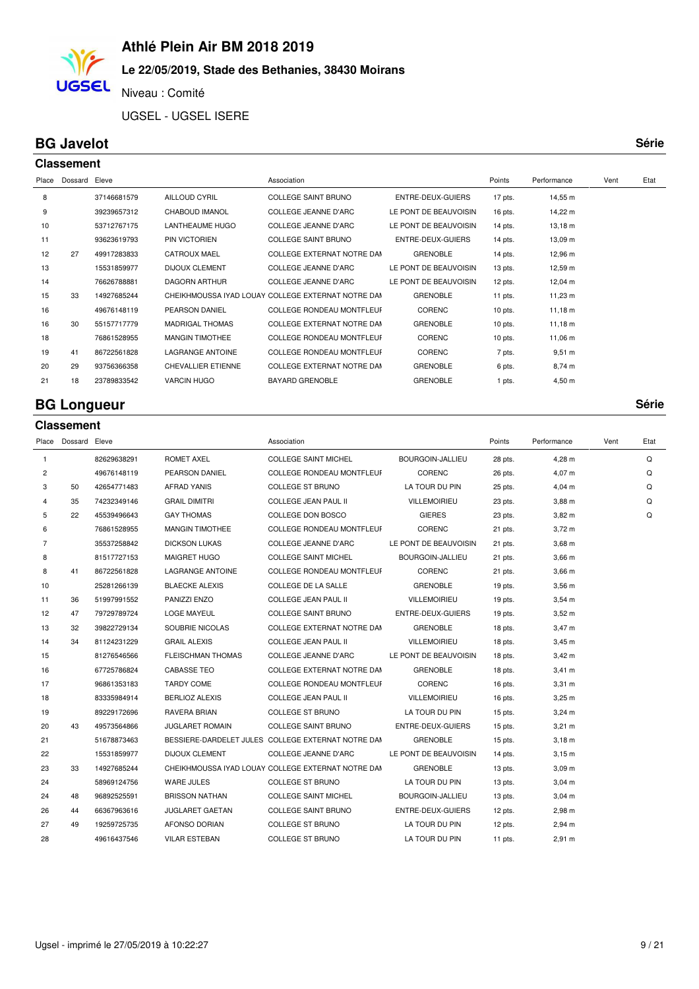### **Le 22/05/2019, Stade des Bethanies, 38430 Moirans**

Niveau : Comité

UGSEL - UGSEL ISERE

#### **BG Javelot Série**

**UGSEL** 

|       | <b>Classement</b> |             |                           |                                                    |                       |           |                     |      |      |  |  |  |
|-------|-------------------|-------------|---------------------------|----------------------------------------------------|-----------------------|-----------|---------------------|------|------|--|--|--|
| Place | Dossard           | Eleve       |                           | Association                                        |                       | Points    | Performance         | Vent | Etat |  |  |  |
| 8     |                   | 37146681579 | AILLOUD CYRIL             | <b>COLLEGE SAINT BRUNO</b>                         | ENTRE-DEUX-GUIERS     | 17 pts.   | 14,55 m             |      |      |  |  |  |
| 9     |                   | 39239657312 | <b>CHABOUD IMANOL</b>     | <b>COLLEGE JEANNE D'ARC</b>                        | LE PONT DE BEAUVOISIN | 16 pts.   | 14,22 m             |      |      |  |  |  |
| 10    |                   | 53712767175 | LANTHEAUME HUGO           | <b>COLLEGE JEANNE D'ARC</b>                        | LE PONT DE BEAUVOISIN | 14 pts.   | $13,18 \; \text{m}$ |      |      |  |  |  |
| 11    |                   | 93623619793 | PIN VICTORIEN             | <b>COLLEGE SAINT BRUNO</b>                         | ENTRE-DEUX-GUIERS     | 14 pts.   | 13,09 m             |      |      |  |  |  |
| 12    | 27                | 49917283833 | CATROUX MAEL              | COLLEGE EXTERNAT NOTRE DAM                         | <b>GRENOBLE</b>       | 14 pts.   | 12,96 m             |      |      |  |  |  |
| 13    |                   | 15531859977 | <b>DIJOUX CLEMENT</b>     | <b>COLLEGE JEANNE D'ARC</b>                        | LE PONT DE BEAUVOISIN | 13 pts.   | 12,59 m             |      |      |  |  |  |
| 14    |                   | 76626788881 | <b>DAGORN ARTHUR</b>      | COLLEGE JEANNE D'ARC                               | LE PONT DE BEAUVOISIN | 12 pts.   | 12,04 m             |      |      |  |  |  |
| 15    | 33                | 14927685244 |                           | CHEIKHMOUSSA IYAD LOUAY COLLEGE EXTERNAT NOTRE DAM | <b>GRENOBLE</b>       | 11 pts.   | $11,23 \; m$        |      |      |  |  |  |
| 16    |                   | 49676148119 | PEARSON DANIEL            | <b>COLLEGE RONDEAU MONTFLEUF</b>                   | CORENC                | $10$ pts. | $11,18 \; m$        |      |      |  |  |  |
| 16    | 30                | 55157717779 | <b>MADRIGAL THOMAS</b>    | COLLEGE EXTERNAT NOTRE DAM                         | <b>GRENOBLE</b>       | $10$ pts. | $11,18 \; m$        |      |      |  |  |  |
| 18    |                   | 76861528955 | <b>MANGIN TIMOTHEE</b>    | <b>COLLEGE RONDEAU MONTFLEUF</b>                   | CORENC                | $10$ pts. | 11,06 m             |      |      |  |  |  |
| 19    | 41                | 86722561828 | <b>LAGRANGE ANTOINE</b>   | <b>COLLEGE RONDEAU MONTFLEUF</b>                   | CORENC                | 7 pts.    | $9,51 \; m$         |      |      |  |  |  |
| 20    | 29                | 93756366358 | <b>CHEVALLIER ETIENNE</b> | COLLEGE EXTERNAT NOTRE DAM                         | <b>GRENOBLE</b>       | 6 pts.    | 8,74 m              |      |      |  |  |  |
| 21    | 18                | 23789833542 | <b>VARCIN HUGO</b>        | BAYARD GRENOBLE                                    | <b>GRENOBLE</b>       | 1 pts.    | $4,50 \; m$         |      |      |  |  |  |
|       |                   |             |                           |                                                    |                       |           |                     |      |      |  |  |  |

### **BG Longueur Série**

|                | <b>Classement</b>   |             |                          |                                                    |                       |         |                   |      |      |
|----------------|---------------------|-------------|--------------------------|----------------------------------------------------|-----------------------|---------|-------------------|------|------|
|                | Place Dossard Eleve |             |                          | Association                                        |                       | Points  | Performance       | Vent | Etat |
| $\mathbf{1}$   |                     | 82629638291 | <b>ROMET AXEL</b>        | <b>COLLEGE SAINT MICHEL</b>                        | BOURGOIN-JALLIEU      | 28 pts. | 4,28 m            |      | Q    |
| 2              |                     | 49676148119 | PEARSON DANIEL           | <b>COLLEGE RONDEAU MONTFLEUF</b>                   | <b>CORENC</b>         | 26 pts. | 4,07 m            |      | Q    |
| 3              | 50                  | 42654771483 | <b>AFRAD YANIS</b>       | COLLEGE ST BRUNO                                   | LA TOUR DU PIN        | 25 pts. | $4,04 \, m$       |      | Q    |
| 4              | 35                  | 74232349146 | <b>GRAIL DIMITRI</b>     | COLLEGE JEAN PAUL II                               | <b>VILLEMOIRIEU</b>   | 23 pts. | $3,88 \, m$       |      | Q    |
| 5              | 22                  | 45539496643 | <b>GAY THOMAS</b>        | COLLEGE DON BOSCO                                  | <b>GIERES</b>         | 23 pts. | $3,82 \, m$       |      | Q    |
| 6              |                     | 76861528955 | <b>MANGIN TIMOTHEE</b>   | COLLEGE RONDEAU MONTFLEUF                          | <b>CORENC</b>         | 21 pts. | $3,72 \; m$       |      |      |
| $\overline{7}$ |                     | 35537258842 | <b>DICKSON LUKAS</b>     | COLLEGE JEANNE D'ARC                               | LE PONT DE BEAUVOISIN | 21 pts. | $3,68$ m          |      |      |
| 8              |                     | 81517727153 | <b>MAIGRET HUGO</b>      | <b>COLLEGE SAINT MICHEL</b>                        | BOURGOIN-JALLIEU      | 21 pts. | $3,66$ m          |      |      |
| 8              | 41                  | 86722561828 | LAGRANGE ANTOINE         | COLLEGE RONDEAU MONTFLEUF                          | <b>CORENC</b>         | 21 pts. | $3,66 \, m$       |      |      |
| 10             |                     | 25281266139 | <b>BLAECKE ALEXIS</b>    | COLLEGE DE LA SALLE                                | <b>GRENOBLE</b>       | 19 pts. | $3,56$ m          |      |      |
| 11             | 36                  | 51997991552 | PANIZZI ENZO             | COLLEGE JEAN PAUL II                               | <b>VILLEMOIRIEU</b>   | 19 pts. | $3,54 \, m$       |      |      |
| 12             | 47                  | 79729789724 | <b>LOGE MAYEUL</b>       | COLLEGE SAINT BRUNO                                | ENTRE-DEUX-GUIERS     | 19 pts. | $3,52 \; m$       |      |      |
| 13             | 32                  | 39822729134 | SOUBRIE NICOLAS          | COLLEGE EXTERNAT NOTRE DAM                         | <b>GRENOBLE</b>       | 18 pts. | $3,47 \; m$       |      |      |
| 14             | 34                  | 81124231229 | <b>GRAIL ALEXIS</b>      | COLLEGE JEAN PAUL II                               | <b>VILLEMOIRIEU</b>   | 18 pts. | $3,45 \; m$       |      |      |
| 15             |                     | 81276546566 | <b>FLEISCHMAN THOMAS</b> | COLLEGE JEANNE D'ARC                               | LE PONT DE BEAUVOISIN | 18 pts. | $3,42 \, m$       |      |      |
| 16             |                     | 67725786824 | <b>CABASSE TEO</b>       | COLLEGE EXTERNAT NOTRE DAM                         | <b>GRENOBLE</b>       | 18 pts. | $3,41 \; m$       |      |      |
| 17             |                     | 96861353183 | <b>TARDY COME</b>        | <b>COLLEGE RONDEAU MONTFLEUF</b>                   | <b>CORENC</b>         | 16 pts. | $3,31 \; m$       |      |      |
| 18             |                     | 83335984914 | <b>BERLIOZ ALEXIS</b>    | COLLEGE JEAN PAUL II                               | VILLEMOIRIEU          | 16 pts. | $3,25 \; m$       |      |      |
| 19             |                     | 89229172696 | RAVERA BRIAN             | COLLEGE ST BRUNO                                   | LA TOUR DU PIN        | 15 pts. | $3,24 \, m$       |      |      |
| 20             | 43                  | 49573564866 | <b>JUGLARET ROMAIN</b>   | COLLEGE SAINT BRUNO                                | ENTRE-DEUX-GUIERS     | 15 pts. | $3,21 \; m$       |      |      |
| 21             |                     | 51678873463 |                          | BESSIERE-DARDELET JULES COLLEGE EXTERNAT NOTRE DAM | <b>GRENOBLE</b>       | 15 pts. | $3,18 \; m$       |      |      |
| 22             |                     | 15531859977 | <b>DIJOUX CLEMENT</b>    | <b>COLLEGE JEANNE D'ARC</b>                        | LE PONT DE BEAUVOISIN | 14 pts. | $3,15 \; m$       |      |      |
| 23             | 33                  | 14927685244 |                          | CHEIKHMOUSSA IYAD LOUAY COLLEGE EXTERNAT NOTRE DAM | <b>GRENOBLE</b>       | 13 pts. | 3,09 <sub>m</sub> |      |      |
| 24             |                     | 58969124756 | WARE JULES               | COLLEGE ST BRUNO                                   | LA TOUR DU PIN        | 13 pts. | $3,04 \, m$       |      |      |
| 24             | 48                  | 96892525591 | <b>BRISSON NATHAN</b>    | <b>COLLEGE SAINT MICHEL</b>                        | BOURGOIN-JALLIEU      | 13 pts. | $3,04 \, m$       |      |      |
| 26             | 44                  | 66367963616 | <b>JUGLARET GAETAN</b>   | COLLEGE SAINT BRUNO                                | ENTRE-DEUX-GUIERS     | 12 pts. | 2,98 m            |      |      |
| 27             | 49                  | 19259725735 | AFONSO DORIAN            | COLLEGE ST BRUNO                                   | LA TOUR DU PIN        | 12 pts. | 2,94 m            |      |      |
| 28             |                     | 49616437546 | <b>VILAR ESTEBAN</b>     | COLLEGE ST BRUNO                                   | LA TOUR DU PIN        | 11 pts. | 2,91 m            |      |      |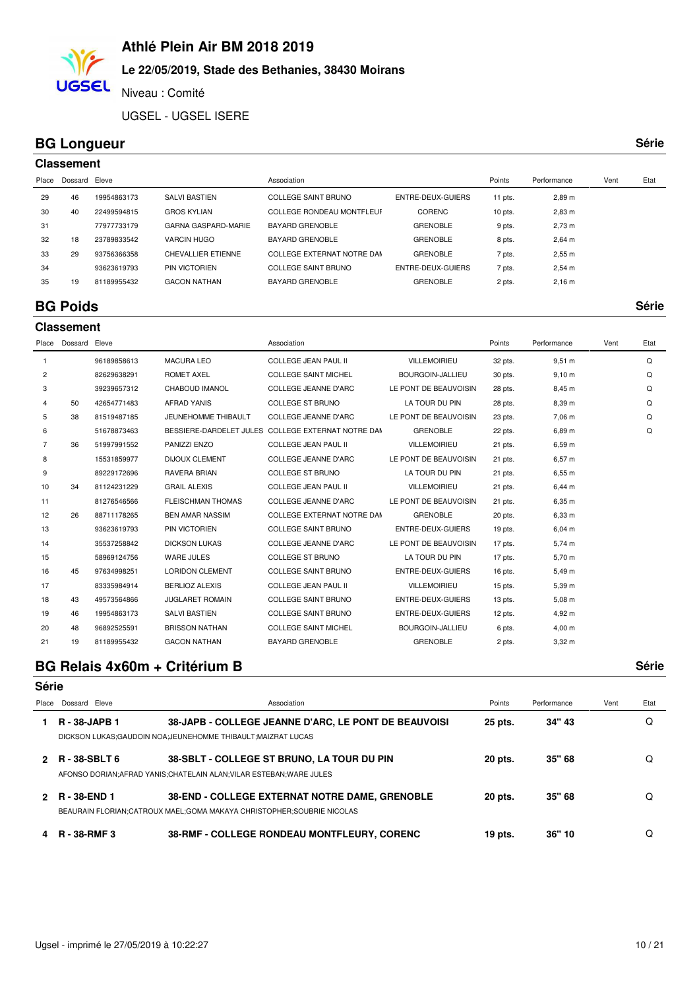# **Le 22/05/2019, Stade des Bethanies, 38430 Moirans**

Niveau : Comité

UGSEL - UGSEL ISERE

### **BG Longueur**

**UGSEL** 

| ×<br>۰, | ۰. |  | ×<br>٧ |
|---------|----|--|--------|

|       | <b>Classement</b> |             |                           |                            |                   |           |                    |      |      |  |  |  |  |
|-------|-------------------|-------------|---------------------------|----------------------------|-------------------|-----------|--------------------|------|------|--|--|--|--|
| Place | Dossard Eleve     |             |                           | Association                |                   | Points    | Performance        | Vent | Etat |  |  |  |  |
| 29    | 46                | 19954863173 | <b>SALVI BASTIEN</b>      | COLLEGE SAINT BRUNO        | ENTRE-DEUX-GUIERS | 11 pts.   | 2,89 m             |      |      |  |  |  |  |
| 30    | 40                | 22499594815 | <b>GROS KYLIAN</b>        | COLLEGE RONDEAU MONTFLEUF  | CORENC            | $10$ pts. | $2,83 \, \text{m}$ |      |      |  |  |  |  |
| 31    |                   | 77977733179 | GARNA GASPARD-MARIE       | BAYARD GRENOBLE            | <b>GRENOBLE</b>   | 9 pts.    | $2,73 \; \text{m}$ |      |      |  |  |  |  |
| 32    | 18                | 23789833542 | VARCIN HUGO               | BAYARD GRENOBLE            | <b>GRENOBLE</b>   | 8 pts.    | $2,64 \, m$        |      |      |  |  |  |  |
| 33    | 29                | 93756366358 | <b>CHEVALLIER ETIENNE</b> | COLLEGE EXTERNAT NOTRE DAM | <b>GRENOBLE</b>   | 7 pts.    | 2.55 m             |      |      |  |  |  |  |
| 34    |                   | 93623619793 | <b>PIN VICTORIEN</b>      | COLLEGE SAINT BRUNO        | ENTRE-DEUX-GUIERS | 7 pts.    | $2,54 \, m$        |      |      |  |  |  |  |
| 35    | 19                | 81189955432 | <b>GACON NATHAN</b>       | BAYARD GRENOBLE            | <b>GRENOBLE</b>   | 2 pts.    | $2,16 \; m$        |      |      |  |  |  |  |
|       |                   |             |                           |                            |                   |           |                    |      |      |  |  |  |  |

#### **BG Poids Série Classement**

| $\mathbf{1}$<br>2<br>3<br>4<br>5<br>6 | Dossard | Eleve       |                          | Association                                        |                       | Points    | Performance       | Vent | Etat |
|---------------------------------------|---------|-------------|--------------------------|----------------------------------------------------|-----------------------|-----------|-------------------|------|------|
|                                       |         | 96189858613 | <b>MACURA LEO</b>        | <b>COLLEGE JEAN PAUL II</b>                        | <b>VILLEMOIRIEU</b>   | 32 pts.   | $9,51 \; m$       |      | Q    |
|                                       |         | 82629638291 | <b>ROMET AXEL</b>        | <b>COLLEGE SAINT MICHEL</b>                        | BOURGOIN-JALLIEU      | 30 pts.   | $9,10 \; m$       |      | Q    |
|                                       |         | 39239657312 | <b>CHABOUD IMANOL</b>    | <b>COLLEGE JEANNE D'ARC</b>                        | LE PONT DE BEAUVOISIN | 28 pts.   | 8,45 m            |      | Q    |
|                                       | 50      | 42654771483 | <b>AFRAD YANIS</b>       | <b>COLLEGE ST BRUNO</b>                            | LA TOUR DU PIN        | 28 pts.   | 8,39 m            |      | Q    |
|                                       | 38      | 81519487185 | JEUNEHOMME THIBAULT      | <b>COLLEGE JEANNE D'ARC</b>                        | LE PONT DE BEAUVOISIN | 23 pts.   | 7,06 m            |      | Q    |
|                                       |         | 51678873463 |                          | BESSIERE-DARDELET JULES COLLEGE EXTERNAT NOTRE DAN | <b>GRENOBLE</b>       | 22 pts.   | 6,89 m            |      | Q    |
| $\overline{7}$                        | 36      | 51997991552 | PANIZZI ENZO             | <b>COLLEGE JEAN PAUL II</b>                        | <b>VILLEMOIRIEU</b>   | 21 pts.   | 6,59 m            |      |      |
| 8                                     |         | 15531859977 | <b>DIJOUX CLEMENT</b>    | COLLEGE JEANNE D'ARC                               | LE PONT DE BEAUVOISIN | 21 pts.   | 6,57 m            |      |      |
| 9                                     |         | 89229172696 | RAVERA BRIAN             | COLLEGE ST BRUNO                                   | LA TOUR DU PIN        | 21 pts.   | 6,55 m            |      |      |
| 10                                    | 34      | 81124231229 | <b>GRAIL ALEXIS</b>      | <b>COLLEGE JEAN PAUL II</b>                        | <b>VILLEMOIRIEU</b>   | 21 pts.   | $6,44 \, m$       |      |      |
| 11                                    |         | 81276546566 | <b>FLEISCHMAN THOMAS</b> | <b>COLLEGE JEANNE D'ARC</b>                        | LE PONT DE BEAUVOISIN | 21 pts.   | 6,35 m            |      |      |
| 12                                    | 26      | 88711178265 | <b>BEN AMAR NASSIM</b>   | COLLEGE EXTERNAT NOTRE DAM                         | <b>GRENOBLE</b>       | 20 pts.   | 6,33 m            |      |      |
| 13                                    |         | 93623619793 | PIN VICTORIEN            | <b>COLLEGE SAINT BRUNO</b>                         | ENTRE-DEUX-GUIERS     | $19$ pts. | $6,04 \, m$       |      |      |
| 14                                    |         | 35537258842 | <b>DICKSON LUKAS</b>     | <b>COLLEGE JEANNE D'ARC</b>                        | LE PONT DE BEAUVOISIN | 17 pts.   | 5,74 m            |      |      |
| 15                                    |         | 58969124756 | <b>WARE JULES</b>        | <b>COLLEGE ST BRUNO</b>                            | LA TOUR DU PIN        | 17 pts.   | 5,70 m            |      |      |
| 16                                    | 45      | 97634998251 | <b>LORIDON CLEMENT</b>   | <b>COLLEGE SAINT BRUNO</b>                         | ENTRE-DEUX-GUIERS     | $16$ pts. | 5,49 m            |      |      |
| 17                                    |         | 83335984914 | <b>BERLIOZ ALEXIS</b>    | <b>COLLEGE JEAN PAUL II</b>                        | <b>VILLEMOIRIEU</b>   | 15 pts.   | 5,39 m            |      |      |
| 18                                    | 43      | 49573564866 | <b>JUGLARET ROMAIN</b>   | <b>COLLEGE SAINT BRUNO</b>                         | ENTRE-DEUX-GUIERS     | 13 pts.   | $5,08 \; m$       |      |      |
| 19                                    | 46      | 19954863173 | <b>SALVI BASTIEN</b>     | <b>COLLEGE SAINT BRUNO</b>                         | ENTRE-DEUX-GUIERS     | $12$ pts. | 4,92 m            |      |      |
| 20                                    | 48      | 96892525591 | <b>BRISSON NATHAN</b>    | <b>COLLEGE SAINT MICHEL</b>                        | BOURGOIN-JALLIEU      | 6 pts.    | $4,00 \; m$       |      |      |
| 21                                    | 19      | 81189955432 | <b>GACON NATHAN</b>      | <b>BAYARD GRENOBLE</b>                             | <b>GRENOBLE</b>       | 2 pts.    | 3.32 <sub>m</sub> |      |      |

## **BG Relais 4x60m + Critérium B Série**

#### **Série**

| Place | Dossard Eleve        | Association                                                                                                                       | Points  | Performance | Vent | Etat |
|-------|----------------------|-----------------------------------------------------------------------------------------------------------------------------------|---------|-------------|------|------|
|       | <b>R</b> - 38-JAPB 1 | 38-JAPB - COLLEGE JEANNE D'ARC, LE PONT DE BEAUVOISI<br>DICKSON LUKAS: GAUDOIN NOA: JEUNEHOMME THIBAULT: MAIZRAT LUCAS            | 25 pts. | 34" 43      |      | Q    |
|       | <b>R-38-SBLT6</b>    | 38-SBLT - COLLEGE ST BRUNO, LA TOUR DU PIN<br>AFONSO DORIAN: AFRAD YANIS: CHATELAIN ALAN: VILAR ESTEBAN: WARE JULES               | 20 pts. | 35" 68      |      | O    |
|       | R - 38-END 1         | <b>38-END - COLLEGE EXTERNAT NOTRE DAME, GRENOBLE</b><br>BEAURAIN FLORIAN; CATROUX MAEL; GOMA MAKAYA CHRISTOPHER; SOUBRIE NICOLAS | 20 pts. | 35" 68      |      |      |
|       | <b>R</b> - 38-RMF 3  | <b>38-RMF - COLLEGE RONDEAU MONTFLEURY, CORENC</b>                                                                                | 19 pts. | 36" 10      |      |      |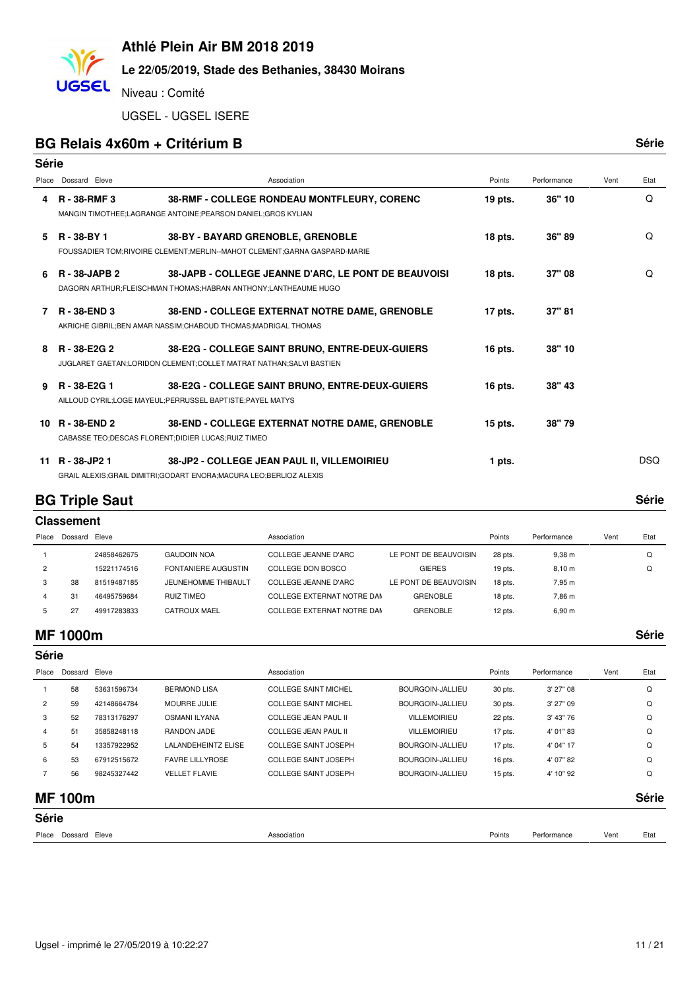# **Le 22/05/2019, Stade des Bethanies, 38430 Moirans**

Niveau : Comité

UGSEL - UGSEL ISERE

#### **BG Relais 4x60m + Critérium B Série**

**UGSEL** 

| Série |                      |                                                                                                                           |           |             |      |            |
|-------|----------------------|---------------------------------------------------------------------------------------------------------------------------|-----------|-------------|------|------------|
| Place | Dossard Eleve        | Association                                                                                                               | Points    | Performance | Vent | Etat       |
| 4     | <b>R</b> - 38-RMF 3  | 38-RMF - COLLEGE RONDEAU MONTFLEURY, CORENC<br>MANGIN TIMOTHEE;LAGRANGE ANTOINE;PEARSON DANIEL;GROS KYLIAN                | 19 pts.   | 36" 10      |      | Q          |
| 5.    | R - 38-BY 1          | 38-BY - BAYARD GRENOBLE, GRENOBLE<br>FOUSSADIER TOM; RIVOIRE CLEMENT; MERLIN--MAHOT CLEMENT; GARNA GASPARD-MARIE          | 18 pts.   | 36" 89      |      | Q          |
| 6.    | <b>R</b> - 38-JAPB 2 | 38-JAPB - COLLEGE JEANNE D'ARC, LE PONT DE BEAUVOISI<br>DAGORN ARTHUR; FLEISCHMAN THOMAS; HABRAN ANTHONY; LANTHEAUME HUGO | $18$ pts. | 37" 08      |      | Q          |
| 7     | R - 38-END 3         | 38-END - COLLEGE EXTERNAT NOTRE DAME, GRENOBLE<br>AKRICHE GIBRIL; BEN AMAR NASSIM; CHABOUD THOMAS; MADRIGAL THOMAS        | $17$ pts. | 37" 81      |      |            |
| 8     | R - 38-E2G 2         | 38-E2G - COLLEGE SAINT BRUNO, ENTRE-DEUX-GUIERS<br>JUGLARET GAETAN;LORIDON CLEMENT;COLLET MATRAT NATHAN;SALVI BASTIEN     | 16 pts.   | 38" 10      |      |            |
| 9     | R - 38-E2G 1         | 38-E2G - COLLEGE SAINT BRUNO, ENTRE-DEUX-GUIERS<br>AILLOUD CYRIL;LOGE MAYEUL;PERRUSSEL BAPTISTE;PAYEL MATYS               | 16 pts.   | 38" 43      |      |            |
| 10.   | <b>R</b> - 38-END 2  | 38-END - COLLEGE EXTERNAT NOTRE DAME, GRENOBLE<br>CABASSE TEO;DESCAS FLORENT;DIDIER LUCAS;RUIZ TIMEO                      | $15$ pts. | 38"79       |      |            |
| 11    | R - 38-JP2 1         | 38-JP2 - COLLEGE JEAN PAUL II. VILLEMOIRIEU<br>GRAIL ALEXIS; GRAIL DIMITRI; GODART ENORA; MACURA LEO; BERLIOZ ALEXIS      | 1 pts.    |             |      | <b>DSQ</b> |

### **BG Triple Saut**

| × | ×<br>v | ۰. | × | ٧ |
|---|--------|----|---|---|
|   |        |    |   |   |

| <b>Classement</b> |             |                      |                            |                       |           |                    |      |      |  |  |  |
|-------------------|-------------|----------------------|----------------------------|-----------------------|-----------|--------------------|------|------|--|--|--|
| Dossard           |             |                      | Association                |                       | Points    | Performance        | Vent | Etat |  |  |  |
|                   | 24858462675 | <b>GAUDOIN NOA</b>   | COLLEGE JEANNE D'ARC       | LE PONT DE BEAUVOISIN | 28 pts.   | $9,38 \; \text{m}$ |      | Q    |  |  |  |
|                   | 15221174516 | FONTANIERE AUGUSTIN  | COLLEGE DON BOSCO          | <b>GIERES</b>         | $19$ pts. | 8,10 m             |      | Q    |  |  |  |
| 38                |             | JEUNEHOMME THIBAULT  | COLLEGE JEANNE D'ARC       | LE PONT DE BEAUVOISIN | 18 pts.   | 7,95 m             |      |      |  |  |  |
| 31                | 46495759684 | RUIZ TIMEO           | COLLEGE EXTERNAT NOTRE DAM | GRENOBLE              | 18 pts.   | 7.86 m             |      |      |  |  |  |
| 27                | 49917283833 | <b>CATROUX MAEL</b>  | COLLEGE EXTERNAT NOTRE DAM | <b>GRENOBLE</b>       | 12 pts.   | 6,90 m             |      |      |  |  |  |
|                   |             | Eleve<br>81519487185 |                            |                       |           |                    |      |      |  |  |  |

#### **MF 1000m Série**

| <b>Série</b>   |                |             |                            |                             |                     |           |             |      |       |
|----------------|----------------|-------------|----------------------------|-----------------------------|---------------------|-----------|-------------|------|-------|
| Place          | Dossard        | Eleve       |                            | Association                 |                     | Points    | Performance | Vent | Etat  |
|                | 58             | 53631596734 | <b>BERMOND LISA</b>        | <b>COLLEGE SAINT MICHEL</b> | BOURGOIN-JALLIEU    | 30 pts.   | $3'$ 27" 08 |      | Q     |
| $\overline{2}$ | 59             | 42148664784 | <b>MOURRE JULIE</b>        | <b>COLLEGE SAINT MICHEL</b> | BOURGOIN-JALLIEU    | 30 pts.   | $3'$ 27" 09 |      | Q     |
| 3              | 52             | 78313176297 | <b>OSMANI ILYANA</b>       | <b>COLLEGE JEAN PAUL II</b> | <b>VILLEMOIRIEU</b> | 22 pts.   | 3' 43" 76   |      | Q     |
| 4              | 51             | 35858248118 | RANDON JADE                | COLLEGE JEAN PAUL II        | <b>VILLEMOIRIEU</b> | 17 pts.   | 4' 01" 83   |      | Q     |
| 5              | 54             | 13357922952 | <b>LALANDEHEINTZ ELISE</b> | COLLEGE SAINT JOSEPH        | BOURGOIN-JALLIEU    | 17 pts.   | 4' 04" 17   |      | Q     |
| 6              | 53             | 67912515672 | <b>FAVRE LILLYROSE</b>     | <b>COLLEGE SAINT JOSEPH</b> | BOURGOIN-JALLIEU    | 16 pts.   | 4' 07" 82   |      | Q     |
|                | 56             | 98245327442 | <b>VELLET FLAVIE</b>       | <b>COLLEGE SAINT JOSEPH</b> | BOURGOIN-JALLIEU    | $15$ pts. | 4' 10" 92   |      | Q     |
|                | <b>MF 100m</b> |             |                            |                             |                     |           |             |      | Série |

# **Série**

| ----- |                  |             |        |             |      |      |
|-------|------------------|-------------|--------|-------------|------|------|
| Place | Eleve<br>Dossard | Association | Points | Performance | Vent | Etat |
|       |                  |             |        |             |      |      |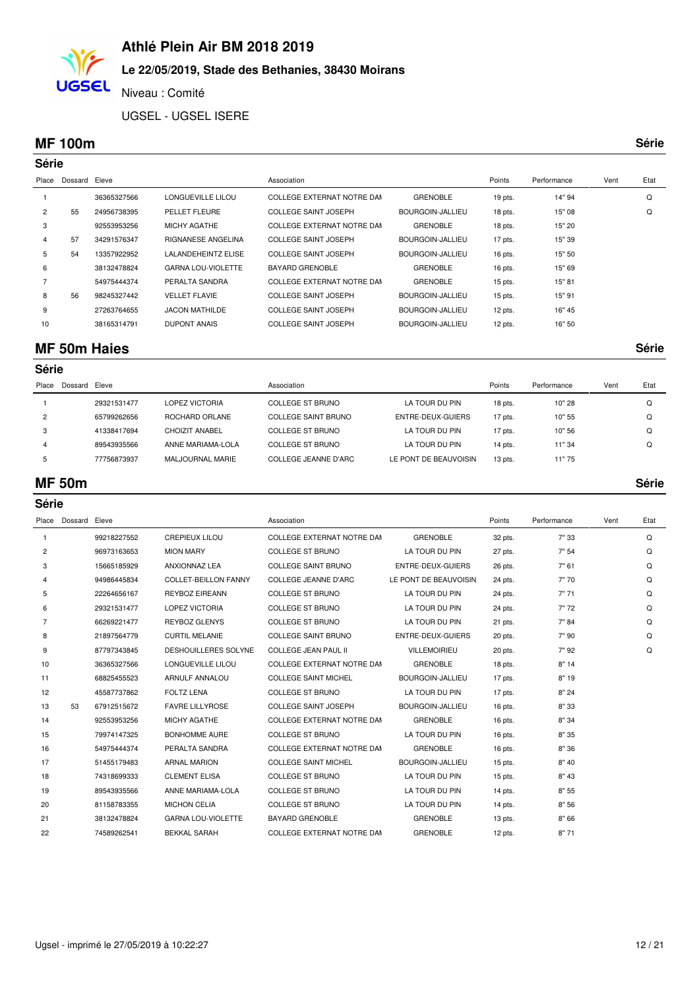

### **Le 22/05/2019, Stade des Bethanies, 38430 Moirans**

Niveau : Comité

UGSEL - UGSEL ISERE

#### **MF 100m Série**

|                | Série   |             |                            |                             |                  |           |             |      |      |
|----------------|---------|-------------|----------------------------|-----------------------------|------------------|-----------|-------------|------|------|
| Place          | Dossard | Eleve       |                            | Association                 |                  | Points    | Performance | Vent | Etat |
|                |         | 36365327566 | LONGUEVILLE LILOU          | COLLEGE EXTERNAT NOTRE DAN  | <b>GRENOBLE</b>  | 19 pts.   | 14" 94      |      | Q    |
| $\overline{2}$ | 55      | 24956738395 | PELLET FLEURE              | <b>COLLEGE SAINT JOSEPH</b> | BOURGOIN-JALLIEU | $18$ pts. | 15" 08      |      | Q    |
| 3              |         | 92553953256 | <b>MICHY AGATHE</b>        | COLLEGE EXTERNAT NOTRE DAN  | <b>GRENOBLE</b>  | $18$ pts. | 15" 20      |      |      |
| 4              | 57      | 34291576347 | RIGNANESE ANGELINA         | <b>COLLEGE SAINT JOSEPH</b> | BOURGOIN-JALLIEU | 17 pts.   | 15" 39      |      |      |
| 5              | 54      | 13357922952 | <b>LALANDEHEINTZ ELISE</b> | <b>COLLEGE SAINT JOSEPH</b> | BOURGOIN-JALLIEU | 16 pts.   | 15" 50      |      |      |
| 6              |         | 38132478824 | <b>GARNA LOU-VIOLETTE</b>  | <b>BAYARD GRENOBLE</b>      | <b>GRENOBLE</b>  | 16 pts.   | 15" 69      |      |      |
|                |         | 54975444374 | PERALTA SANDRA             | COLLEGE EXTERNAT NOTRE DAM  | <b>GRENOBLE</b>  | $15$ pts. | 15" 81      |      |      |
| 8              | 56      | 98245327442 | <b>VELLET FLAVIE</b>       | <b>COLLEGE SAINT JOSEPH</b> | BOURGOIN-JALLIEU | $15$ pts. | 15" 91      |      |      |
| 9              |         | 27263764655 | <b>JACON MATHILDE</b>      | <b>COLLEGE SAINT JOSEPH</b> | BOURGOIN-JALLIEU | 12 pts.   | 16" 45      |      |      |
| 10             |         | 38165314791 | <b>DUPONT ANAIS</b>        | <b>COLLEGE SAINT JOSEPH</b> | BOURGOIN-JALLIEU | $12$ pts. | 16" 50      |      |      |
|                |         |             |                            |                             |                  |           |             |      |      |

### **MF 50m Haies Série**

**Série**

| Place          | Dossard | Eleve       |                         | Association          |                       | Points    | Performance | Vent | Etat |
|----------------|---------|-------------|-------------------------|----------------------|-----------------------|-----------|-------------|------|------|
|                |         | 29321531477 | LOPEZ VICTORIA          | COLLEGE ST BRUNO     | LA TOUR DU PIN        | $18$ pts. | 10"28       |      |      |
| $\overline{c}$ |         | 65799262656 | ROCHARD ORLANE          | COLLEGE SAINT BRUNO  | ENTRE-DEUX-GUIERS     | 17 pts.   | 10" 55      |      |      |
| 3              |         | 41338417694 | CHOIZIT ANABEL          | COLLEGE ST BRUNO     | LA TOUR DU PIN        | 17 pts.   | 10" 56      |      |      |
|                |         | 89543935566 | ANNE MARIAMA-LOLA       | COLLEGE ST BRUNO     | LA TOUR DU PIN        | 14 pts.   | 11" 34      |      |      |
|                |         | 77756873937 | <b>MALJOURNAL MARIE</b> | COLLEGE JEANNE D'ARC | LE PONT DE BEAUVOISIN | $13$ pts. | 11" 75      |      |      |

#### **MF 50m Série**

| Série          |               |             |                             |                             |                       |           |             |      |      |
|----------------|---------------|-------------|-----------------------------|-----------------------------|-----------------------|-----------|-------------|------|------|
| Place          | Dossard Eleve |             |                             | Association                 |                       | Points    | Performance | Vent | Etat |
| 1              |               | 99218227552 | <b>CREPIEUX LILOU</b>       | COLLEGE EXTERNAT NOTRE DAM  | <b>GRENOBLE</b>       | 32 pts.   | 7" 33       |      | Q    |
| 2              |               | 96973163653 | <b>MION MARY</b>            | <b>COLLEGE ST BRUNO</b>     | LA TOUR DU PIN        | 27 pts.   | 7" 54       |      | Q    |
| 3              |               | 15665185929 | <b>ANXIONNAZ LEA</b>        | <b>COLLEGE SAINT BRUNO</b>  | ENTRE-DEUX-GUIERS     | 26 pts.   | 7" 61       |      | Q    |
| 4              |               | 94986445834 | <b>COLLET-BEILLON FANNY</b> | <b>COLLEGE JEANNE D'ARC</b> | LE PONT DE BEAUVOISIN | 24 pts.   | 7"70        |      | Q    |
| 5              |               | 22264656167 | <b>REYBOZ EIREANN</b>       | COLLEGE ST BRUNO            | LA TOUR DU PIN        | 24 pts.   | 7"71        |      | Q    |
| 6              |               | 29321531477 | <b>LOPEZ VICTORIA</b>       | COLLEGE ST BRUNO            | LA TOUR DU PIN        | 24 pts.   | 7"72        |      | Q    |
| $\overline{7}$ |               | 66269221477 | REYBOZ GLENYS               | <b>COLLEGE ST BRUNO</b>     | LA TOUR DU PIN        | 21 pts.   | 7" 84       |      | Q    |
| 8              |               | 21897564779 | <b>CURTIL MELANIE</b>       | <b>COLLEGE SAINT BRUNO</b>  | ENTRE-DEUX-GUIERS     | 20 pts.   | 7"90        |      | Q    |
| 9              |               | 87797343845 | <b>DESHOUILLERES SOLYNE</b> | <b>COLLEGE JEAN PAUL II</b> | <b>VILLEMOIRIEU</b>   | 20 pts.   | 7" 92       |      | Q    |
| 10             |               | 36365327566 | LONGUEVILLE LILOU           | COLLEGE EXTERNAT NOTRE DAM  | <b>GRENOBLE</b>       | 18 pts.   | 8"14        |      |      |
| 11             |               | 68825455523 | ARNULF ANNALOU              | <b>COLLEGE SAINT MICHEL</b> | BOURGOIN-JALLIEU      | 17 pts.   | 8" 19       |      |      |
| 12             |               | 45587737862 | <b>FOLTZ LENA</b>           | COLLEGE ST BRUNO            | LA TOUR DU PIN        | 17 pts.   | 8"24        |      |      |
| 13             | 53            | 67912515672 | <b>FAVRE LILLYROSE</b>      | <b>COLLEGE SAINT JOSEPH</b> | BOURGOIN-JALLIEU      | $16$ pts. | 8"33        |      |      |
| 14             |               | 92553953256 | MICHY AGATHE                | COLLEGE EXTERNAT NOTRE DAM  | <b>GRENOBLE</b>       | 16 pts.   | 8" 34       |      |      |
| 15             |               | 79974147325 | <b>BONHOMME AURE</b>        | <b>COLLEGE ST BRUNO</b>     | LA TOUR DU PIN        | 16 pts.   | 8" 35       |      |      |
| 16             |               | 54975444374 | PERALTA SANDRA              | COLLEGE EXTERNAT NOTRE DAM  | <b>GRENOBLE</b>       | $16$ pts. | 8"36        |      |      |
| 17             |               | 51455179483 | <b>ARNAL MARION</b>         | <b>COLLEGE SAINT MICHEL</b> | BOURGOIN-JALLIEU      | 15 pts.   | 8" 40       |      |      |
| 18             |               | 74318699333 | <b>CLEMENT ELISA</b>        | COLLEGE ST BRUNO            | LA TOUR DU PIN        | 15 pts.   | 8" 43       |      |      |
| 19             |               | 89543935566 | ANNE MARIAMA-LOLA           | COLLEGE ST BRUNO            | LA TOUR DU PIN        | 14 pts.   | 8" 55       |      |      |
| 20             |               | 81158783355 | <b>MICHON CELIA</b>         | COLLEGE ST BRUNO            | LA TOUR DU PIN        | 14 pts.   | 8" 56       |      |      |
| 21             |               | 38132478824 | <b>GARNA LOU-VIOLETTE</b>   | <b>BAYARD GRENOBLE</b>      | <b>GRENOBLE</b>       | 13 pts.   | 8" 66       |      |      |
| 22             |               | 74589262541 | <b>BEKKAL SARAH</b>         | COLLEGE EXTERNAT NOTRE DAM  | <b>GRENOBLE</b>       | $12$ pts. | 8"71        |      |      |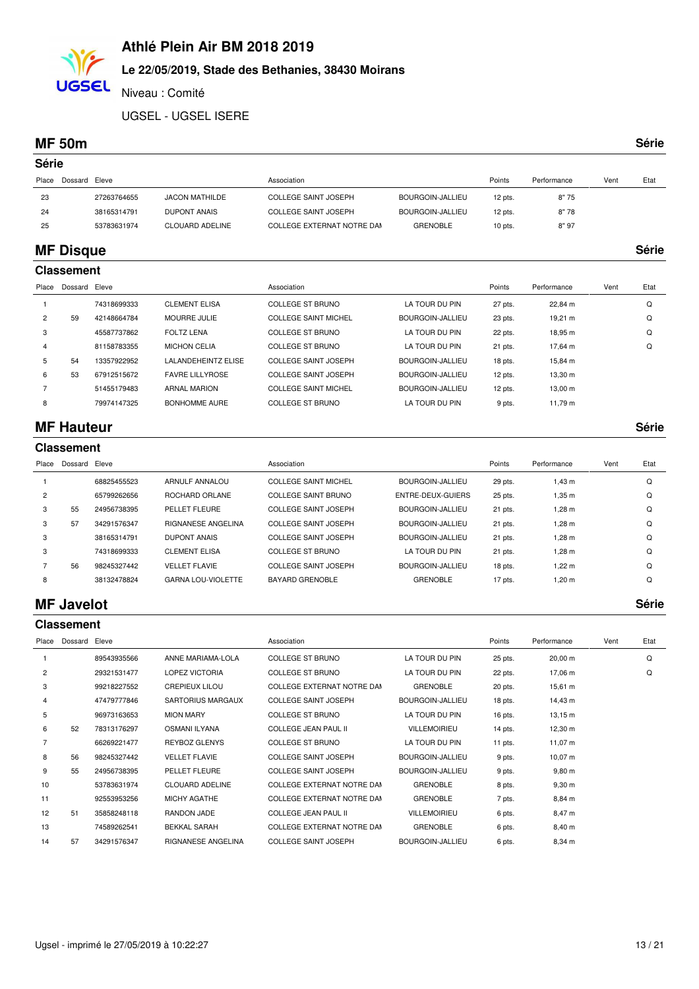### **Le 22/05/2019, Stade des Bethanies, 38430 Moirans**

Niveau : Comité

UGSEL - UGSEL ISERE

#### **MF 50m Série**

**UGSEL** 

| Série          |                   |             |                            |                             |                         |           |             |      |       |
|----------------|-------------------|-------------|----------------------------|-----------------------------|-------------------------|-----------|-------------|------|-------|
| Place          | Dossard           | Eleve       |                            | Association                 |                         | Points    | Performance | Vent | Etat  |
| 23             |                   | 27263764655 | <b>JACON MATHILDE</b>      | <b>COLLEGE SAINT JOSEPH</b> | <b>BOURGOIN-JALLIEU</b> | 12 pts.   | 8"75        |      |       |
| 24             |                   | 38165314791 | <b>DUPONT ANAIS</b>        | <b>COLLEGE SAINT JOSEPH</b> | <b>BOURGOIN-JALLIEU</b> | 12 pts.   | 8"78        |      |       |
| 25             |                   | 53783631974 | <b>CLOUARD ADELINE</b>     | COLLEGE EXTERNAT NOTRE DAM  | <b>GRENOBLE</b>         | $10$ pts. | 8"97        |      |       |
|                | <b>MF Disque</b>  |             |                            |                             |                         |           |             |      | Série |
|                | <b>Classement</b> |             |                            |                             |                         |           |             |      |       |
| Place          | Dossard           | Eleve       |                            | Association                 |                         | Points    | Performance | Vent | Etat  |
|                |                   | 74318699333 | <b>CLEMENT ELISA</b>       | <b>COLLEGE ST BRUNO</b>     | LA TOUR DU PIN          | 27 pts.   | 22,84 m     |      | Q     |
| $\overline{c}$ | 59                | 42148664784 | <b>MOURRE JULIE</b>        | <b>COLLEGE SAINT MICHEL</b> | <b>BOURGOIN-JALLIEU</b> | 23 pts.   | 19,21 m     |      | Q     |
| 3              |                   | 45587737862 | <b>FOLTZ LENA</b>          | <b>COLLEGE ST BRUNO</b>     | LA TOUR DU PIN          | 22 pts.   | 18,95 m     |      | Q     |
| 4              |                   | 81158783355 | <b>MICHON CELIA</b>        | <b>COLLEGE ST BRUNO</b>     | LA TOUR DU PIN          | 21 pts.   | 17,64 m     |      | Q     |
| 5              | 54                | 13357922952 | <b>LALANDEHEINTZ ELISE</b> | <b>COLLEGE SAINT JOSEPH</b> | <b>BOURGOIN-JALLIEU</b> | 18 pts.   | 15,84 m     |      |       |

 53 67912515672 FAVRE LILLYROSE COLLEGE SAINT JOSEPH BOURGOIN-JALLIEU 13,30 m 12 pts. 51455179483 ARNAL MARION COLLEGE SAINT MICHEL BOURGOIN-JALLIEU 13,00 m 12 pts. 8 79974147325 BONHOMME AURE COLLEGE ST BRUNO LA TOUR DU PIN 9 pts. 11,79 m

### **MF Hauteur Série**

|                | <b>Classement</b> |             |                           |                             |                   |         |             |      |      |  |  |  |
|----------------|-------------------|-------------|---------------------------|-----------------------------|-------------------|---------|-------------|------|------|--|--|--|
| Place          | Dossard           | Eleve       |                           | Association                 |                   | Points  | Performance | Vent | Etat |  |  |  |
|                |                   | 68825455523 | <b>ARNULF ANNALOU</b>     | <b>COLLEGE SAINT MICHEL</b> | BOURGOIN-JALLIEU  | 29 pts. | $1,43 \; m$ |      | Q    |  |  |  |
| $\overline{c}$ |                   | 65799262656 | ROCHARD ORLANE            | <b>COLLEGE SAINT BRUNO</b>  | ENTRE-DEUX-GUIERS | 25 pts. | $1,35 \; m$ |      | Q    |  |  |  |
| 3              | 55                | 24956738395 | PELLET FLEURE             | COLLEGE SAINT JOSEPH        | BOURGOIN-JALLIEU  | 21 pts. | $1,28 \; m$ |      | Q    |  |  |  |
| 3              | 57                | 34291576347 | <b>RIGNANESE ANGELINA</b> | COLLEGE SAINT JOSEPH        | BOURGOIN-JALLIEU  | 21 pts. | 1.28 m      |      | Q    |  |  |  |
| 3              |                   | 38165314791 | <b>DUPONT ANAIS</b>       | COLLEGE SAINT JOSEPH        | BOURGOIN-JALLIEU  | 21 pts. | 1,28 m      |      | Q    |  |  |  |
| 3              |                   | 74318699333 | <b>CLEMENT ELISA</b>      | COLLEGE ST BRUNO            | LA TOUR DU PIN    | 21 pts. | $1,28 \; m$ |      | Q    |  |  |  |
|                | 56                | 98245327442 | <b>VELLET FLAVIE</b>      | COLLEGE SAINT JOSEPH        | BOURGOIN-JALLIEU  | 18 pts. | l .22 m     |      | Q    |  |  |  |
| 8              |                   | 38132478824 | <b>GARNA LOU-VIOLETTE</b> | <b>BAYARD GRENOBLE</b>      | <b>GRENOBLE</b>   | 17 pts. | 1,20 m      |      | Q    |  |  |  |

#### **MF Javelot Série**

|                | <b>Classement</b> |             |                        |                             |                     |         |                     |      |      |  |  |  |
|----------------|-------------------|-------------|------------------------|-----------------------------|---------------------|---------|---------------------|------|------|--|--|--|
| Place          | Dossard Eleve     |             |                        | Association                 |                     | Points  | Performance         | Vent | Etat |  |  |  |
|                |                   | 89543935566 | ANNE MARIAMA-LOLA      | <b>COLLEGE ST BRUNO</b>     | LA TOUR DU PIN      | 25 pts. | $20,00 \; \text{m}$ |      | Q    |  |  |  |
| $\overline{2}$ |                   | 29321531477 | LOPEZ VICTORIA         | <b>COLLEGE ST BRUNO</b>     | LA TOUR DU PIN      | 22 pts. | 17,06 m             |      | Q    |  |  |  |
| 3              |                   | 99218227552 | <b>CREPIEUX LILOU</b>  | COLLEGE EXTERNAT NOTRE DAM  | <b>GRENOBLE</b>     | 20 pts. | 15,61 m             |      |      |  |  |  |
| 4              |                   | 47479777846 | SARTORIUS MARGAUX      | <b>COLLEGE SAINT JOSEPH</b> | BOURGOIN-JALLIEU    | 18 pts. | 14,43 m             |      |      |  |  |  |
| 5              |                   | 96973163653 | <b>MION MARY</b>       | <b>COLLEGE ST BRUNO</b>     | LA TOUR DU PIN      | 16 pts. | $13,15 \; m$        |      |      |  |  |  |
| 6              | 52                | 78313176297 | OSMANI ILYANA          | <b>COLLEGE JEAN PAUL II</b> | <b>VILLEMOIRIEU</b> | 14 pts. | 12,30 m             |      |      |  |  |  |
|                |                   | 66269221477 | <b>REYBOZ GLENYS</b>   | <b>COLLEGE ST BRUNO</b>     | LA TOUR DU PIN      | 11 pts. | $11,07 \; m$        |      |      |  |  |  |
| 8              | 56                | 98245327442 | <b>VELLET FLAVIE</b>   | <b>COLLEGE SAINT JOSEPH</b> | BOURGOIN-JALLIEU    | 9 pts.  | $10,07 \; \text{m}$ |      |      |  |  |  |
| 9              | 55                | 24956738395 | PELLET FLEURE          | <b>COLLEGE SAINT JOSEPH</b> | BOURGOIN-JALLIEU    | 9 pts.  | $9,80 \; \text{m}$  |      |      |  |  |  |
| 10             |                   | 53783631974 | <b>CLOUARD ADELINE</b> | COLLEGE EXTERNAT NOTRE DAM  | <b>GRENOBLE</b>     | 8 pts.  | $9,30 \; \text{m}$  |      |      |  |  |  |
| 11             |                   | 92553953256 | MICHY AGATHE           | COLLEGE EXTERNAT NOTRE DAM  | <b>GRENOBLE</b>     | 7 pts.  | 8,84 m              |      |      |  |  |  |
| 12             | 51                | 35858248118 | RANDON JADE            | <b>COLLEGE JEAN PAUL II</b> | <b>VILLEMOIRIEU</b> | 6 pts.  | 8,47 m              |      |      |  |  |  |
| 13             |                   | 74589262541 | <b>BEKKAL SARAH</b>    | COLLEGE EXTERNAT NOTRE DAM  | <b>GRENOBLE</b>     | 6 pts.  | 8,40 m              |      |      |  |  |  |
| 14             | 57                | 34291576347 | RIGNANESE ANGELINA     | <b>COLLEGE SAINT JOSEPH</b> | BOURGOIN-JALLIEU    | 6 pts.  | 8,34 m              |      |      |  |  |  |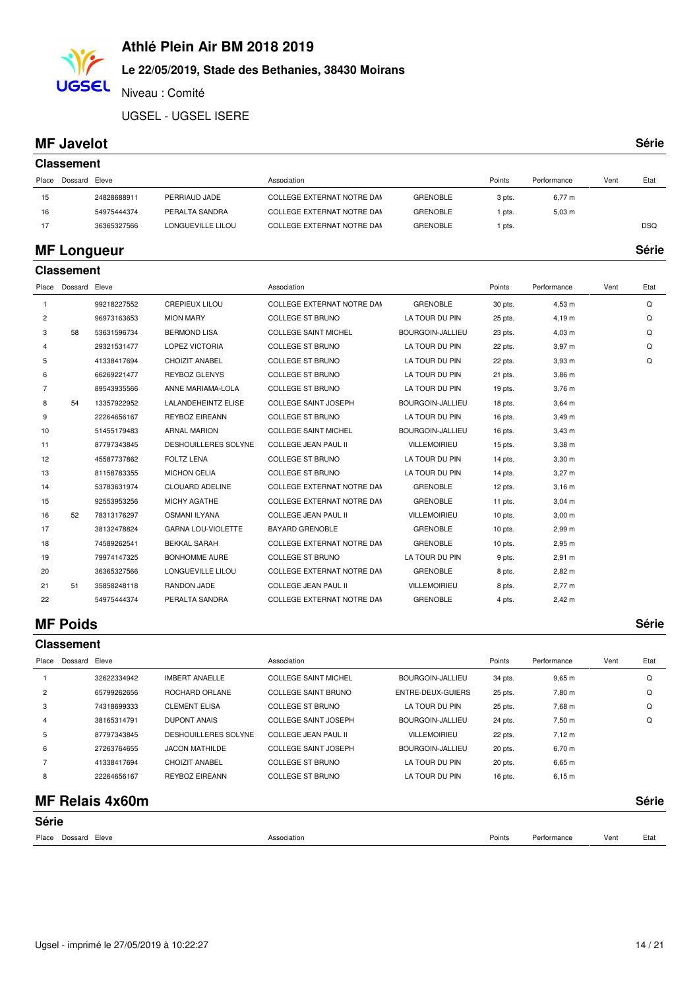# **Le 22/05/2019, Stade des Bethanies, 38430 Moirans**

Niveau : Comité

UGSEL - UGSEL ISERE

#### **MF Javelot Série**

**UGSEL** 

|       | <b>Classement</b> |             |                   |                            |                 |        |             |      |            |  |  |  |  |
|-------|-------------------|-------------|-------------------|----------------------------|-----------------|--------|-------------|------|------------|--|--|--|--|
| Place | Dossard Eleve     |             |                   | Association                |                 | Points | Performance | Vent | Etat       |  |  |  |  |
| 15    |                   | 24828688911 | PERRIAUD JADE     | COLLEGE EXTERNAT NOTRE DAM | <b>GRENOBLE</b> | 3 pts. | $6,77 \; m$ |      |            |  |  |  |  |
| 16    |                   | 54975444374 | PERALTA SANDRA    | COLLEGE EXTERNAT NOTRE DAN | <b>GRENOBLE</b> | pts.   | $5,03 \; m$ |      |            |  |  |  |  |
| 17    |                   | 36365327566 | LONGUEVILLE LILOU | COLLEGE EXTERNAT NOTRE DAN | <b>GRENOBLE</b> | pts.   |             |      | <b>DSQ</b> |  |  |  |  |
|       |                   |             |                   |                            |                 |        |             |      |            |  |  |  |  |

#### **MF Longueur Série**

|                | <b>Classement</b>   |             |                             |                             |                     |           |                    |      |      |  |  |  |
|----------------|---------------------|-------------|-----------------------------|-----------------------------|---------------------|-----------|--------------------|------|------|--|--|--|
|                | Place Dossard Eleve |             |                             | Association                 |                     | Points    | Performance        | Vent | Etat |  |  |  |
| 1              |                     | 99218227552 | <b>CREPIEUX LILOU</b>       | COLLEGE EXTERNAT NOTRE DAM  | <b>GRENOBLE</b>     | 30 pts.   | 4,53 m             |      | Q    |  |  |  |
| 2              |                     | 96973163653 | <b>MION MARY</b>            | <b>COLLEGE ST BRUNO</b>     | LA TOUR DU PIN      | 25 pts.   | 4,19 m             |      | Q    |  |  |  |
| 3              | 58                  | 53631596734 | <b>BERMOND LISA</b>         | <b>COLLEGE SAINT MICHEL</b> | BOURGOIN-JALLIEU    | 23 pts.   | $4,03 \; m$        |      | Q    |  |  |  |
| 4              |                     | 29321531477 | <b>LOPEZ VICTORIA</b>       | <b>COLLEGE ST BRUNO</b>     | LA TOUR DU PIN      | 22 pts.   | 3,97 m             |      | Q    |  |  |  |
| 5              |                     | 41338417694 | CHOIZIT ANABEL              | <b>COLLEGE ST BRUNO</b>     | LA TOUR DU PIN      | 22 pts.   | $3,93$ m           |      | Q    |  |  |  |
| 6              |                     | 66269221477 | <b>REYBOZ GLENYS</b>        | COLLEGE ST BRUNO            | LA TOUR DU PIN      | 21 pts.   | $3,86 \text{ m}$   |      |      |  |  |  |
| $\overline{7}$ |                     | 89543935566 | ANNE MARIAMA-LOLA           | <b>COLLEGE ST BRUNO</b>     | LA TOUR DU PIN      | 19 pts.   | $3,76$ m           |      |      |  |  |  |
| 8              | 54                  | 13357922952 | <b>LALANDEHEINTZ ELISE</b>  | <b>COLLEGE SAINT JOSEPH</b> | BOURGOIN-JALLIEU    | 18 pts.   | $3,64 \, m$        |      |      |  |  |  |
| 9              |                     | 22264656167 | <b>REYBOZ EIREANN</b>       | <b>COLLEGE ST BRUNO</b>     | LA TOUR DU PIN      | 16 pts.   | 3,49 m             |      |      |  |  |  |
| 10             |                     | 51455179483 | <b>ARNAL MARION</b>         | <b>COLLEGE SAINT MICHEL</b> | BOURGOIN-JALLIEU    | 16 pts.   | $3,43 \text{ m}$   |      |      |  |  |  |
| 11             |                     | 87797343845 | <b>DESHOUILLERES SOLYNE</b> | <b>COLLEGE JEAN PAUL II</b> | <b>VILLEMOIRIEU</b> | $15$ pts. | $3,38$ m           |      |      |  |  |  |
| 12             |                     | 45587737862 | <b>FOLTZ LENA</b>           | COLLEGE ST BRUNO            | LA TOUR DU PIN      | 14 pts.   | $3,30 \text{ m}$   |      |      |  |  |  |
| 13             |                     | 81158783355 | <b>MICHON CELIA</b>         | COLLEGE ST BRUNO            | LA TOUR DU PIN      | 14 pts.   | 3,27 m             |      |      |  |  |  |
| 14             |                     | 53783631974 | <b>CLOUARD ADELINE</b>      | COLLEGE EXTERNAT NOTRE DAM  | <b>GRENOBLE</b>     | 12 pts.   | $3,16 \; m$        |      |      |  |  |  |
| 15             |                     | 92553953256 | MICHY AGATHE                | COLLEGE EXTERNAT NOTRE DAM  | <b>GRENOBLE</b>     | 11 pts.   | $3,04 \, m$        |      |      |  |  |  |
| 16             | 52                  | 78313176297 | <b>OSMANI ILYANA</b>        | <b>COLLEGE JEAN PAUL II</b> | VILLEMOIRIEU        | $10$ pts. | $3,00 \; \text{m}$ |      |      |  |  |  |
| 17             |                     | 38132478824 | <b>GARNA LOU-VIOLETTE</b>   | <b>BAYARD GRENOBLE</b>      | <b>GRENOBLE</b>     | $10$ pts. | 2,99 m             |      |      |  |  |  |
| 18             |                     | 74589262541 | <b>BEKKAL SARAH</b>         | COLLEGE EXTERNAT NOTRE DAM  | <b>GRENOBLE</b>     | $10$ pts. | $2,95 \; m$        |      |      |  |  |  |
| 19             |                     | 79974147325 | <b>BONHOMME AURE</b>        | <b>COLLEGE ST BRUNO</b>     | LA TOUR DU PIN      | 9 pts.    | $2,91 \; m$        |      |      |  |  |  |
| 20             |                     | 36365327566 | LONGUEVILLE LILOU           | COLLEGE EXTERNAT NOTRE DAM  | <b>GRENOBLE</b>     | 8 pts.    | $2,82 \, m$        |      |      |  |  |  |
| 21             | 51                  | 35858248118 | RANDON JADE                 | <b>COLLEGE JEAN PAUL II</b> | VILLEMOIRIEU        | 8 pts.    | $2,77 \; m$        |      |      |  |  |  |
| 22             |                     | 54975444374 | PERALTA SANDRA              | COLLEGE EXTERNAT NOTRE DAM  | <b>GRENOBLE</b>     | 4 pts.    | 2,42 m             |      |      |  |  |  |

#### **MF Poids Série**

|                | <b>Classement</b> |             |                             |                             |                     |         |             |      |      |  |  |  |
|----------------|-------------------|-------------|-----------------------------|-----------------------------|---------------------|---------|-------------|------|------|--|--|--|
| Place          | Dossard           | Eleve       |                             | Association                 |                     | Points  | Performance | Vent | Etat |  |  |  |
|                |                   | 32622334942 | <b>IMBERT ANAELLE</b>       | <b>COLLEGE SAINT MICHEL</b> | BOURGOIN-JALLIEU    | 34 pts. | $9,65 \; m$ |      | Q    |  |  |  |
| $\overline{2}$ |                   | 65799262656 | ROCHARD ORLANE              | COLLEGE SAINT BRUNO         | ENTRE-DEUX-GUIERS   | 25 pts. | 7,80 m      |      | Q    |  |  |  |
| 3              |                   | 74318699333 | <b>CLEMENT ELISA</b>        | COLLEGE ST BRUNO            | LA TOUR DU PIN      | 25 pts. | 7,68 m      |      | Q    |  |  |  |
| 4              |                   | 38165314791 | <b>DUPONT ANAIS</b>         | COLLEGE SAINT JOSEPH        | BOURGOIN-JALLIEU    | 24 pts. | 7,50 m      |      | Q    |  |  |  |
| 5              |                   | 87797343845 | <b>DESHOUILLERES SOLYNE</b> | COLLEGE JEAN PAUL II        | <b>VILLEMOIRIEU</b> | 22 pts. | 7.12 m      |      |      |  |  |  |
| 6              |                   | 27263764655 | <b>JACON MATHILDE</b>       | COLLEGE SAINT JOSEPH        | BOURGOIN-JALLIEU    | 20 pts. | $6,70 \; m$ |      |      |  |  |  |
|                |                   | 41338417694 | CHOIZIT ANABEL              | COLLEGE ST BRUNO            | LA TOUR DU PIN      | 20 pts. | $6,65 \; m$ |      |      |  |  |  |
| 8              |                   | 22264656167 | <b>REYBOZ EIREANN</b>       | <b>COLLEGE ST BRUNO</b>     | LA TOUR DU PIN      | 16 pts. | 6,15 m      |      |      |  |  |  |
|                |                   |             |                             |                             |                     |         |             |      |      |  |  |  |

#### **MF Relais 4x60m Série**

| Série               |             |        |             |      |      |  |  |
|---------------------|-------------|--------|-------------|------|------|--|--|
| Place Dossard Eleve | Association | Points | Performance | Vent | Etat |  |  |
|                     |             |        |             |      |      |  |  |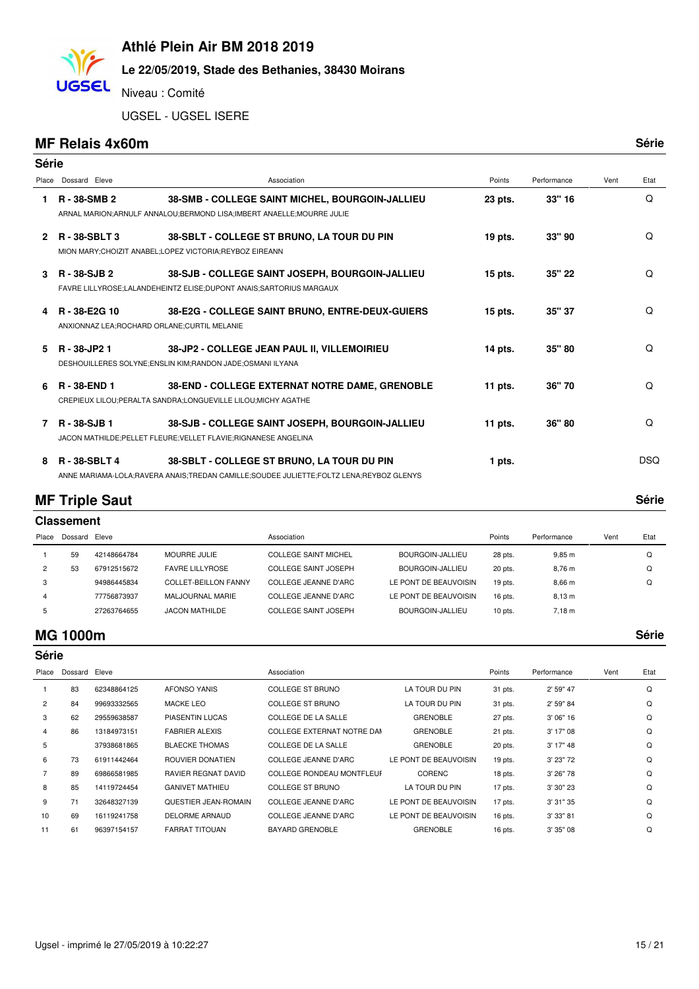# **Le 22/05/2019, Stade des Bethanies, 38430 Moirans**

Niveau : Comité

UGSEL - UGSEL ISERE

#### **MF Relais 4x60m Série**

**UGSEL** 

| Série         |                                                              |                                                                                                                                      |           |             |      |            |
|---------------|--------------------------------------------------------------|--------------------------------------------------------------------------------------------------------------------------------------|-----------|-------------|------|------------|
| Place         | Dossard Eleve                                                | Association                                                                                                                          | Points    | Performance | Vent | Etat       |
| 1             | R-38-SMB 2                                                   | 38-SMB - COLLEGE SAINT MICHEL, BOURGOIN-JALLIEU<br>ARNAL MARION; ARNULF ANNALOU; BERMOND LISA; IMBERT ANAELLE; MOURRE JULIE          | 23 pts.   | 33" 16      |      | Q          |
| $\mathcal{P}$ | <b>R-38-SBLT3</b>                                            | 38-SBLT - COLLEGE ST BRUNO, LA TOUR DU PIN<br>MION MARY; CHOIZIT ANABEL; LOPEZ VICTORIA; REYBOZ EIREANN                              | 19 pts.   | 33" 90      |      | Q          |
| 3             | R - 38-SJB 2                                                 | 38-SJB - COLLEGE SAINT JOSEPH, BOURGOIN-JALLIEU<br>FAVRE LILLYROSE;LALANDEHEINTZ ELISE;DUPONT ANAIS;SARTORIUS MARGAUX                | $15$ pts. | 35" 22      |      | Q          |
| 4             | R-38-E2G 10<br>ANXIONNAZ LEA; ROCHARD ORLANE; CURTIL MELANIE | 38-E2G - COLLEGE SAINT BRUNO, ENTRE-DEUX-GUIERS                                                                                      | $15$ pts. | 35" 37      |      | Q          |
| 5.            | R - 38-JP2 1                                                 | 38-JP2 - COLLEGE JEAN PAUL II, VILLEMOIRIEU<br>DESHOUILLERES SOLYNE;ENSLIN KIM;RANDON JADE;OSMANI ILYANA                             | 14 pts.   | 35" 80      |      | Q          |
| 6             | R-38-END 1                                                   | 38-END - COLLEGE EXTERNAT NOTRE DAME, GRENOBLE<br>CREPIEUX LILOU; PERALTA SANDRA; LONGUEVILLE LILOU; MICHY AGATHE                    | 11 pts.   | 36"70       |      | Q          |
| 7             | R-38-SJB1                                                    | 38-SJB - COLLEGE SAINT JOSEPH, BOURGOIN-JALLIEU<br>JACON MATHILDE; PELLET FLEURE; VELLET FLAVIE; RIGNANESE ANGELINA                  | 11 pts.   | 36" 80      |      | Q          |
| 8             | <b>R-38-SBLT4</b>                                            | 38-SBLT - COLLEGE ST BRUNO, LA TOUR DU PIN<br>ANNE MARIAMA-LOLA;RAVERA ANAIS;TREDAN CAMILLE;SOUDEE JULIETTE;FOLTZ LENA;REYBOZ GLENYS | 1 pts.    |             |      | <b>DSQ</b> |

### **MF Triple Saut Série**

|                | <b>Classement</b> |             |                        |                             |                       |           |                   |      |      |  |  |  |
|----------------|-------------------|-------------|------------------------|-----------------------------|-----------------------|-----------|-------------------|------|------|--|--|--|
| Place          | Dossard Eleve     |             |                        | Association                 |                       | Points    | Performance       | Vent | Etat |  |  |  |
|                | 59                | 42148664784 | <b>MOURRE JULIE</b>    | <b>COLLEGE SAINT MICHEL</b> | BOURGOIN-JALLIEU      | 28 pts.   | 9.85 m            |      | Q    |  |  |  |
| $\overline{2}$ | 53                | 67912515672 | <b>FAVRE LILLYROSE</b> | COLLEGE SAINT JOSEPH        | BOURGOIN-JALLIEU      | 20 pts.   | 8.76 m            |      | Q    |  |  |  |
| 3              |                   | 94986445834 | COLLET-BEILLON FANNY   | COLLEGE JEANNE D'ARC        | LE PONT DE BEAUVOISIN | $19$ pts. | 8.66 <sub>m</sub> |      | Q    |  |  |  |
| 4              |                   | 77756873937 | MALJOURNAL MARIE       | COLLEGE JEANNE D'ARC        | LE PONT DE BEAUVOISIN | 16 pts.   | 8,13 m            |      |      |  |  |  |
| 5              |                   | 27263764655 | <b>JACON MATHILDE</b>  | COLLEGE SAINT JOSEPH        | BOURGOIN-JALLIEU      | $10$ pts. | $7,18 \; m$       |      |      |  |  |  |

#### **MG 1000m Série**

|                | <b>Série</b> |             |                            |                                  |                       |           |             |      |      |  |  |
|----------------|--------------|-------------|----------------------------|----------------------------------|-----------------------|-----------|-------------|------|------|--|--|
| Place          | Dossard      | Eleve       |                            | Association                      |                       | Points    | Performance | Vent | Etat |  |  |
|                | 83           | 62348864125 | <b>AFONSO YANIS</b>        | <b>COLLEGE ST BRUNO</b>          | LA TOUR DU PIN        | 31 pts.   | 2' 59" 47   |      | Q    |  |  |
| $\overline{2}$ | 84           | 99693332565 | <b>MACKE LEO</b>           | <b>COLLEGE ST BRUNO</b>          | LA TOUR DU PIN        | 31 pts.   | 2' 59" 84   |      | Q    |  |  |
| 3              | 62           | 29559638587 | PIASENTIN LUCAS            | <b>COLLEGE DE LA SALLE</b>       | <b>GRENOBLE</b>       | 27 pts.   | 3' 06" 16   |      | Q    |  |  |
| 4              | 86           | 13184973151 | <b>FABRIER ALEXIS</b>      | COLLEGE EXTERNAT NOTRE DAM       | <b>GRENOBLE</b>       | 21 pts.   | 3' 17" 08   |      | Q    |  |  |
| 5              |              | 37938681865 | <b>BLAECKE THOMAS</b>      | <b>COLLEGE DE LA SALLE</b>       | <b>GRENOBLE</b>       | 20 pts.   | 3' 17" 48   |      | Q    |  |  |
| 6              | 73           | 61911442464 | ROUVIER DONATIEN           | COLLEGE JEANNE D'ARC             | LE PONT DE BEAUVOISIN | $19$ pts. | 3' 23" 72   |      | Q    |  |  |
|                | 89           | 69866581985 | <b>RAVIER REGNAT DAVID</b> | <b>COLLEGE RONDEAU MONTFLEUF</b> | CORENC                | 18 pts.   | 3' 26" 78   |      | Q    |  |  |
| 8              | 85           | 14119724454 | <b>GANIVET MATHIEU</b>     | <b>COLLEGE ST BRUNO</b>          | LA TOUR DU PIN        | 17 pts.   | 3' 30" 23   |      | Q    |  |  |
| 9              | 71           | 32648327139 | QUESTIER JEAN-ROMAIN       | <b>COLLEGE JEANNE D'ARC</b>      | LE PONT DE BEAUVOISIN | 17 pts.   | 3' 31" 35   |      | Q    |  |  |
| 10             | 69           | 16119241758 | <b>DELORME ARNAUD</b>      | <b>COLLEGE JEANNE D'ARC</b>      | LE PONT DE BEAUVOISIN | 16 pts.   | 3' 33" 81   |      | Q    |  |  |
| 11             | 61           | 96397154157 | <b>FARRAT TITOUAN</b>      | <b>BAYARD GRENOBLE</b>           | <b>GRENOBLE</b>       | 16 pts.   | 3' 35" 08   |      | Q    |  |  |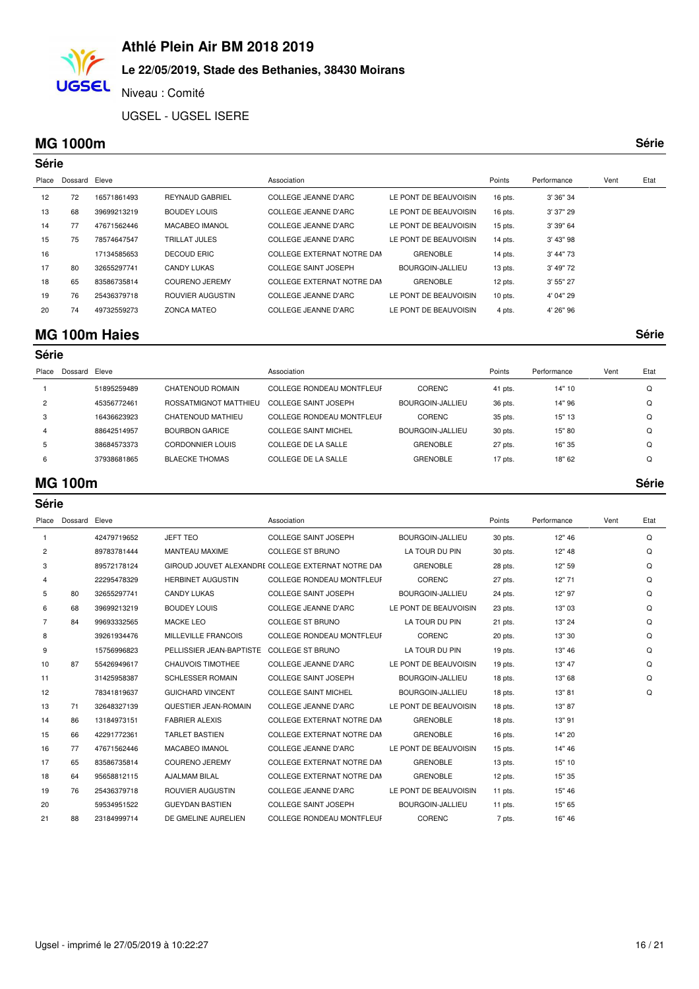### **Le 22/05/2019, Stade des Bethanies, 38430 Moirans**

Niveau : Comité

UGSEL - UGSEL ISERE

#### **MG 1000m Série**

**UGSEL** 

|       | <b>Série</b> |             |                        |                             |                         |           |             |      |      |  |  |  |
|-------|--------------|-------------|------------------------|-----------------------------|-------------------------|-----------|-------------|------|------|--|--|--|
| Place | Dossard      | Eleve       |                        | Association                 |                         | Points    | Performance | Vent | Etat |  |  |  |
| 12    | 72           | 16571861493 | <b>REYNAUD GABRIEL</b> | COLLEGE JEANNE D'ARC        | LE PONT DE BEAUVOISIN   | 16 pts.   | 3' 36" 34   |      |      |  |  |  |
| 13    | 68           | 39699213219 | <b>BOUDEY LOUIS</b>    | COLLEGE JEANNE D'ARC        | LE PONT DE BEAUVOISIN   | 16 pts.   | 3' 37" 29   |      |      |  |  |  |
| 14    | 77           | 47671562446 | MACABEO IMANOL         | COLLEGE JEANNE D'ARC        | LE PONT DE BEAUVOISIN   | 15 pts.   | 3' 39" 64   |      |      |  |  |  |
| 15    | 75           | 78574647547 | TRILLAT JULES          | COLLEGE JEANNE D'ARC        | LE PONT DE BEAUVOISIN   | 14 pts.   | 3' 43" 98   |      |      |  |  |  |
| 16    |              | 17134585653 | DECOUD ERIC            | COLLEGE EXTERNAT NOTRE DAM  | <b>GRENOBLE</b>         | 14 pts.   | 3' 44" 73   |      |      |  |  |  |
| 17    | 80           | 32655297741 | CANDY LUKAS            | COLLEGE SAINT JOSEPH        | <b>BOURGOIN-JALLIEU</b> | $13$ pts. | 3' 49" 72   |      |      |  |  |  |
| 18    | 65           | 83586735814 | COURENO JEREMY         | COLLEGE EXTERNAT NOTRE DAM  | <b>GRENOBLE</b>         | 12 pts.   | 3' 55" 27   |      |      |  |  |  |
| 19    | 76           | 25436379718 | ROUVIER AUGUSTIN       | COLLEGE JEANNE D'ARC        | LE PONT DE BEAUVOISIN   | $10$ pts. | 4' 04" 29   |      |      |  |  |  |
| 20    | 74           | 49732559273 | <b>ZONCA MATEO</b>     | <b>COLLEGE JEANNE D'ARC</b> | LE PONT DE BEAUVOISIN   | 4 pts.    | 4' 26" 96   |      |      |  |  |  |

#### **MG 100m Haies Série**

| Place | Dossard Eleve |             |                       | Association                      |                  | Points    | Performance | Vent | Etat |
|-------|---------------|-------------|-----------------------|----------------------------------|------------------|-----------|-------------|------|------|
|       |               | 51895259489 | CHATENOUD ROMAIN      | <b>COLLEGE RONDEAU MONTFLEUF</b> | <b>CORENC</b>    | $41$ pts. | 14" 10      |      | Q    |
|       |               | 45356772461 | ROSSATMIGNOT MATTHIEU | COLLEGE SAINT JOSEPH             | BOURGOIN-JALLIEU | 36 pts.   | 14"96       |      | Q    |
|       |               | 16436623923 | CHATENOUD MATHIEU     | <b>COLLEGE RONDEAU MONTFLEUF</b> | <b>CORENC</b>    | 35 pts.   | 15" 13      |      | Q    |
|       |               | 88642514957 | <b>BOURBON GARICE</b> | COLLEGE SAINT MICHEL             | BOURGOIN-JALLIEU | 30 pts.   | 15" 80      |      | O    |
|       |               | 38684573373 | CORDONNIER LOUIS      | COLLEGE DE LA SALLE              | <b>GRENOBLE</b>  | 27 pts.   | 16" 35      |      | Q    |
| 6     |               | 37938681865 | <b>BLAECKE THOMAS</b> | COLLEGE DE LA SALLE              | <b>GRENOBLE</b>  | 17 pts.   | 18" 62      |      | Q    |
|       |               |             |                       |                                  |                  |           |             |      |      |

#### **MG 100m Série**

| Série          |         |             |                          |                                                    |                         |           |             |      |      |
|----------------|---------|-------------|--------------------------|----------------------------------------------------|-------------------------|-----------|-------------|------|------|
| Place          | Dossard | Eleve       |                          | Association                                        |                         | Points    | Performance | Vent | Etat |
| $\mathbf{1}$   |         | 42479719652 | <b>JEFT TEO</b>          | <b>COLLEGE SAINT JOSEPH</b>                        | <b>BOURGOIN-JALLIEU</b> | 30 pts.   | 12" 46      |      | Q    |
| 2              |         | 89783781444 | <b>MANTEAU MAXIME</b>    | <b>COLLEGE ST BRUNO</b>                            | LA TOUR DU PIN          | 30 pts.   | 12" 48      |      | Q    |
| 3              |         | 89572178124 |                          | GIROUD JOUVET ALEXANDRE COLLEGE EXTERNAT NOTRE DAM | <b>GRENOBLE</b>         | 28 pts.   | 12" 59      |      | Q    |
| 4              |         | 22295478329 | <b>HERBINET AUGUSTIN</b> | <b>COLLEGE RONDEAU MONTFLEUF</b>                   | CORENC                  | 27 pts.   | 12" 71      |      | Q    |
| 5              | 80      | 32655297741 | <b>CANDY LUKAS</b>       | <b>COLLEGE SAINT JOSEPH</b>                        | BOURGOIN-JALLIEU        | 24 pts.   | 12" 97      |      | Q    |
| 6              | 68      | 39699213219 | <b>BOUDEY LOUIS</b>      | COLLEGE JEANNE D'ARC                               | LE PONT DE BEAUVOISIN   | 23 pts.   | 13" 03      |      | Q    |
| $\overline{7}$ | 84      | 99693332565 | <b>MACKE LEO</b>         | <b>COLLEGE ST BRUNO</b>                            | LA TOUR DU PIN          | 21 pts.   | 13" 24      |      | Q    |
| 8              |         | 39261934476 | MILLEVILLE FRANCOIS      | COLLEGE RONDEAU MONTFLEUF                          | <b>CORENC</b>           | 20 pts.   | 13" 30      |      | Q    |
| 9              |         | 15756996823 | PELLISSIER JEAN-BAPTISTE | <b>COLLEGE ST BRUNO</b>                            | LA TOUR DU PIN          | 19 pts.   | 13" 46      |      | Q    |
| 10             | 87      | 55426949617 | <b>CHAUVOIS TIMOTHEE</b> | <b>COLLEGE JEANNE D'ARC</b>                        | LE PONT DE BEAUVOISIN   | 19 pts.   | 13" 47      |      | Q    |
| 11             |         | 31425958387 | <b>SCHLESSER ROMAIN</b>  | <b>COLLEGE SAINT JOSEPH</b>                        | <b>BOURGOIN-JALLIEU</b> | 18 pts.   | 13" 68      |      | Q    |
| 12             |         | 78341819637 | <b>GUICHARD VINCENT</b>  | <b>COLLEGE SAINT MICHEL</b>                        | BOURGOIN-JALLIEU        | 18 pts.   | 13" 81      |      | Q    |
| 13             | 71      | 32648327139 | QUESTIER JEAN-ROMAIN     | <b>COLLEGE JEANNE D'ARC</b>                        | LE PONT DE BEAUVOISIN   | 18 pts.   | 13" 87      |      |      |
| 14             | 86      | 13184973151 | <b>FABRIER ALEXIS</b>    | COLLEGE EXTERNAT NOTRE DAM                         | <b>GRENOBLE</b>         | 18 pts.   | 13" 91      |      |      |
| 15             | 66      | 42291772361 | <b>TARLET BASTIEN</b>    | COLLEGE EXTERNAT NOTRE DAM                         | <b>GRENOBLE</b>         | $16$ pts. | 14" 20      |      |      |
| 16             | 77      | 47671562446 | <b>MACABEO IMANOL</b>    | <b>COLLEGE JEANNE D'ARC</b>                        | LE PONT DE BEAUVOISIN   | 15 pts.   | 14" 46      |      |      |
| 17             | 65      | 83586735814 | <b>COURENO JEREMY</b>    | COLLEGE EXTERNAT NOTRE DAM                         | <b>GRENOBLE</b>         | 13 pts.   | 15" 10      |      |      |
| 18             | 64      | 95658812115 | <b>AJALMAM BILAL</b>     | COLLEGE EXTERNAT NOTRE DAM                         | <b>GRENOBLE</b>         | 12 pts.   | 15" 35      |      |      |
| 19             | 76      | 25436379718 | ROUVIER AUGUSTIN         | COLLEGE JEANNE D'ARC                               | LE PONT DE BEAUVOISIN   | 11 pts.   | 15" 46      |      |      |
| 20             |         | 59534951522 | <b>GUEYDAN BASTIEN</b>   | COLLEGE SAINT JOSEPH                               | BOURGOIN-JALLIEU        | 11 pts.   | 15" 65      |      |      |
| 21             | 88      | 23184999714 | DE GMELINE AURELIEN      | <b>COLLEGE RONDEAU MONTFLEUF</b>                   | <b>CORENC</b>           | 7 pts.    | 16" 46      |      |      |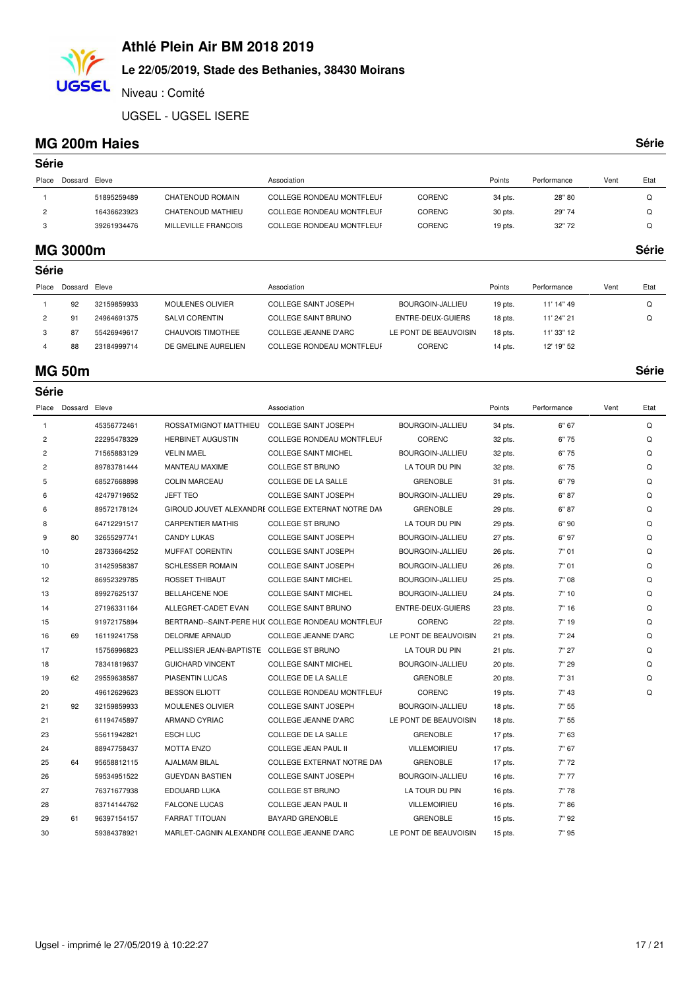# **Le 22/05/2019, Stade des Bethanies, 38430 Moirans**

Niveau : Comité

UGSEL - UGSEL ISERE

#### **MG 200m Haies Série**

**UGSEL** 

| ×<br>×<br>۰,<br>۰. |  |  |  | I |
|--------------------|--|--|--|---|
|--------------------|--|--|--|---|

| Série          |           |             |                     |                                  |               |           |             |      |      |  |
|----------------|-----------|-------------|---------------------|----------------------------------|---------------|-----------|-------------|------|------|--|
| Place          | Dossard   | Eleve       |                     | Association                      |               | Points    | Performance | Vent | Etat |  |
|                |           | 51895259489 | CHATENOUD ROMAIN    | <b>COLLEGE RONDEAU MONTFLEUF</b> | <b>CORENC</b> | 34 pts.   | 28"80       |      | Q    |  |
| $\overline{2}$ |           | 16436623923 | CHATENOUD MATHIEU   | <b>COLLEGE RONDEAU MONTFLEUF</b> | CORENC        | 30 pts.   | 29"74       |      | Q    |  |
| 3              |           | 39261934476 | MILLEVILLE FRANCOIS | <b>COLLEGE RONDEAU MONTFLEUF</b> | <b>CORENC</b> | $19$ pts. | 32"72       |      | Q    |  |
|                | _ _ _ _ _ |             |                     |                                  |               |           |             |      |      |  |

#### **MG 3000m Série**

| Série   |             |                         |                                  |                       |         |             |      |          |
|---------|-------------|-------------------------|----------------------------------|-----------------------|---------|-------------|------|----------|
| Dossard | Eleve       |                         | Association                      |                       | Points  | Performance | Vent | Etat     |
| 92      | 32159859933 | <b>MOULENES OLIVIER</b> | <b>COLLEGE SAINT JOSEPH</b>      | BOURGOIN-JALLIEU      | 19 pts. | 11' 14" 49  |      | $\Omega$ |
| 91      | 24964691375 | SALVI CORENTIN          | COLLEGE SAINT BRUNO              | ENTRE-DEUX-GUIERS     | 18 pts. | 11' 24" 21  |      | Q        |
| 87      | 55426949617 | CHAUVOIS TIMOTHEE       | COLLEGE JEANNE D'ARC             | LE PONT DE BEAUVOISIN | 18 pts. | 11' 33" 12  |      |          |
| 88      | 23184999714 | DE GMELINE AURELIEN     | <b>COLLEGE RONDEAU MONTFLEUF</b> | CORENC                | 14 pts. | 12' 19" 52  |      |          |
|         |             |                         |                                  |                       |         |             |      |          |

#### **MG 50m Série**

| Série          |                     |             |                                              |                                                    |                         |           |             |      |      |
|----------------|---------------------|-------------|----------------------------------------------|----------------------------------------------------|-------------------------|-----------|-------------|------|------|
|                | Place Dossard Eleve |             |                                              | Association                                        |                         | Points    | Performance | Vent | Etat |
| $\mathbf{1}$   |                     | 45356772461 | ROSSATMIGNOT MATTHIEU                        | <b>COLLEGE SAINT JOSEPH</b>                        | BOURGOIN-JALLIEU        | 34 pts.   | 6" 67       |      | Q    |
| $\overline{c}$ |                     | 22295478329 | <b>HERBINET AUGUSTIN</b>                     | <b>COLLEGE RONDEAU MONTFLEUF</b>                   | <b>CORENC</b>           | 32 pts.   | 6"75        |      | Q    |
| $\overline{c}$ |                     | 71565883129 | <b>VELIN MAEL</b>                            | <b>COLLEGE SAINT MICHEL</b>                        | BOURGOIN-JALLIEU        | 32 pts.   | 6"75        |      | Q    |
| $\overline{2}$ |                     | 89783781444 | MANTEAU MAXIME                               | <b>COLLEGE ST BRUNO</b>                            | LA TOUR DU PIN          | 32 pts.   | 6"75        |      | Q    |
| 5              |                     | 68527668898 | <b>COLIN MARCEAU</b>                         | <b>COLLEGE DE LA SALLE</b>                         | <b>GRENOBLE</b>         | 31 pts.   | 6"79        |      | Q    |
| 6              |                     | 42479719652 | <b>JEFT TEO</b>                              | <b>COLLEGE SAINT JOSEPH</b>                        | <b>BOURGOIN-JALLIEU</b> | 29 pts.   | 6" 87       |      | Q    |
| 6              |                     | 89572178124 |                                              | GIROUD JOUVET ALEXANDRE COLLEGE EXTERNAT NOTRE DAM | <b>GRENOBLE</b>         | 29 pts.   | 6"87        |      | Q    |
| 8              |                     | 64712291517 | <b>CARPENTIER MATHIS</b>                     | <b>COLLEGE ST BRUNO</b>                            | LA TOUR DU PIN          | 29 pts.   | 6"90        |      | Q    |
| 9              | 80                  | 32655297741 | <b>CANDY LUKAS</b>                           | <b>COLLEGE SAINT JOSEPH</b>                        | BOURGOIN-JALLIEU        | 27 pts.   | 6" 97       |      | Q    |
| 10             |                     | 28733664252 | MUFFAT CORENTIN                              | <b>COLLEGE SAINT JOSEPH</b>                        | BOURGOIN-JALLIEU        | 26 pts.   | 7" 01       |      | Q    |
| 10             |                     | 31425958387 | <b>SCHLESSER ROMAIN</b>                      | <b>COLLEGE SAINT JOSEPH</b>                        | BOURGOIN-JALLIEU        | 26 pts.   | 7" 01       |      | Q    |
| 12             |                     | 86952329785 | <b>ROSSET THIBAUT</b>                        | <b>COLLEGE SAINT MICHEL</b>                        | <b>BOURGOIN-JALLIEU</b> | 25 pts.   | 7" 08       |      | Q    |
| 13             |                     | 89927625137 | <b>BELLAHCENE NOE</b>                        | <b>COLLEGE SAINT MICHEL</b>                        | <b>BOURGOIN-JALLIEU</b> | 24 pts.   | 7" 10       |      | Q    |
| 14             |                     | 27196331164 | ALLEGRET-CADET EVAN                          | <b>COLLEGE SAINT BRUNO</b>                         | ENTRE-DEUX-GUIERS       | 23 pts.   | 7" 16       |      | Q    |
| 15             |                     | 91972175894 |                                              | BERTRAND--SAINT-PERE HU( COLLEGE RONDEAU MONTFLEUF | <b>CORENC</b>           | 22 pts.   | 7" 19       |      | Q    |
| 16             | 69                  | 16119241758 | <b>DELORME ARNAUD</b>                        | COLLEGE JEANNE D'ARC                               | LE PONT DE BEAUVOISIN   | 21 pts.   | 7" 24       |      | Q    |
| 17             |                     | 15756996823 | PELLISSIER JEAN-BAPTISTE                     | <b>COLLEGE ST BRUNO</b>                            | LA TOUR DU PIN          | 21 pts.   | 7" 27       |      | Q    |
| 18             |                     | 78341819637 | <b>GUICHARD VINCENT</b>                      | <b>COLLEGE SAINT MICHEL</b>                        | BOURGOIN-JALLIEU        | 20 pts.   | 7" 29       |      | Q    |
| 19             | 62                  | 29559638587 | PIASENTIN LUCAS                              | COLLEGE DE LA SALLE                                | <b>GRENOBLE</b>         | 20 pts.   | 7" 31       |      | Q    |
| 20             |                     | 49612629623 | <b>BESSON ELIOTT</b>                         | <b>COLLEGE RONDEAU MONTFLEUF</b>                   | CORENC                  | 19 pts.   | 7" 43       |      | Q    |
| 21             | 92                  | 32159859933 | <b>MOULENES OLIVIER</b>                      | <b>COLLEGE SAINT JOSEPH</b>                        | BOURGOIN-JALLIEU        | 18 pts.   | 7" 55       |      |      |
| 21             |                     | 61194745897 | <b>ARMAND CYRIAC</b>                         | COLLEGE JEANNE D'ARC                               | LE PONT DE BEAUVOISIN   | 18 pts.   | 7" 55       |      |      |
| 23             |                     | 55611942821 | <b>ESCH LUC</b>                              | COLLEGE DE LA SALLE                                | <b>GRENOBLE</b>         | 17 pts.   | 7" 63       |      |      |
| 24             |                     | 88947758437 | <b>MOTTA ENZO</b>                            | COLLEGE JEAN PAUL II                               | <b>VILLEMOIRIEU</b>     | 17 pts.   | 7" 67       |      |      |
| 25             | 64                  | 95658812115 | <b>AJALMAM BILAL</b>                         | COLLEGE EXTERNAT NOTRE DAM                         | <b>GRENOBLE</b>         | 17 pts.   | 7"72        |      |      |
| 26             |                     | 59534951522 | <b>GUEYDAN BASTIEN</b>                       | <b>COLLEGE SAINT JOSEPH</b>                        | BOURGOIN-JALLIEU        | 16 pts.   | 7"77        |      |      |
| 27             |                     | 76371677938 | EDOUARD LUKA                                 | <b>COLLEGE ST BRUNO</b>                            | LA TOUR DU PIN          | 16 pts.   | 7"78        |      |      |
| 28             |                     | 83714144762 | <b>FALCONE LUCAS</b>                         | <b>COLLEGE JEAN PAUL II</b>                        | <b>VILLEMOIRIEU</b>     | 16 pts.   | 7"86        |      |      |
| 29             | 61                  | 96397154157 | <b>FARRAT TITOUAN</b>                        | <b>BAYARD GRENOBLE</b>                             | <b>GRENOBLE</b>         | 15 pts.   | 7" 92       |      |      |
| 30             |                     | 59384378921 | MARLET-CAGNIN ALEXANDRE COLLEGE JEANNE D'ARC |                                                    | LE PONT DE BEAUVOISIN   | $15$ pts. | 7" 95       |      |      |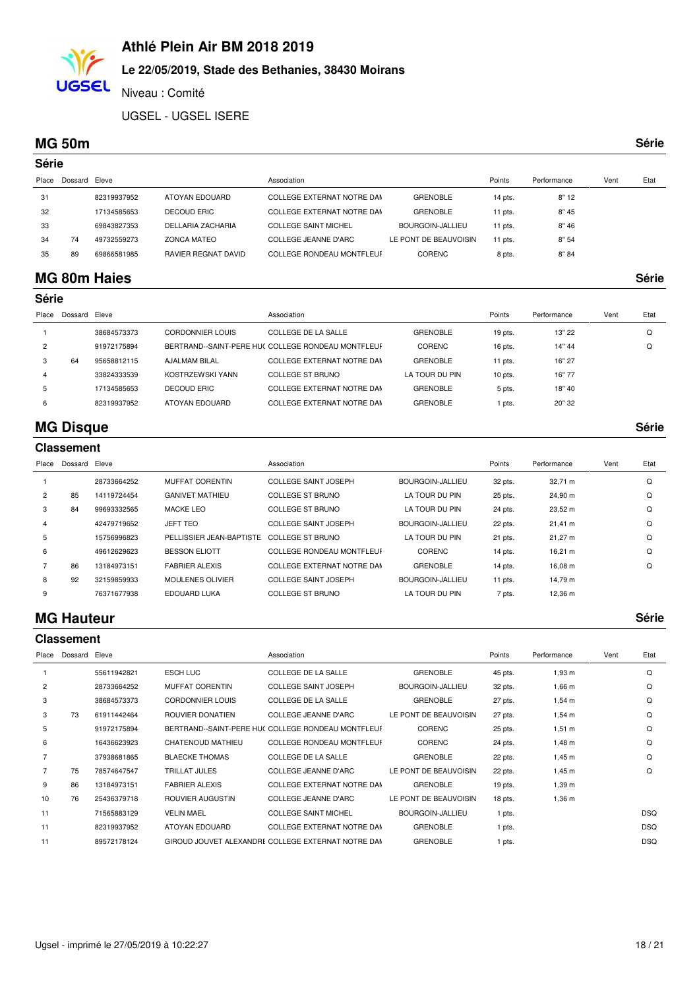### **Le 22/05/2019, Stade des Bethanies, 38430 Moirans**

Niveau : Comité

UGSEL - UGSEL ISERE

#### **MG 50m Série**

**UGSEL** 

| ×<br>×<br>۰.<br>۰,<br>۰. |  |
|--------------------------|--|

| Série |               |             |                     |                                  |                       |           |             |      |      |
|-------|---------------|-------------|---------------------|----------------------------------|-----------------------|-----------|-------------|------|------|
| Place | Dossard Eleve |             |                     | Association                      |                       | Points    | Performance | Vent | Etat |
| 31    |               | 82319937952 | ATOYAN EDOUARD      | COLLEGE EXTERNAT NOTRE DAM       | <b>GRENOBLE</b>       | 14 pts.   | 8"12        |      |      |
| 32    |               | 17134585653 | DECOUD ERIC         | COLLEGE EXTERNAT NOTRE DAN       | <b>GRENOBLE</b>       | $11$ pts. | 8"45        |      |      |
| 33    |               | 69843827353 | DELLARIA ZACHARIA   | <b>COLLEGE SAINT MICHEL</b>      | BOURGOIN-JALLIEU      | 11 pts.   | 8"46        |      |      |
| 34    | 74            | 49732559273 | <b>ZONCA MATEO</b>  | COLLEGE JEANNE D'ARC             | LE PONT DE BEAUVOISIN | $11$ pts. | 8"54        |      |      |
| 35    | 89            | 69866581985 | RAVIER REGNAT DAVID | <b>COLLEGE RONDEAU MONTFLEUF</b> | <b>CORENC</b>         | 8 pts.    | 8" 84       |      |      |
|       |               |             |                     |                                  |                       |           |             |      |      |

### **MG 80m Haies Série**

| Série          |         |             |                         |                                                    |                 |           |             |      |      |
|----------------|---------|-------------|-------------------------|----------------------------------------------------|-----------------|-----------|-------------|------|------|
| Place          | Dossard | Eleve       |                         | Association                                        |                 | Points    | Performance | Vent | Etat |
|                |         | 38684573373 | <b>CORDONNIER LOUIS</b> | COLLEGE DE LA SALLE                                | <b>GRENOBLE</b> | 19 pts.   | 13" 22      |      | Q    |
| $\overline{2}$ |         | 91972175894 |                         | BERTRAND--SAINT-PERE HUC COLLEGE RONDEAU MONTFLEUF | <b>CORENC</b>   | $16$ pts. | 14" 44      |      | Q    |
| 3              | 64      | 95658812115 | AJALMAM BILAL           | COLLEGE EXTERNAT NOTRE DAM                         | <b>GRENOBLE</b> | 11 pts.   | 16" 27      |      |      |
| 4              |         | 33824333539 | KOSTRZEWSKI YANN        | COLLEGE ST BRUNO                                   | LA TOUR DU PIN  | $10$ pts. | 16"77       |      |      |
| 5              |         | 17134585653 | DECOUD ERIC             | COLLEGE EXTERNAT NOTRE DAM                         | <b>GRENOBLE</b> | 5 pts.    | 18" 40      |      |      |
| 6              |         | 82319937952 | ATOYAN EDOUARD          | COLLEGE EXTERNAT NOTRE DAM                         | <b>GRENOBLE</b> | 1 pts.    | 20" 32      |      |      |
|                |         |             |                         |                                                    |                 |           |             |      |      |

### **MG Disque Série**

|                | <b>Classement</b> |             |                          |                             |                  |           |              |      |      |  |  |  |
|----------------|-------------------|-------------|--------------------------|-----------------------------|------------------|-----------|--------------|------|------|--|--|--|
| Place          | Dossard           | Eleve       |                          | Association                 |                  | Points    | Performance  | Vent | Etat |  |  |  |
|                |                   | 28733664252 | MUFFAT CORENTIN          | <b>COLLEGE SAINT JOSEPH</b> | BOURGOIN-JALLIEU | 32 pts.   | 32,71 m      |      | Q    |  |  |  |
| $\overline{2}$ | 85                | 14119724454 | <b>GANIVET MATHIEU</b>   | COLLEGE ST BRUNO            | LA TOUR DU PIN   | 25 pts.   | 24,90 m      |      | Q    |  |  |  |
| 3              | 84                | 99693332565 | MACKE LEO                | <b>COLLEGE ST BRUNO</b>     | LA TOUR DU PIN   | 24 pts.   | 23,52 m      |      | Q    |  |  |  |
| 4              |                   | 42479719652 | <b>JEFT TEO</b>          | <b>COLLEGE SAINT JOSEPH</b> | BOURGOIN-JALLIEU | 22 pts.   | $21,41 \; m$ |      | Q    |  |  |  |
| 5              |                   | 15756996823 | PELLISSIER JEAN-BAPTISTE | COLLEGE ST BRUNO            | LA TOUR DU PIN   | 21 pts.   | 21,27 m      |      | Q    |  |  |  |
| 6              |                   | 49612629623 | <b>BESSON ELIOTT</b>     | COLLEGE RONDEAU MONTFLEUF   | <b>CORENC</b>    | 14 pts.   | $16,21 \; m$ |      | Q    |  |  |  |
|                | 86                | 13184973151 | <b>FABRIER ALEXIS</b>    | COLLEGE EXTERNAT NOTRE DAM  | <b>GRENOBLE</b>  | 14 pts.   | 16,08 m      |      | Q    |  |  |  |
| 8              | 92                | 32159859933 | <b>MOULENES OLIVIER</b>  | <b>COLLEGE SAINT JOSEPH</b> | BOURGOIN-JALLIEU | $11$ pts. | 14,79 m      |      |      |  |  |  |
| 9              |                   | 76371677938 | EDOUARD LUKA             | <b>COLLEGE ST BRUNO</b>     | LA TOUR DU PIN   | 7 pts.    | 12,36 m      |      |      |  |  |  |

#### **MG Hauteur Série**

|                |         |             |                         | <b>Classement</b>                                  |                       |           |             |      |            |  |  |  |  |
|----------------|---------|-------------|-------------------------|----------------------------------------------------|-----------------------|-----------|-------------|------|------------|--|--|--|--|
| Place          | Dossard | Eleve       |                         | Association                                        |                       | Points    | Performance | Vent | Etat       |  |  |  |  |
|                |         | 55611942821 | <b>ESCH LUC</b>         | <b>COLLEGE DE LA SALLE</b>                         | <b>GRENOBLE</b>       | 45 pts.   | 1,93 m      |      | Q          |  |  |  |  |
| $\overline{2}$ |         | 28733664252 | <b>MUFFAT CORENTIN</b>  | <b>COLLEGE SAINT JOSEPH</b>                        | BOURGOIN-JALLIEU      | 32 pts.   | $1,66 \; m$ |      | Q          |  |  |  |  |
| 3              |         | 38684573373 | <b>CORDONNIER LOUIS</b> | COLLEGE DE LA SALLE                                | <b>GRENOBLE</b>       | 27 pts.   | $1,54 \; m$ |      | Q          |  |  |  |  |
| 3              | 73      | 61911442464 | ROUVIER DONATIEN        | COLLEGE JEANNE D'ARC                               | LE PONT DE BEAUVOISIN | 27 pts.   | $1,54 \; m$ |      | Q          |  |  |  |  |
| 5              |         | 91972175894 |                         | BERTRAND--SAINT-PERE HUC COLLEGE RONDEAU MONTFLEUF | <b>CORENC</b>         | 25 pts.   | $1,51 \; m$ |      | Q          |  |  |  |  |
| 6              |         | 16436623923 | CHATENOUD MATHIEU       | <b>COLLEGE RONDEAU MONTFLEUF</b>                   | <b>CORENC</b>         | 24 pts.   | $1,48 \; m$ |      | Q          |  |  |  |  |
|                |         | 37938681865 | <b>BLAECKE THOMAS</b>   | <b>COLLEGE DE LA SALLE</b>                         | <b>GRENOBLE</b>       | 22 pts.   | $1,45 \; m$ |      | Q          |  |  |  |  |
|                | 75      | 78574647547 | <b>TRILLAT JULES</b>    | <b>COLLEGE JEANNE D'ARC</b>                        | LE PONT DE BEAUVOISIN | 22 pts.   | $1,45 \; m$ |      | Q          |  |  |  |  |
| 9              | 86      | 13184973151 | <b>FABRIER ALEXIS</b>   | COLLEGE EXTERNAT NOTRE DAM                         | <b>GRENOBLE</b>       | $19$ pts. | $1,39 \; m$ |      |            |  |  |  |  |
| 10             | 76      | 25436379718 | ROUVIER AUGUSTIN        | COLLEGE JEANNE D'ARC                               | LE PONT DE BEAUVOISIN | 18 pts.   | $1,36 \; m$ |      |            |  |  |  |  |
| 11             |         | 71565883129 | <b>VELIN MAEL</b>       | <b>COLLEGE SAINT MICHEL</b>                        | BOURGOIN-JALLIEU      | 1 pts.    |             |      | <b>DSQ</b> |  |  |  |  |
| 11             |         | 82319937952 | ATOYAN EDOUARD          | COLLEGE EXTERNAT NOTRE DAM                         | <b>GRENOBLE</b>       | 1 pts.    |             |      | <b>DSQ</b> |  |  |  |  |
| 11             |         | 89572178124 |                         | GIROUD JOUVET ALEXANDRE COLLEGE EXTERNAT NOTRE DAN | <b>GRENOBLE</b>       | 1 pts.    |             |      | <b>DSQ</b> |  |  |  |  |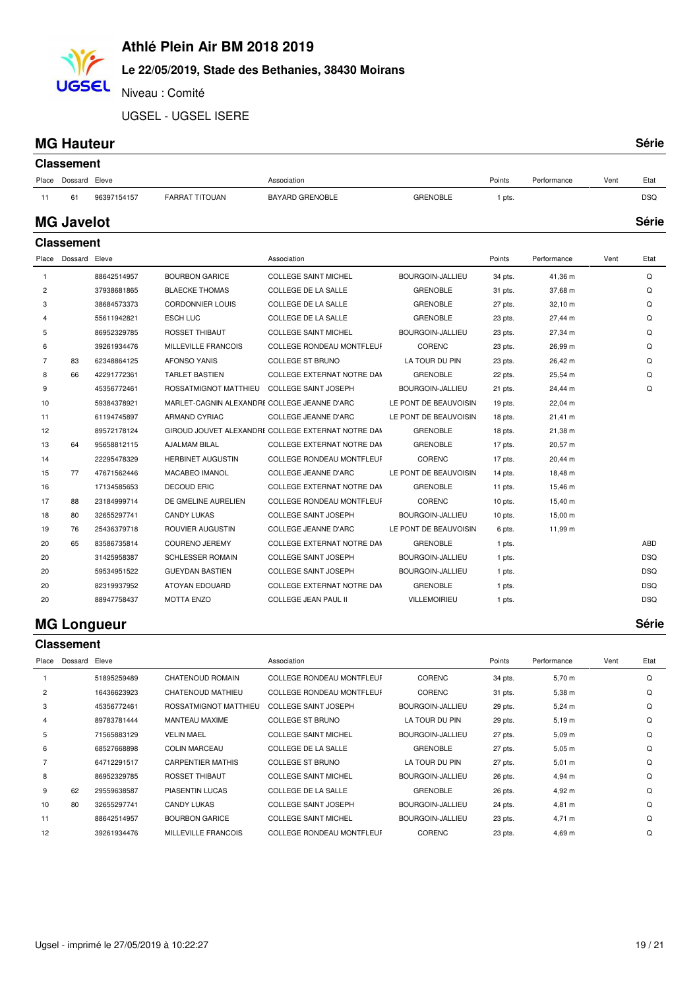# **Le 22/05/2019, Stade des Bethanies, 38430 Moirans**

Niveau : Comité

UGSEL - UGSEL ISERE

#### **MG Hauteur**

**UGSEL** 

| ۰, | I | I |
|----|---|---|

|                | <b>Classement</b> |             |                                              |                                                    |                       |           |                   |      |            |
|----------------|-------------------|-------------|----------------------------------------------|----------------------------------------------------|-----------------------|-----------|-------------------|------|------------|
| Place          | Dossard Eleve     |             |                                              | Association                                        |                       | Points    | Performance       | Vent | Etat       |
| 11             | 61                | 96397154157 | <b>FARRAT TITOUAN</b>                        | <b>BAYARD GRENOBLE</b>                             | <b>GRENOBLE</b>       | 1 pts.    |                   |      | <b>DSQ</b> |
|                | <b>MG Javelot</b> |             |                                              |                                                    |                       |           |                   |      | Série      |
|                | <b>Classement</b> |             |                                              |                                                    |                       |           |                   |      |            |
| Place          | Dossard Eleve     |             |                                              | Association                                        |                       | Points    | Performance       | Vent | Etat       |
| $\mathbf{1}$   |                   | 88642514957 | <b>BOURBON GARICE</b>                        | <b>COLLEGE SAINT MICHEL</b>                        | BOURGOIN-JALLIEU      | 34 pts.   | 41,36 m           |      | Q          |
| $\overline{c}$ |                   | 37938681865 | <b>BLAECKE THOMAS</b>                        | COLLEGE DE LA SALLE                                | <b>GRENOBLE</b>       | 31 pts.   | 37,68 m           |      | Q          |
| 3              |                   | 38684573373 | <b>CORDONNIER LOUIS</b>                      | COLLEGE DE LA SALLE                                | <b>GRENOBLE</b>       | 27 pts.   | 32,10 m           |      | Q          |
| 4              |                   | 55611942821 | <b>ESCH LUC</b>                              | <b>COLLEGE DE LA SALLE</b>                         | <b>GRENOBLE</b>       | 23 pts.   | 27,44 m           |      | Q          |
| 5              |                   | 86952329785 | ROSSET THIBAUT                               | <b>COLLEGE SAINT MICHEL</b>                        | BOURGOIN-JALLIEU      | 23 pts.   | 27,34 m           |      | Q          |
| 6              |                   | 39261934476 | MILLEVILLE FRANCOIS                          | COLLEGE RONDEAU MONTFLEUF                          | <b>CORENC</b>         | 23 pts.   | 26,99 m           |      | Q          |
| $\overline{7}$ | 83                | 62348864125 | <b>AFONSO YANIS</b>                          | <b>COLLEGE ST BRUNO</b>                            | LA TOUR DU PIN        | 23 pts.   | 26,42 m           |      | Q          |
| 8              | 66                | 42291772361 | <b>TARLET BASTIEN</b>                        | COLLEGE EXTERNAT NOTRE DAM                         | <b>GRENOBLE</b>       | 22 pts.   | 25,54 m           |      | Q          |
| 9              |                   | 45356772461 | ROSSATMIGNOT MATTHIEU                        | <b>COLLEGE SAINT JOSEPH</b>                        | BOURGOIN-JALLIEU      | 21 pts.   | 24,44 m           |      | Q          |
| 10             |                   | 59384378921 | MARLET-CAGNIN ALEXANDRE COLLEGE JEANNE D'ARC |                                                    | LE PONT DE BEAUVOISIN | $19$ pts. | 22,04 m           |      |            |
| 11             |                   | 61194745897 | <b>ARMAND CYRIAC</b>                         | <b>COLLEGE JEANNE D'ARC</b>                        | LE PONT DE BEAUVOISIN | 18 pts.   | $21,41 \text{ m}$ |      |            |
| 12             |                   | 89572178124 |                                              | GIROUD JOUVET ALEXANDRE COLLEGE EXTERNAT NOTRE DAM | <b>GRENOBLE</b>       | 18 pts.   | 21,38 m           |      |            |
| 13             | 64                | 95658812115 | <b>AJALMAM BILAL</b>                         | COLLEGE EXTERNAT NOTRE DAM                         | <b>GRENOBLE</b>       | 17 pts.   | 20,57 m           |      |            |
| 14             |                   | 22295478329 | <b>HERBINET AUGUSTIN</b>                     | <b>COLLEGE RONDEAU MONTFLEUF</b>                   | CORENC                | 17 pts.   | 20,44 m           |      |            |
| 15             | 77                | 47671562446 | MACABEO IMANOL                               | COLLEGE JEANNE D'ARC                               | LE PONT DE BEAUVOISIN | 14 pts.   | 18,48 m           |      |            |
| 16             |                   | 17134585653 | <b>DECOUD ERIC</b>                           | COLLEGE EXTERNAT NOTRE DAM                         | <b>GRENOBLE</b>       | 11 pts.   | 15,46 m           |      |            |
| 17             | 88                | 23184999714 | DE GMELINE AURELIEN                          | <b>COLLEGE RONDEAU MONTFLEUF</b>                   | <b>CORENC</b>         | $10$ pts. | 15,40 m           |      |            |
| 18             | 80                | 32655297741 | <b>CANDY LUKAS</b>                           | <b>COLLEGE SAINT JOSEPH</b>                        | BOURGOIN-JALLIEU      | $10$ pts. | 15,00 m           |      |            |
| 19             | 76                | 25436379718 | ROUVIER AUGUSTIN                             | <b>COLLEGE JEANNE D'ARC</b>                        | LE PONT DE BEAUVOISIN | 6 pts.    | 11,99 m           |      |            |
| 20             | 65                | 83586735814 | <b>COURENO JEREMY</b>                        | COLLEGE EXTERNAT NOTRE DAM                         | <b>GRENOBLE</b>       | 1 pts.    |                   |      | ABD        |
| 20             |                   | 31425958387 | <b>SCHLESSER ROMAIN</b>                      | <b>COLLEGE SAINT JOSEPH</b>                        | BOURGOIN-JALLIEU      | 1 pts.    |                   |      | <b>DSQ</b> |
| 20             |                   | 59534951522 | <b>GUEYDAN BASTIEN</b>                       | <b>COLLEGE SAINT JOSEPH</b>                        | BOURGOIN-JALLIEU      | 1 pts.    |                   |      | <b>DSQ</b> |
| 20             |                   | 82319937952 | ATOYAN EDOUARD                               | COLLEGE EXTERNAT NOTRE DAM                         | <b>GRENOBLE</b>       | 1 pts.    |                   |      | <b>DSQ</b> |
| 20             |                   | 88947758437 | <b>MOTTA ENZO</b>                            | <b>COLLEGE JEAN PAUL II</b>                        | <b>VILLEMOIRIEU</b>   | 1 pts.    |                   |      | <b>DSQ</b> |

#### **MG Longueur Série**

|                | <b>Classement</b> |             |                          |                                  |                         |         |             |      |      |
|----------------|-------------------|-------------|--------------------------|----------------------------------|-------------------------|---------|-------------|------|------|
| Place          | Dossard           | Eleve       |                          | Association                      |                         | Points  | Performance | Vent | Etat |
|                |                   | 51895259489 | <b>CHATENOUD ROMAIN</b>  | <b>COLLEGE RONDEAU MONTFLEUF</b> | <b>CORENC</b>           | 34 pts. | 5,70 m      |      | Q    |
| $\overline{2}$ |                   | 16436623923 | CHATENOUD MATHIEU        | <b>COLLEGE RONDEAU MONTFLEUF</b> | <b>CORENC</b>           | 31 pts. | $5,38 \; m$ |      | Q    |
| 3              |                   | 45356772461 | ROSSATMIGNOT MATTHIEU    | <b>COLLEGE SAINT JOSEPH</b>      | BOURGOIN-JALLIEU        | 29 pts. | $5,24 \, m$ |      | Q    |
| 4              |                   | 89783781444 | MANTEAU MAXIME           | <b>COLLEGE ST BRUNO</b>          | LA TOUR DU PIN          | 29 pts. | 5,19 m      |      | Q    |
| 5              |                   | 71565883129 | <b>VELIN MAEL</b>        | <b>COLLEGE SAINT MICHEL</b>      | BOURGOIN-JALLIEU        | 27 pts. | 5,09 m      |      | Q    |
| 6              |                   | 68527668898 | <b>COLIN MARCEAU</b>     | COLLEGE DE LA SALLE              | <b>GRENOBLE</b>         | 27 pts. | $5,05 \; m$ |      | Q    |
|                |                   | 64712291517 | <b>CARPENTIER MATHIS</b> | <b>COLLEGE ST BRUNO</b>          | LA TOUR DU PIN          | 27 pts. | $5,01 \; m$ |      | Q    |
| 8              |                   | 86952329785 | <b>ROSSET THIBAUT</b>    | <b>COLLEGE SAINT MICHEL</b>      | BOURGOIN-JALLIEU        | 26 pts. | 4,94 m      |      | Q    |
| 9              | 62                | 29559638587 | <b>PIASENTIN LUCAS</b>   | COLLEGE DE LA SALLE              | <b>GRENOBLE</b>         | 26 pts. | 4,92 m      |      | Q    |
| 10             | 80                | 32655297741 | <b>CANDY LUKAS</b>       | <b>COLLEGE SAINT JOSEPH</b>      | BOURGOIN-JALLIEU        | 24 pts. | 4,81 m      |      | Q    |
| 11             |                   | 88642514957 | <b>BOURBON GARICE</b>    | <b>COLLEGE SAINT MICHEL</b>      | <b>BOURGOIN-JALLIEU</b> | 23 pts. | $4,71 \; m$ |      | Q    |
| 12             |                   | 39261934476 | MILLEVILLE FRANCOIS      | <b>COLLEGE RONDEAU MONTFLEUF</b> | <b>CORENC</b>           | 23 pts. | $4,69 \; m$ |      | Q    |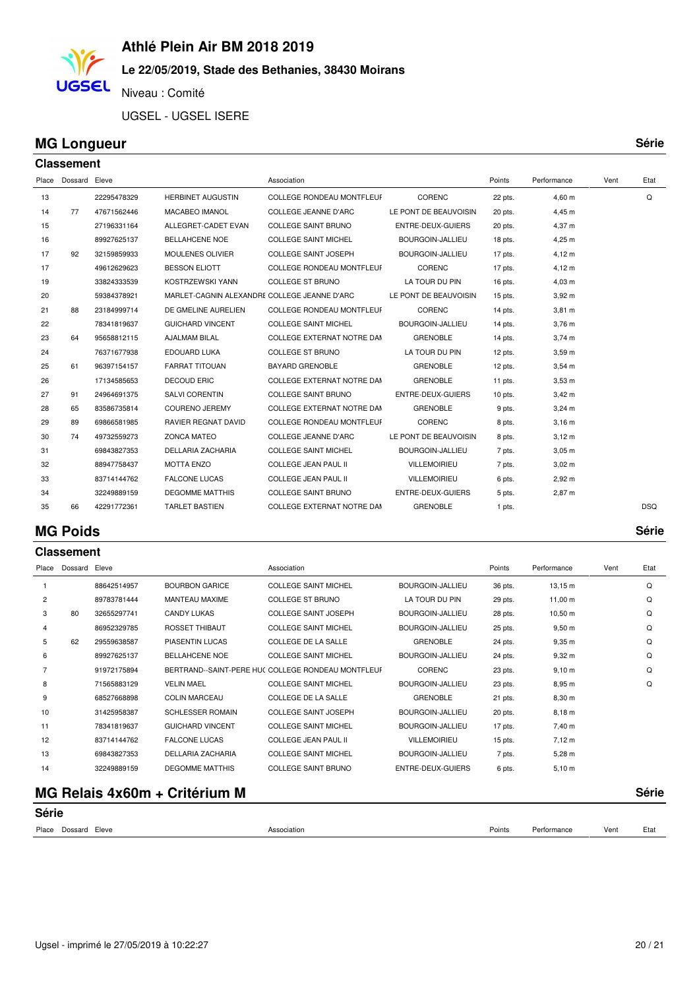### **Le 22/05/2019, Stade des Bethanies, 38430 Moirans**

Niveau : Comité

UGSEL - UGSEL ISERE

### **MG Longueur Série**

**UGSEL** 

| <b>Classement</b> |               |             |                                              |                                  |                       |           |                  |      |            |
|-------------------|---------------|-------------|----------------------------------------------|----------------------------------|-----------------------|-----------|------------------|------|------------|
| Place             | Dossard Eleve |             |                                              | Association                      |                       | Points    | Performance      | Vent | Etat       |
| 13                |               | 22295478329 | <b>HERBINET AUGUSTIN</b>                     | <b>COLLEGE RONDEAU MONTFLEUF</b> | CORENC                | 22 pts.   | 4,60 m           |      | Q          |
| 14                | 77            | 47671562446 | MACABEO IMANOL                               | <b>COLLEGE JEANNE D'ARC</b>      | LE PONT DE BEAUVOISIN | 20 pts.   | 4,45 m           |      |            |
| 15                |               | 27196331164 | ALLEGRET-CADET EVAN                          | <b>COLLEGE SAINT BRUNO</b>       | ENTRE-DEUX-GUIERS     | 20 pts.   | 4,37 m           |      |            |
| 16                |               | 89927625137 | <b>BELLAHCENE NOE</b>                        | <b>COLLEGE SAINT MICHEL</b>      | BOURGOIN-JALLIEU      | 18 pts.   | 4,25 m           |      |            |
| 17                | 92            | 32159859933 | <b>MOULENES OLIVIER</b>                      | <b>COLLEGE SAINT JOSEPH</b>      | BOURGOIN-JALLIEU      | 17 pts.   | 4,12 m           |      |            |
| 17                |               | 49612629623 | <b>BESSON ELIOTT</b>                         | COLLEGE RONDEAU MONTFLEUF        | CORENC                | 17 pts.   | 4,12 m           |      |            |
| 19                |               | 33824333539 | KOSTRZEWSKI YANN                             | <b>COLLEGE ST BRUNO</b>          | LA TOUR DU PIN        | 16 pts.   | $4,03 \, m$      |      |            |
| 20                |               | 59384378921 | MARLET-CAGNIN ALEXANDRE COLLEGE JEANNE D'ARC |                                  | LE PONT DE BEAUVOISIN | $15$ pts. | $3,92 \text{ m}$ |      |            |
| 21                | 88            | 23184999714 | DE GMELINE AURELIEN                          | <b>COLLEGE RONDEAU MONTFLEUF</b> | CORENC                | 14 pts.   | $3,81 \; m$      |      |            |
| 22                |               | 78341819637 | <b>GUICHARD VINCENT</b>                      | <b>COLLEGE SAINT MICHEL</b>      | BOURGOIN-JALLIEU      | 14 pts.   | $3,76$ m         |      |            |
| 23                | 64            | 95658812115 | <b>AJALMAM BILAL</b>                         | COLLEGE EXTERNAT NOTRE DAM       | <b>GRENOBLE</b>       | 14 pts.   | $3,74 \, m$      |      |            |
| 24                |               | 76371677938 | EDOUARD LUKA                                 | <b>COLLEGE ST BRUNO</b>          | LA TOUR DU PIN        | $12$ pts. | $3,59$ m         |      |            |
| 25                | 61            | 96397154157 | <b>FARRAT TITOUAN</b>                        | <b>BAYARD GRENOBLE</b>           | <b>GRENOBLE</b>       | 12 pts.   | $3,54 \, m$      |      |            |
| 26                |               | 17134585653 | <b>DECOUD ERIC</b>                           | COLLEGE EXTERNAT NOTRE DAM       | <b>GRENOBLE</b>       | 11 pts.   | $3,53 \, m$      |      |            |
| 27                | 91            | 24964691375 | SALVI CORENTIN                               | <b>COLLEGE SAINT BRUNO</b>       | ENTRE-DEUX-GUIERS     | $10$ pts. | $3,42 \, m$      |      |            |
| 28                | 65            | 83586735814 | <b>COURENO JEREMY</b>                        | COLLEGE EXTERNAT NOTRE DAM       | <b>GRENOBLE</b>       | 9 pts.    | $3,24 \, m$      |      |            |
| 29                | 89            | 69866581985 | <b>RAVIER REGNAT DAVID</b>                   | <b>COLLEGE RONDEAU MONTFLEUF</b> | CORENC                | 8 pts.    | $3,16$ m         |      |            |
| 30                | 74            | 49732559273 | <b>ZONCA MATEO</b>                           | <b>COLLEGE JEANNE D'ARC</b>      | LE PONT DE BEAUVOISIN | 8 pts.    | $3,12 \; m$      |      |            |
| 31                |               | 69843827353 | <b>DELLARIA ZACHARIA</b>                     | <b>COLLEGE SAINT MICHEL</b>      | BOURGOIN-JALLIEU      | 7 pts.    | $3,05 \; m$      |      |            |
| 32                |               | 88947758437 | <b>MOTTA ENZO</b>                            | <b>COLLEGE JEAN PAUL II</b>      | VILLEMOIRIEU          | 7 pts.    | $3,02 \, m$      |      |            |
| 33                |               | 83714144762 | <b>FALCONE LUCAS</b>                         | <b>COLLEGE JEAN PAUL II</b>      | <b>VILLEMOIRIEU</b>   | 6 pts.    | $2,92 \, m$      |      |            |
| 34                |               | 32249889159 | <b>DEGOMME MATTHIS</b>                       | <b>COLLEGE SAINT BRUNO</b>       | ENTRE-DEUX-GUIERS     | 5 pts.    | 2,87 m           |      |            |
| 35                | 66            | 42291772361 | <b>TARLET BASTIEN</b>                        | COLLEGE EXTERNAT NOTRE DAM       | <b>GRENOBLE</b>       | 1 pts.    |                  |      | <b>DSQ</b> |

#### **MG Poids Série**

**Classement**

| Place          | Dossard | Eleve       |                         | Association                                        |                     | Points  | Performance  | Vent | Etat |
|----------------|---------|-------------|-------------------------|----------------------------------------------------|---------------------|---------|--------------|------|------|
|                |         | 88642514957 | <b>BOURBON GARICE</b>   | <b>COLLEGE SAINT MICHEL</b>                        | BOURGOIN-JALLIEU    | 36 pts. | $13,15 \; m$ |      | Q    |
| $\overline{2}$ |         | 89783781444 | MANTEAU MAXIME          | <b>COLLEGE ST BRUNO</b>                            | LA TOUR DU PIN      | 29 pts. | $11,00 \; m$ |      | Q    |
| 3              | 80      | 32655297741 | <b>CANDY LUKAS</b>      | <b>COLLEGE SAINT JOSEPH</b>                        | BOURGOIN-JALLIEU    | 28 pts. | $10,50 \; m$ |      | Q    |
| 4              |         | 86952329785 | <b>ROSSET THIBAUT</b>   | <b>COLLEGE SAINT MICHEL</b>                        | BOURGOIN-JALLIEU    | 25 pts. | $9,50 \; m$  |      | Q    |
| 5              | 62      | 29559638587 | <b>PIASENTIN LUCAS</b>  | <b>COLLEGE DE LA SALLE</b>                         | <b>GRENOBLE</b>     | 24 pts. | 9.35 m       |      | Q    |
| 6              |         | 89927625137 | <b>BELLAHCENE NOE</b>   | <b>COLLEGE SAINT MICHEL</b>                        | BOURGOIN-JALLIEU    | 24 pts. | $9,32 \; m$  |      | Q    |
| $\overline{7}$ |         | 91972175894 |                         | BERTRAND--SAINT-PERE HUC COLLEGE RONDEAU MONTFLEUF | <b>CORENC</b>       | 23 pts. | 9,10 m       |      | Q    |
| 8              |         | 71565883129 | <b>VELIN MAEL</b>       | <b>COLLEGE SAINT MICHEL</b>                        | BOURGOIN-JALLIEU    | 23 pts. | 8,95 m       |      | Q    |
| 9              |         | 68527668898 | <b>COLIN MARCEAU</b>    | <b>COLLEGE DE LA SALLE</b>                         | <b>GRENOBLE</b>     | 21 pts. | 8,30 m       |      |      |
| 10             |         | 31425958387 | <b>SCHLESSER ROMAIN</b> | <b>COLLEGE SAINT JOSEPH</b>                        | BOURGOIN-JALLIEU    | 20 pts. | $8,18 \; m$  |      |      |
| 11             |         | 78341819637 | <b>GUICHARD VINCENT</b> | <b>COLLEGE SAINT MICHEL</b>                        | BOURGOIN-JALLIEU    | 17 pts. | 7,40 m       |      |      |
| 12             |         | 83714144762 | <b>FALCONE LUCAS</b>    | <b>COLLEGE JEAN PAUL II</b>                        | <b>VILLEMOIRIEU</b> | 15 pts. | $7,12 \; m$  |      |      |
| 13             |         | 69843827353 | DELLARIA ZACHARIA       | <b>COLLEGE SAINT MICHEL</b>                        | BOURGOIN-JALLIEU    | 7 pts.  | $5,28 \; m$  |      |      |
| 14             |         | 32249889159 | <b>DEGOMME MATTHIS</b>  | <b>COLLEGE SAINT BRUNO</b>                         | ENTRE-DEUX-GUIERS   | 6 pts.  | 5,10 m       |      |      |
|                |         |             |                         |                                                    |                     |         |              |      |      |

# **MG Relais 4x60m + Critérium M Série**

| Série               |             |        |             |      |      |  |
|---------------------|-------------|--------|-------------|------|------|--|
| Place Dossard Eleve | Association | Points | Performance | Vent | Etat |  |
|                     |             |        |             |      |      |  |